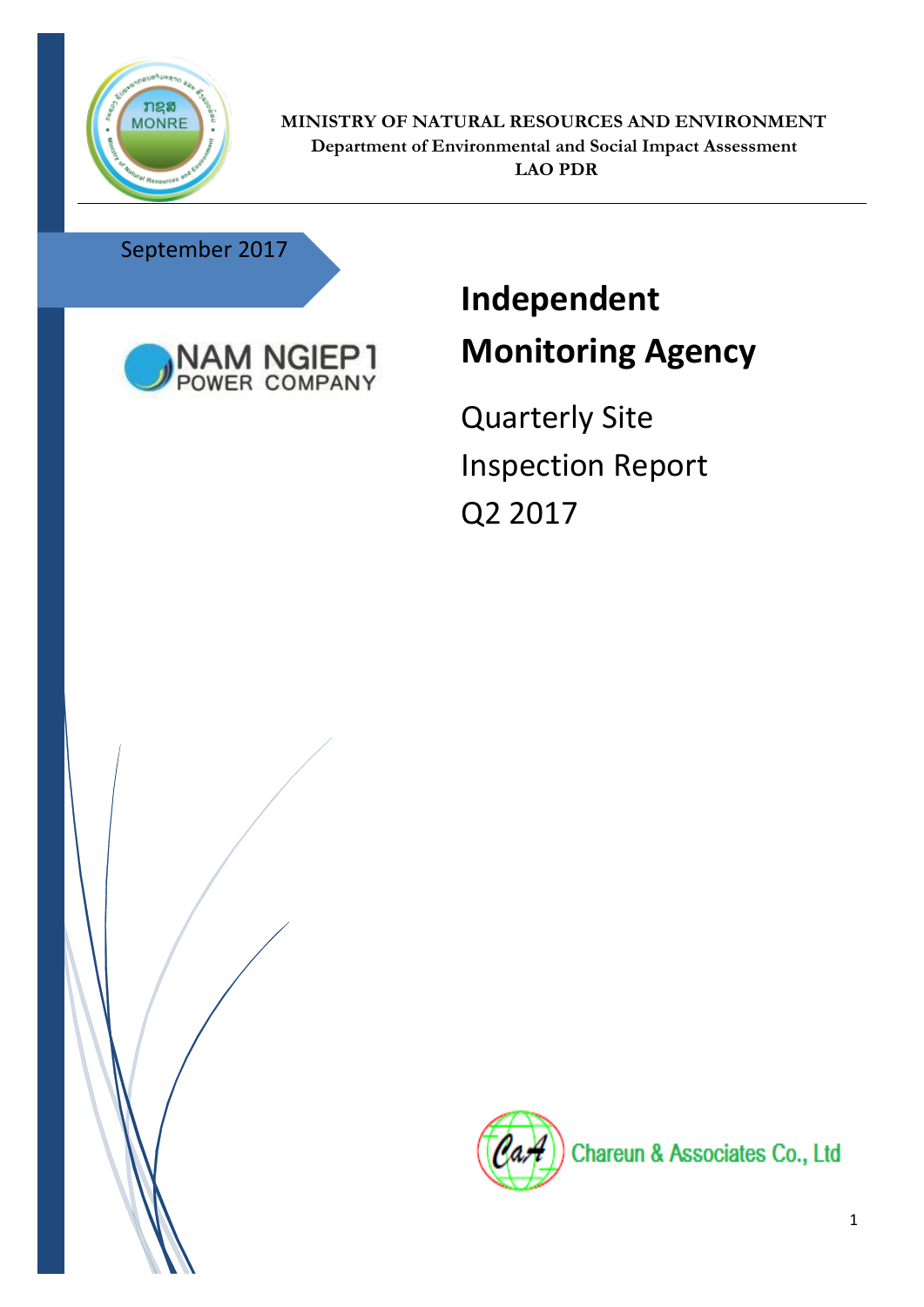

**MINISTRY OF NATURAL RESOURCES AND ENVIRONMENT Department of Environmental and Social Impact Assessment LAO PDR**

## September 2017



## **Independent Monitoring Agency**

Quarterly Site Inspection Report Q2 2017



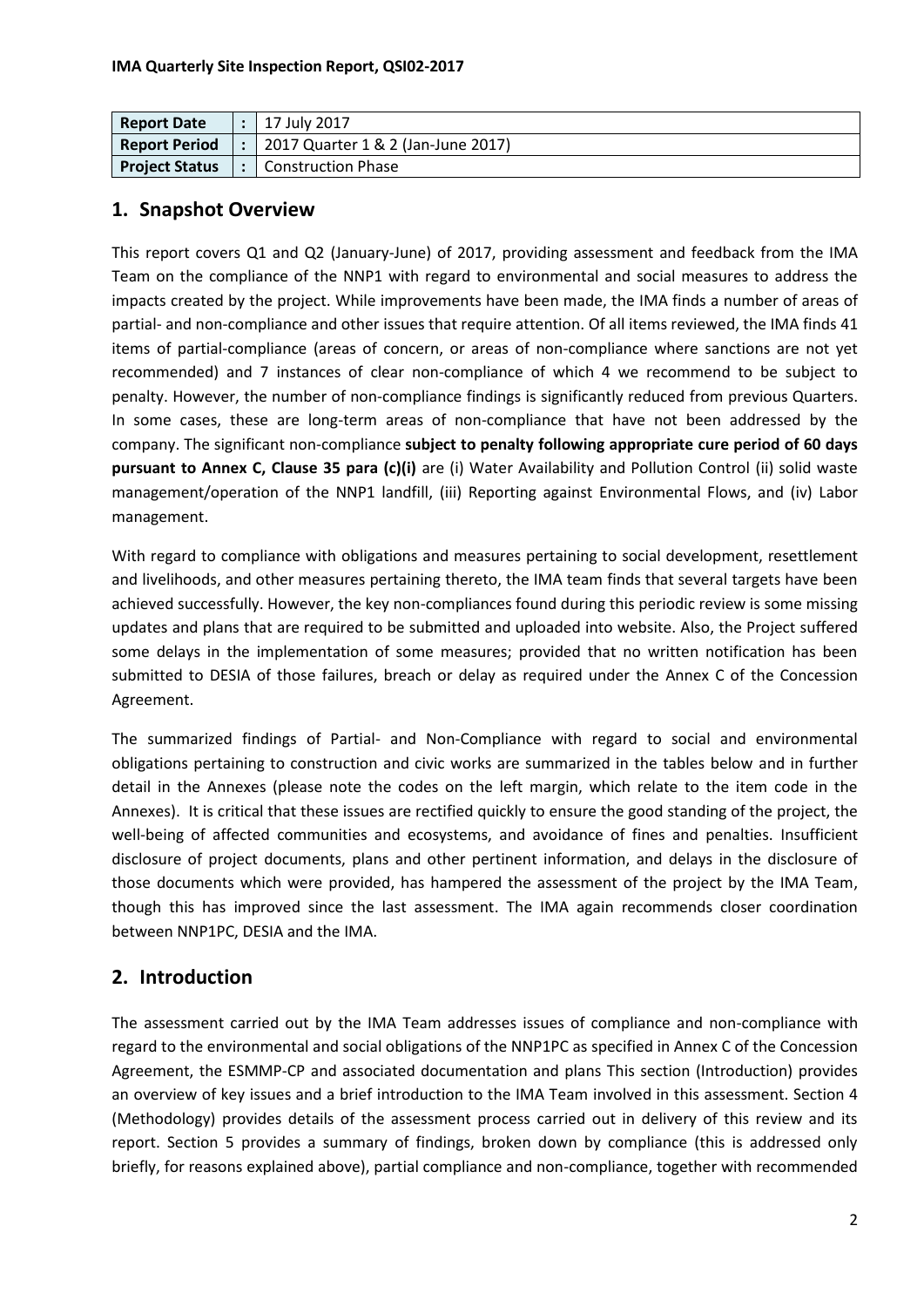| <b>Report Date</b>    | 17 July 2017                       |
|-----------------------|------------------------------------|
| <b>Report Period</b>  | 2017 Quarter 1 & 2 (Jan-June 2017) |
| <b>Project Status</b> | <b>Construction Phase</b>          |

#### **1. Snapshot Overview**

This report covers Q1 and Q2 (January-June) of 2017, providing assessment and feedback from the IMA Team on the compliance of the NNP1 with regard to environmental and social measures to address the impacts created by the project. While improvements have been made, the IMA finds a number of areas of partial- and non-compliance and other issues that require attention. Of all items reviewed, the IMA finds 41 items of partial-compliance (areas of concern, or areas of non-compliance where sanctions are not yet recommended) and 7 instances of clear non-compliance of which 4 we recommend to be subject to penalty. However, the number of non-compliance findings is significantly reduced from previous Quarters. In some cases, these are long-term areas of non-compliance that have not been addressed by the company. The significant non-compliance **subject to penalty following appropriate cure period of 60 days pursuant to Annex C, Clause 35 para (c)(i)** are (i) Water Availability and Pollution Control (ii) solid waste management/operation of the NNP1 landfill, (iii) Reporting against Environmental Flows, and (iv) Labor management.

With regard to compliance with obligations and measures pertaining to social development, resettlement and livelihoods, and other measures pertaining thereto, the IMA team finds that several targets have been achieved successfully. However, the key non-compliances found during this periodic review is some missing updates and plans that are required to be submitted and uploaded into website. Also, the Project suffered some delays in the implementation of some measures; provided that no written notification has been submitted to DESIA of those failures, breach or delay as required under the Annex C of the Concession Agreement.

The summarized findings of Partial- and Non-Compliance with regard to social and environmental obligations pertaining to construction and civic works are summarized in the tables below and in further detail in the Annexes (please note the codes on the left margin, which relate to the item code in the Annexes). It is critical that these issues are rectified quickly to ensure the good standing of the project, the well-being of affected communities and ecosystems, and avoidance of fines and penalties. Insufficient disclosure of project documents, plans and other pertinent information, and delays in the disclosure of those documents which were provided, has hampered the assessment of the project by the IMA Team, though this has improved since the last assessment. The IMA again recommends closer coordination between NNP1PC, DESIA and the IMA.

## **2. Introduction**

The assessment carried out by the IMA Team addresses issues of compliance and non-compliance with regard to the environmental and social obligations of the NNP1PC as specified in Annex C of the Concession Agreement, the ESMMP-CP and associated documentation and plans This section (Introduction) provides an overview of key issues and a brief introduction to the IMA Team involved in this assessment. Section 4 (Methodology) provides details of the assessment process carried out in delivery of this review and its report. Section 5 provides a summary of findings, broken down by compliance (this is addressed only briefly, for reasons explained above), partial compliance and non-compliance, together with recommended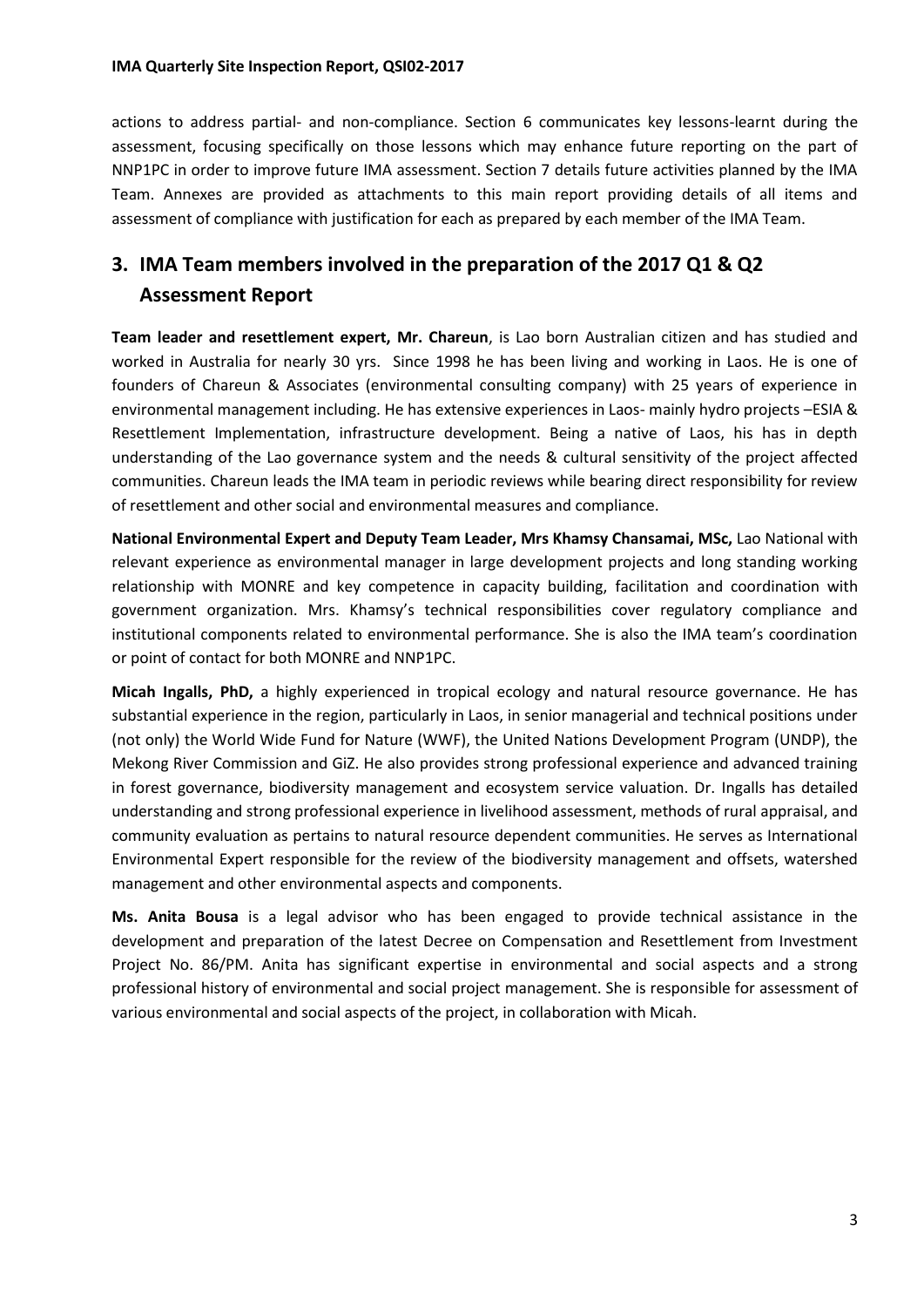actions to address partial- and non-compliance. Section 6 communicates key lessons-learnt during the assessment, focusing specifically on those lessons which may enhance future reporting on the part of NNP1PC in order to improve future IMA assessment. Section 7 details future activities planned by the IMA Team. Annexes are provided as attachments to this main report providing details of all items and assessment of compliance with justification for each as prepared by each member of the IMA Team.

## **3. IMA Team members involved in the preparation of the 2017 Q1 & Q2 Assessment Report**

**Team leader and resettlement expert, Mr. Chareun**, is Lao born Australian citizen and has studied and worked in Australia for nearly 30 yrs. Since 1998 he has been living and working in Laos. He is one of founders of Chareun & Associates (environmental consulting company) with 25 years of experience in environmental management including. He has extensive experiences in Laos- mainly hydro projects –ESIA & Resettlement Implementation, infrastructure development. Being a native of Laos, his has in depth understanding of the Lao governance system and the needs & cultural sensitivity of the project affected communities. Chareun leads the IMA team in periodic reviews while bearing direct responsibility for review of resettlement and other social and environmental measures and compliance.

**National Environmental Expert and Deputy Team Leader, Mrs Khamsy Chansamai, MSc,** Lao National with relevant experience as environmental manager in large development projects and long standing working relationship with MONRE and key competence in capacity building, facilitation and coordination with government organization. Mrs. Khamsy's technical responsibilities cover regulatory compliance and institutional components related to environmental performance. She is also the IMA team's coordination or point of contact for both MONRE and NNP1PC.

**Micah Ingalls, PhD,** a highly experienced in tropical ecology and natural resource governance. He has substantial experience in the region, particularly in Laos, in senior managerial and technical positions under (not only) the World Wide Fund for Nature (WWF), the United Nations Development Program (UNDP), the Mekong River Commission and GiZ. He also provides strong professional experience and advanced training in forest governance, biodiversity management and ecosystem service valuation. Dr. Ingalls has detailed understanding and strong professional experience in livelihood assessment, methods of rural appraisal, and community evaluation as pertains to natural resource dependent communities. He serves as International Environmental Expert responsible for the review of the biodiversity management and offsets, watershed management and other environmental aspects and components.

**Ms. Anita Bousa** is a legal advisor who has been engaged to provide technical assistance in the development and preparation of the latest Decree on Compensation and Resettlement from Investment Project No. 86/PM. Anita has significant expertise in environmental and social aspects and a strong professional history of environmental and social project management. She is responsible for assessment of various environmental and social aspects of the project, in collaboration with Micah.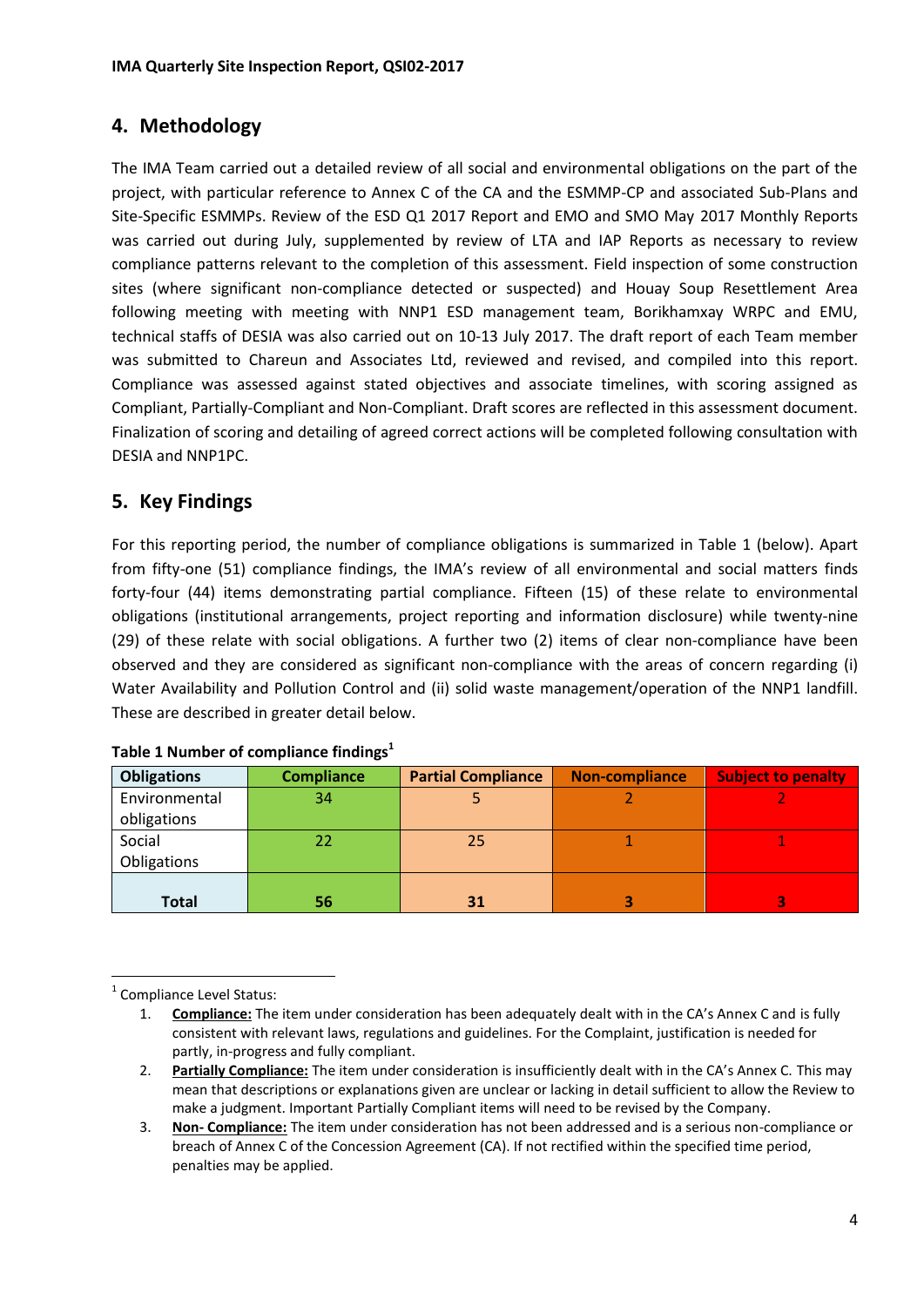### **4. Methodology**

The IMA Team carried out a detailed review of all social and environmental obligations on the part of the project, with particular reference to Annex C of the CA and the ESMMP-CP and associated Sub-Plans and Site-Specific ESMMPs. Review of the ESD Q1 2017 Report and EMO and SMO May 2017 Monthly Reports was carried out during July, supplemented by review of LTA and IAP Reports as necessary to review compliance patterns relevant to the completion of this assessment. Field inspection of some construction sites (where significant non-compliance detected or suspected) and Houay Soup Resettlement Area following meeting with meeting with NNP1 ESD management team, Borikhamxay WRPC and EMU, technical staffs of DESIA was also carried out on 10-13 July 2017. The draft report of each Team member was submitted to Chareun and Associates Ltd, reviewed and revised, and compiled into this report. Compliance was assessed against stated objectives and associate timelines, with scoring assigned as Compliant, Partially-Compliant and Non-Compliant. Draft scores are reflected in this assessment document. Finalization of scoring and detailing of agreed correct actions will be completed following consultation with DESIA and NNP1PC.

## **5. Key Findings**

For this reporting period, the number of compliance obligations is summarized in Table 1 (below). Apart from fifty-one (51) compliance findings, the IMA's review of all environmental and social matters finds forty-four (44) items demonstrating partial compliance. Fifteen (15) of these relate to environmental obligations (institutional arrangements, project reporting and information disclosure) while twenty-nine (29) of these relate with social obligations. A further two (2) items of clear non-compliance have been observed and they are considered as significant non-compliance with the areas of concern regarding (i) Water Availability and Pollution Control and (ii) solid waste management/operation of the NNP1 landfill. These are described in greater detail below.

| <b>Obligations</b> | <b>Compliance</b> | <b>Partial Compliance</b> | <b>Non-compliance</b> | <b>Subject to penalty</b> |  |
|--------------------|-------------------|---------------------------|-----------------------|---------------------------|--|
| Environmental      | 34                |                           |                       |                           |  |
| obligations        |                   |                           |                       |                           |  |
| Social             |                   | 25                        |                       |                           |  |
| Obligations        |                   |                           |                       |                           |  |
|                    |                   |                           |                       |                           |  |
| Total              | 56                | 31                        |                       |                           |  |

1 Compliance Level Status:

<sup>1.</sup> **Compliance:** The item under consideration has been adequately dealt with in the CA's Annex C and is fully consistent with relevant laws, regulations and guidelines. For the Complaint, justification is needed for partly, in-progress and fully compliant.

<sup>2.</sup> **Partially Compliance:** The item under consideration is insufficiently dealt with in the CA's Annex C. This may mean that descriptions or explanations given are unclear or lacking in detail sufficient to allow the Review to make a judgment. Important Partially Compliant items will need to be revised by the Company.

<sup>3.</sup> **Non- Compliance:** The item under consideration has not been addressed and is a serious non-compliance or breach of Annex C of the Concession Agreement (CA). If not rectified within the specified time period, penalties may be applied.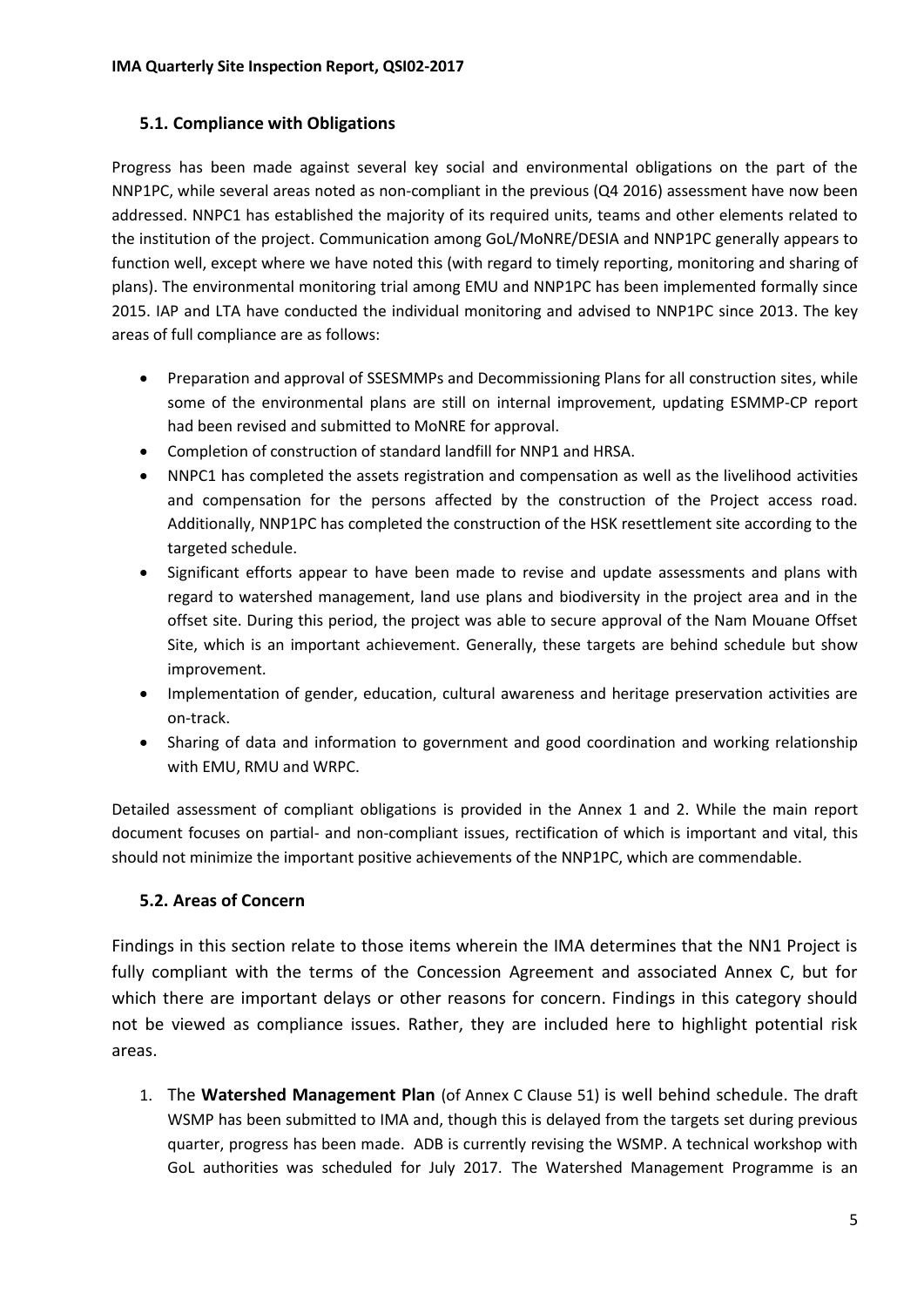#### **5.1. Compliance with Obligations**

Progress has been made against several key social and environmental obligations on the part of the NNP1PC, while several areas noted as non-compliant in the previous (Q4 2016) assessment have now been addressed. NNPC1 has established the majority of its required units, teams and other elements related to the institution of the project. Communication among GoL/MoNRE/DESIA and NNP1PC generally appears to function well, except where we have noted this (with regard to timely reporting, monitoring and sharing of plans). The environmental monitoring trial among EMU and NNP1PC has been implemented formally since 2015. IAP and LTA have conducted the individual monitoring and advised to NNP1PC since 2013. The key areas of full compliance are as follows:

- Preparation and approval of SSESMMPs and Decommissioning Plans for all construction sites, while some of the environmental plans are still on internal improvement, updating ESMMP-CP report had been revised and submitted to MoNRE for approval.
- Completion of construction of standard landfill for NNP1 and HRSA.
- NNPC1 has completed the assets registration and compensation as well as the livelihood activities and compensation for the persons affected by the construction of the Project access road. Additionally, NNP1PC has completed the construction of the HSK resettlement site according to the targeted schedule.
- Significant efforts appear to have been made to revise and update assessments and plans with regard to watershed management, land use plans and biodiversity in the project area and in the offset site. During this period, the project was able to secure approval of the Nam Mouane Offset Site, which is an important achievement. Generally, these targets are behind schedule but show improvement.
- Implementation of gender, education, cultural awareness and heritage preservation activities are on-track.
- Sharing of data and information to government and good coordination and working relationship with EMU, RMU and WRPC.

Detailed assessment of compliant obligations is provided in the Annex 1 and 2. While the main report document focuses on partial- and non-compliant issues, rectification of which is important and vital, this should not minimize the important positive achievements of the NNP1PC, which are commendable.

#### **5.2. Areas of Concern**

Findings in this section relate to those items wherein the IMA determines that the NN1 Project is fully compliant with the terms of the Concession Agreement and associated Annex C, but for which there are important delays or other reasons for concern. Findings in this category should not be viewed as compliance issues. Rather, they are included here to highlight potential risk areas.

1. The **Watershed Management Plan** (of Annex C Clause 51) is well behind schedule. The draft WSMP has been submitted to IMA and, though this is delayed from the targets set during previous quarter, progress has been made. ADB is currently revising the WSMP. A technical workshop with GoL authorities was scheduled for July 2017. The Watershed Management Programme is an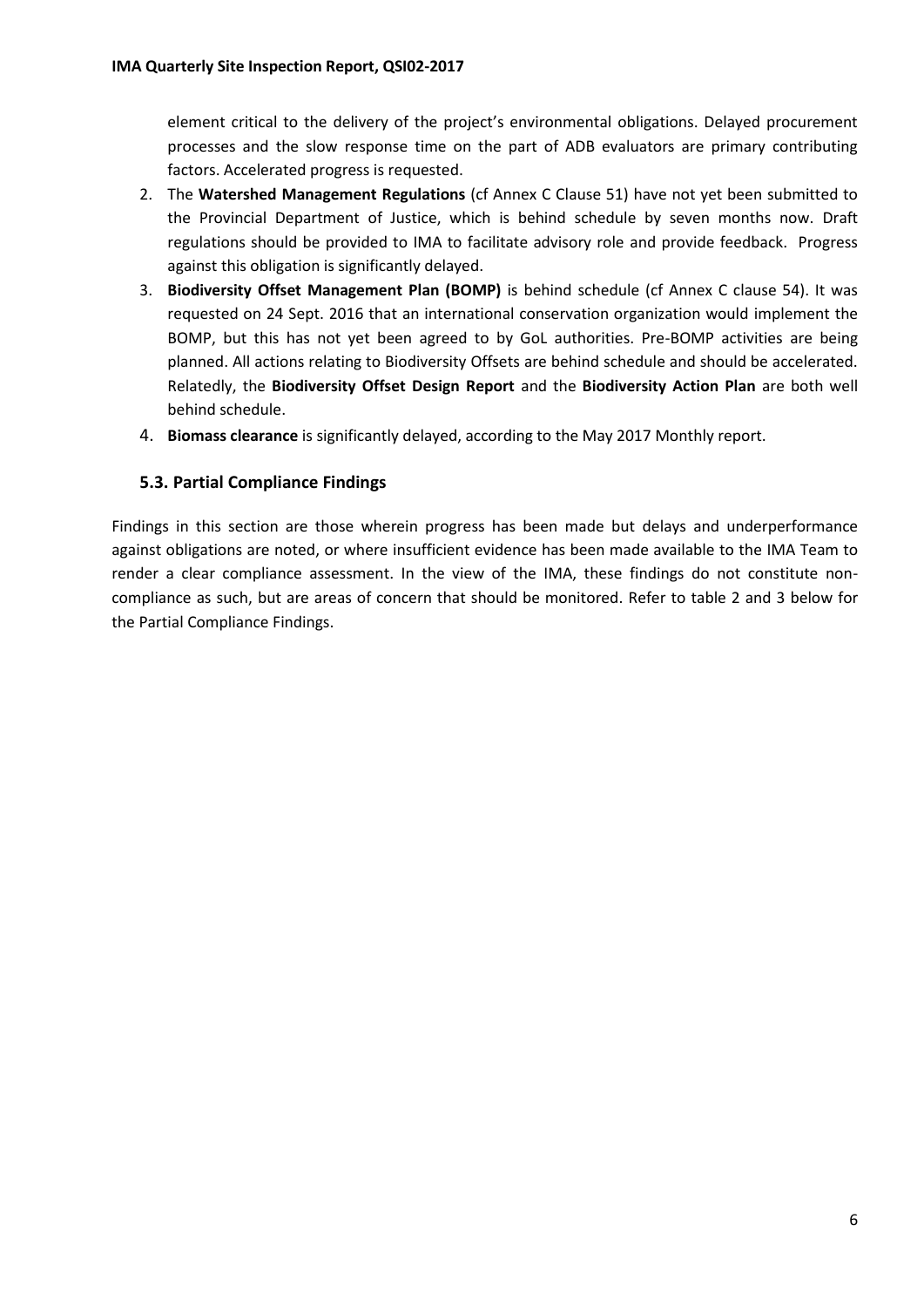element critical to the delivery of the project's environmental obligations. Delayed procurement processes and the slow response time on the part of ADB evaluators are primary contributing factors. Accelerated progress is requested.

- 2. The **Watershed Management Regulations** (cf Annex C Clause 51) have not yet been submitted to the Provincial Department of Justice, which is behind schedule by seven months now. Draft regulations should be provided to IMA to facilitate advisory role and provide feedback. Progress against this obligation is significantly delayed.
- 3. **Biodiversity Offset Management Plan (BOMP)** is behind schedule (cf Annex C clause 54). It was requested on 24 Sept. 2016 that an international conservation organization would implement the BOMP, but this has not yet been agreed to by GoL authorities. Pre-BOMP activities are being planned. All actions relating to Biodiversity Offsets are behind schedule and should be accelerated. Relatedly, the **Biodiversity Offset Design Report** and the **Biodiversity Action Plan** are both well behind schedule.
- 4. **Biomass clearance** is significantly delayed, according to the May 2017 Monthly report.

#### **5.3. Partial Compliance Findings**

Findings in this section are those wherein progress has been made but delays and underperformance against obligations are noted, or where insufficient evidence has been made available to the IMA Team to render a clear compliance assessment. In the view of the IMA, these findings do not constitute noncompliance as such, but are areas of concern that should be monitored. Refer to table 2 and 3 below for the Partial Compliance Findings.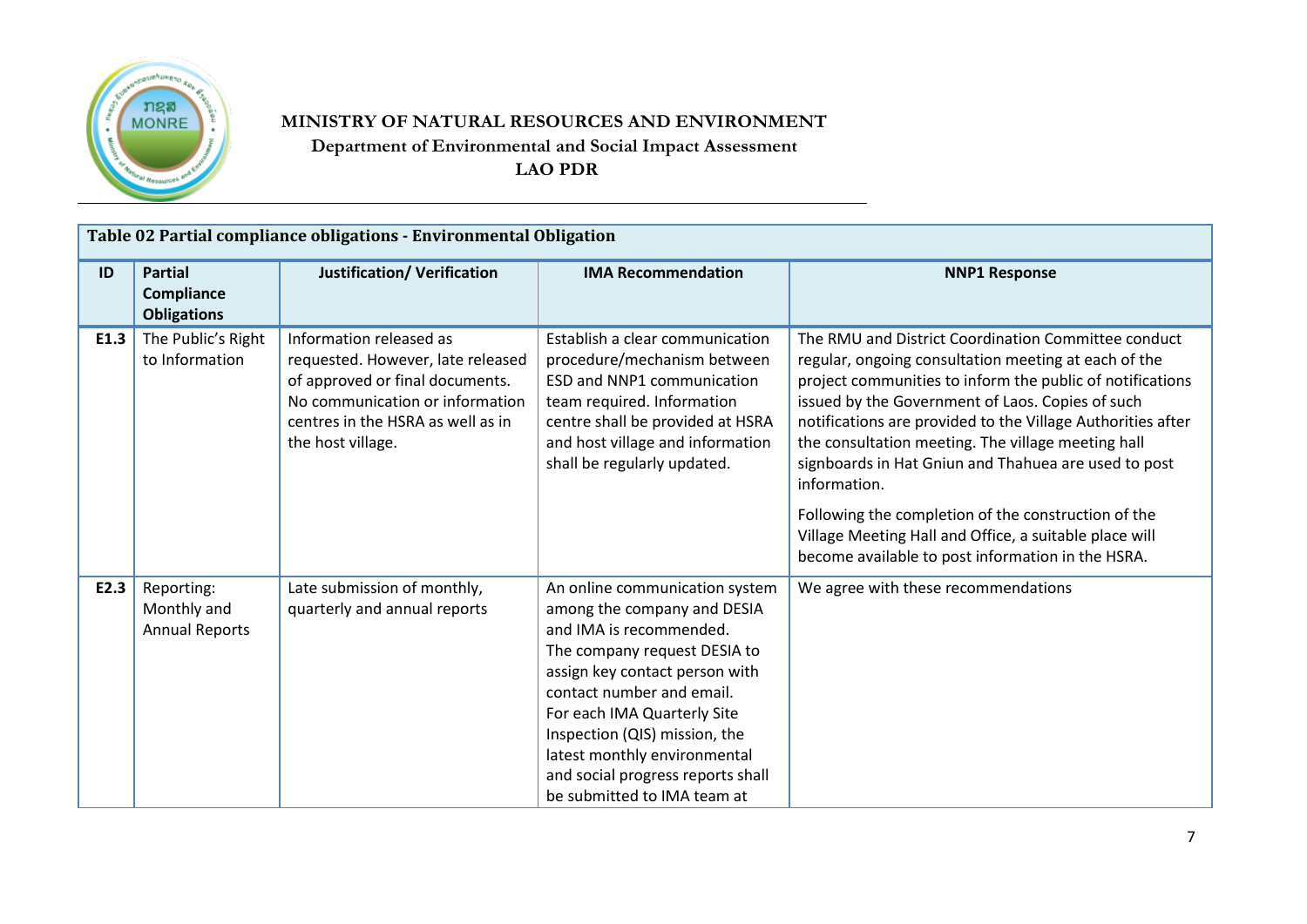

## **MINISTRY OF NATURAL RESOURCES AND ENVIRONMENT Department of Environmental and Social Impact Assessment LAO PDR**

|      | Table 02 Partial compliance obligations - Environmental Obligation |                                                                                                                                                                                              |                                                                                                                                                                                                                                                                                                                                                             |                                                                                                                                                                                                                                                                                                                                                                                                                                                                                                                                                                                                 |  |  |  |
|------|--------------------------------------------------------------------|----------------------------------------------------------------------------------------------------------------------------------------------------------------------------------------------|-------------------------------------------------------------------------------------------------------------------------------------------------------------------------------------------------------------------------------------------------------------------------------------------------------------------------------------------------------------|-------------------------------------------------------------------------------------------------------------------------------------------------------------------------------------------------------------------------------------------------------------------------------------------------------------------------------------------------------------------------------------------------------------------------------------------------------------------------------------------------------------------------------------------------------------------------------------------------|--|--|--|
| ID   | <b>Partial</b><br>Compliance<br><b>Obligations</b>                 | <b>Justification/ Verification</b>                                                                                                                                                           | <b>IMA Recommendation</b>                                                                                                                                                                                                                                                                                                                                   | <b>NNP1 Response</b>                                                                                                                                                                                                                                                                                                                                                                                                                                                                                                                                                                            |  |  |  |
| E1.3 | The Public's Right<br>to Information                               | Information released as<br>requested. However, late released<br>of approved or final documents.<br>No communication or information<br>centres in the HSRA as well as in<br>the host village. | Establish a clear communication<br>procedure/mechanism between<br><b>ESD and NNP1 communication</b><br>team required. Information<br>centre shall be provided at HSRA<br>and host village and information<br>shall be regularly updated.                                                                                                                    | The RMU and District Coordination Committee conduct<br>regular, ongoing consultation meeting at each of the<br>project communities to inform the public of notifications<br>issued by the Government of Laos. Copies of such<br>notifications are provided to the Village Authorities after<br>the consultation meeting. The village meeting hall<br>signboards in Hat Gniun and Thahuea are used to post<br>information.<br>Following the completion of the construction of the<br>Village Meeting Hall and Office, a suitable place will<br>become available to post information in the HSRA. |  |  |  |
| E2.3 | Reporting:<br>Monthly and<br><b>Annual Reports</b>                 | Late submission of monthly,<br>quarterly and annual reports                                                                                                                                  | An online communication system<br>among the company and DESIA<br>and IMA is recommended.<br>The company request DESIA to<br>assign key contact person with<br>contact number and email.<br>For each IMA Quarterly Site<br>Inspection (QIS) mission, the<br>latest monthly environmental<br>and social progress reports shall<br>be submitted to IMA team at | We agree with these recommendations                                                                                                                                                                                                                                                                                                                                                                                                                                                                                                                                                             |  |  |  |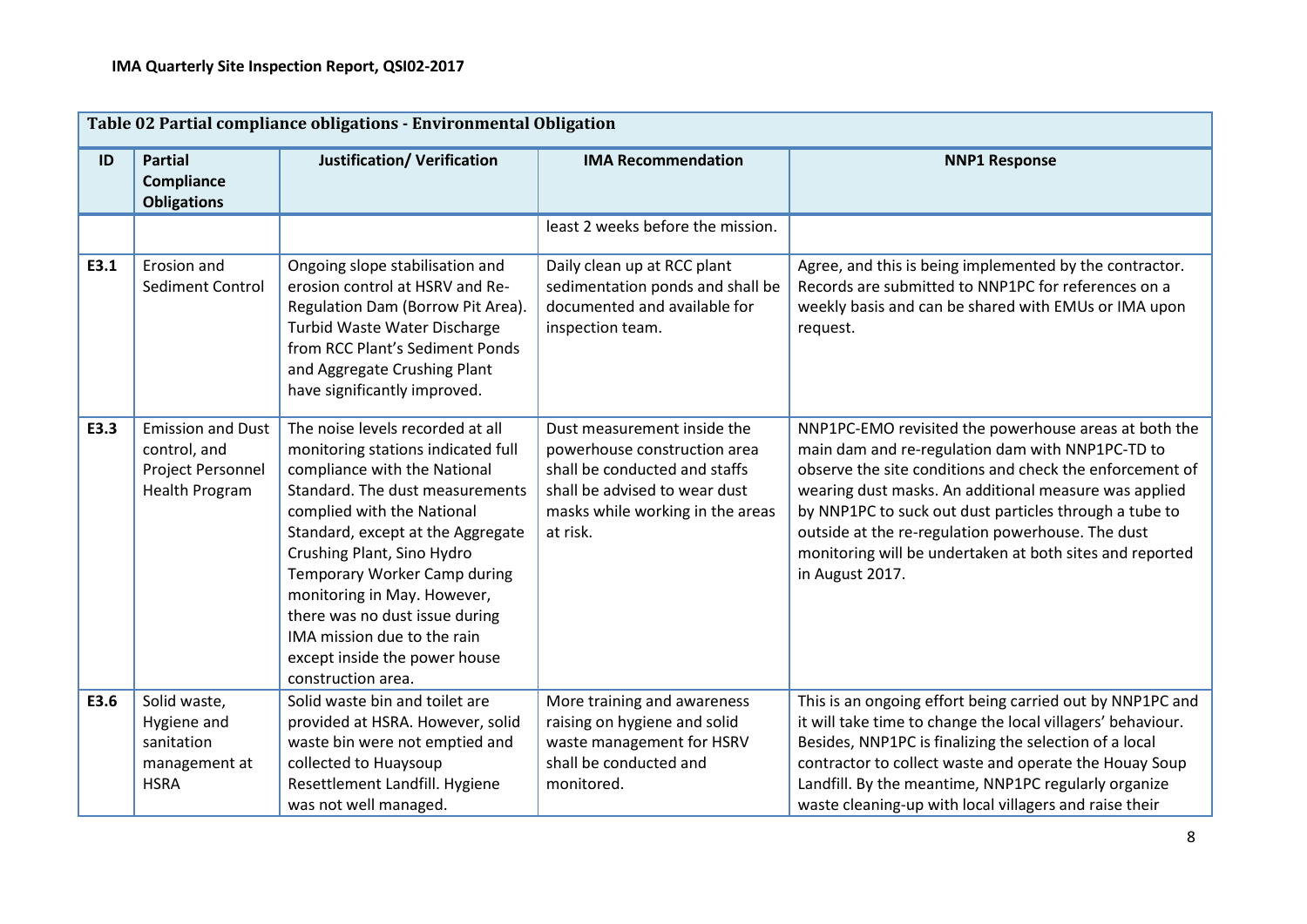|      | Table 02 Partial compliance obligations - Environmental Obligation                     |                                                                                                                                                                                                                                                                                                                                                                                                                                   |                                                                                                                                                                               |                                                                                                                                                                                                                                                                                                                                                                                                                              |  |  |
|------|----------------------------------------------------------------------------------------|-----------------------------------------------------------------------------------------------------------------------------------------------------------------------------------------------------------------------------------------------------------------------------------------------------------------------------------------------------------------------------------------------------------------------------------|-------------------------------------------------------------------------------------------------------------------------------------------------------------------------------|------------------------------------------------------------------------------------------------------------------------------------------------------------------------------------------------------------------------------------------------------------------------------------------------------------------------------------------------------------------------------------------------------------------------------|--|--|
| ID   | <b>Partial</b><br><b>Compliance</b><br><b>Obligations</b>                              | <b>Justification/ Verification</b>                                                                                                                                                                                                                                                                                                                                                                                                | <b>IMA Recommendation</b>                                                                                                                                                     | <b>NNP1 Response</b>                                                                                                                                                                                                                                                                                                                                                                                                         |  |  |
|      |                                                                                        |                                                                                                                                                                                                                                                                                                                                                                                                                                   | least 2 weeks before the mission.                                                                                                                                             |                                                                                                                                                                                                                                                                                                                                                                                                                              |  |  |
| E3.1 | Erosion and<br>Sediment Control                                                        | Ongoing slope stabilisation and<br>erosion control at HSRV and Re-<br>Regulation Dam (Borrow Pit Area).<br>Turbid Waste Water Discharge<br>from RCC Plant's Sediment Ponds<br>and Aggregate Crushing Plant<br>have significantly improved.                                                                                                                                                                                        | Daily clean up at RCC plant<br>sedimentation ponds and shall be<br>documented and available for<br>inspection team.                                                           | Agree, and this is being implemented by the contractor.<br>Records are submitted to NNP1PC for references on a<br>weekly basis and can be shared with EMUs or IMA upon<br>request.                                                                                                                                                                                                                                           |  |  |
| E3.3 | <b>Emission and Dust</b><br>control, and<br>Project Personnel<br><b>Health Program</b> | The noise levels recorded at all<br>monitoring stations indicated full<br>compliance with the National<br>Standard. The dust measurements<br>complied with the National<br>Standard, except at the Aggregate<br>Crushing Plant, Sino Hydro<br>Temporary Worker Camp during<br>monitoring in May. However,<br>there was no dust issue during<br>IMA mission due to the rain<br>except inside the power house<br>construction area. | Dust measurement inside the<br>powerhouse construction area<br>shall be conducted and staffs<br>shall be advised to wear dust<br>masks while working in the areas<br>at risk. | NNP1PC-EMO revisited the powerhouse areas at both the<br>main dam and re-regulation dam with NNP1PC-TD to<br>observe the site conditions and check the enforcement of<br>wearing dust masks. An additional measure was applied<br>by NNP1PC to suck out dust particles through a tube to<br>outside at the re-regulation powerhouse. The dust<br>monitoring will be undertaken at both sites and reported<br>in August 2017. |  |  |
| E3.6 | Solid waste,<br>Hygiene and                                                            | Solid waste bin and toilet are<br>provided at HSRA. However, solid                                                                                                                                                                                                                                                                                                                                                                | More training and awareness<br>raising on hygiene and solid                                                                                                                   | This is an ongoing effort being carried out by NNP1PC and<br>it will take time to change the local villagers' behaviour.                                                                                                                                                                                                                                                                                                     |  |  |
|      | sanitation                                                                             | waste bin were not emptied and                                                                                                                                                                                                                                                                                                                                                                                                    | waste management for HSRV                                                                                                                                                     | Besides, NNP1PC is finalizing the selection of a local                                                                                                                                                                                                                                                                                                                                                                       |  |  |
|      | management at                                                                          | collected to Huaysoup                                                                                                                                                                                                                                                                                                                                                                                                             | shall be conducted and                                                                                                                                                        | contractor to collect waste and operate the Houay Soup                                                                                                                                                                                                                                                                                                                                                                       |  |  |
|      | <b>HSRA</b>                                                                            | Resettlement Landfill. Hygiene<br>was not well managed.                                                                                                                                                                                                                                                                                                                                                                           | monitored.                                                                                                                                                                    | Landfill. By the meantime, NNP1PC regularly organize<br>waste cleaning-up with local villagers and raise their                                                                                                                                                                                                                                                                                                               |  |  |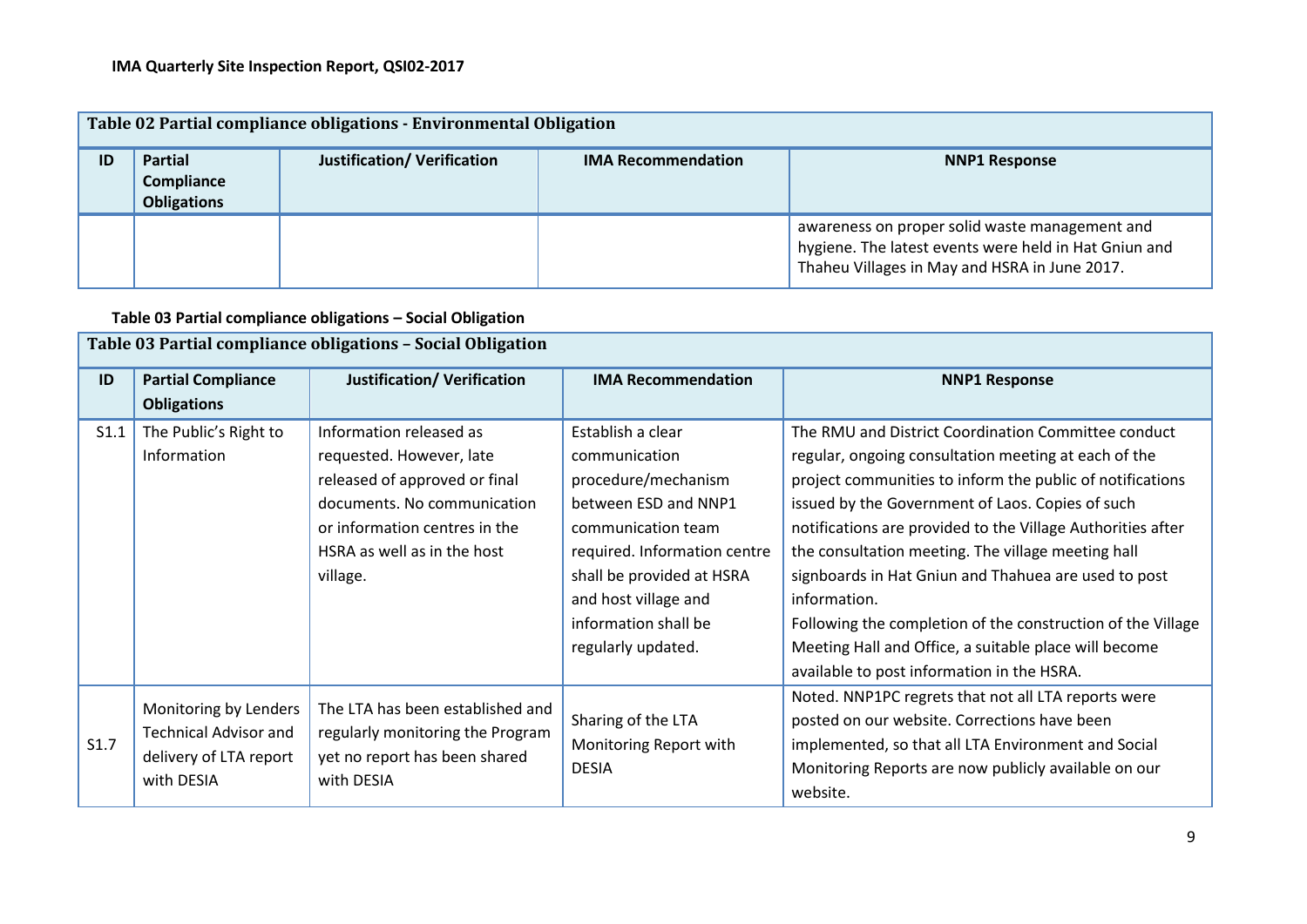|    | Table 02 Partial compliance obligations - Environmental Obligation |                                    |                           |                                                                                                                                                          |  |  |  |
|----|--------------------------------------------------------------------|------------------------------------|---------------------------|----------------------------------------------------------------------------------------------------------------------------------------------------------|--|--|--|
| ID | <b>Partial</b><br>Compliance<br><b>Obligations</b>                 | <b>Justification/ Verification</b> | <b>IMA Recommendation</b> | <b>NNP1 Response</b>                                                                                                                                     |  |  |  |
|    |                                                                    |                                    |                           | awareness on proper solid waste management and<br>hygiene. The latest events were held in Hat Gniun and<br>Thaheu Villages in May and HSRA in June 2017. |  |  |  |

#### **Table 03 Partial compliance obligations – Social Obligation**

|      | Table 03 Partial compliance obligations - Social Obligation                                   |                                                                                                                                                                                                 |                                                                                                                                                                                                                                            |                                                                                                                                                                                                                                                                                                                                                                                                                                                                                                                                                                                                 |  |  |  |
|------|-----------------------------------------------------------------------------------------------|-------------------------------------------------------------------------------------------------------------------------------------------------------------------------------------------------|--------------------------------------------------------------------------------------------------------------------------------------------------------------------------------------------------------------------------------------------|-------------------------------------------------------------------------------------------------------------------------------------------------------------------------------------------------------------------------------------------------------------------------------------------------------------------------------------------------------------------------------------------------------------------------------------------------------------------------------------------------------------------------------------------------------------------------------------------------|--|--|--|
| ID   | <b>Partial Compliance</b><br><b>Obligations</b>                                               | <b>Justification/ Verification</b>                                                                                                                                                              | <b>IMA Recommendation</b>                                                                                                                                                                                                                  | <b>NNP1 Response</b>                                                                                                                                                                                                                                                                                                                                                                                                                                                                                                                                                                            |  |  |  |
| S1.1 | The Public's Right to<br>Information                                                          | Information released as<br>requested. However, late<br>released of approved or final<br>documents. No communication<br>or information centres in the<br>HSRA as well as in the host<br>village. | Establish a clear<br>communication<br>procedure/mechanism<br>between ESD and NNP1<br>communication team<br>required. Information centre<br>shall be provided at HSRA<br>and host village and<br>information shall be<br>regularly updated. | The RMU and District Coordination Committee conduct<br>regular, ongoing consultation meeting at each of the<br>project communities to inform the public of notifications<br>issued by the Government of Laos. Copies of such<br>notifications are provided to the Village Authorities after<br>the consultation meeting. The village meeting hall<br>signboards in Hat Gniun and Thahuea are used to post<br>information.<br>Following the completion of the construction of the Village<br>Meeting Hall and Office, a suitable place will become<br>available to post information in the HSRA. |  |  |  |
| S1.7 | Monitoring by Lenders<br><b>Technical Advisor and</b><br>delivery of LTA report<br>with DESIA | The LTA has been established and<br>regularly monitoring the Program<br>yet no report has been shared<br>with DESIA                                                                             | Sharing of the LTA<br>Monitoring Report with<br><b>DESIA</b>                                                                                                                                                                               | Noted. NNP1PC regrets that not all LTA reports were<br>posted on our website. Corrections have been<br>implemented, so that all LTA Environment and Social<br>Monitoring Reports are now publicly available on our<br>website.                                                                                                                                                                                                                                                                                                                                                                  |  |  |  |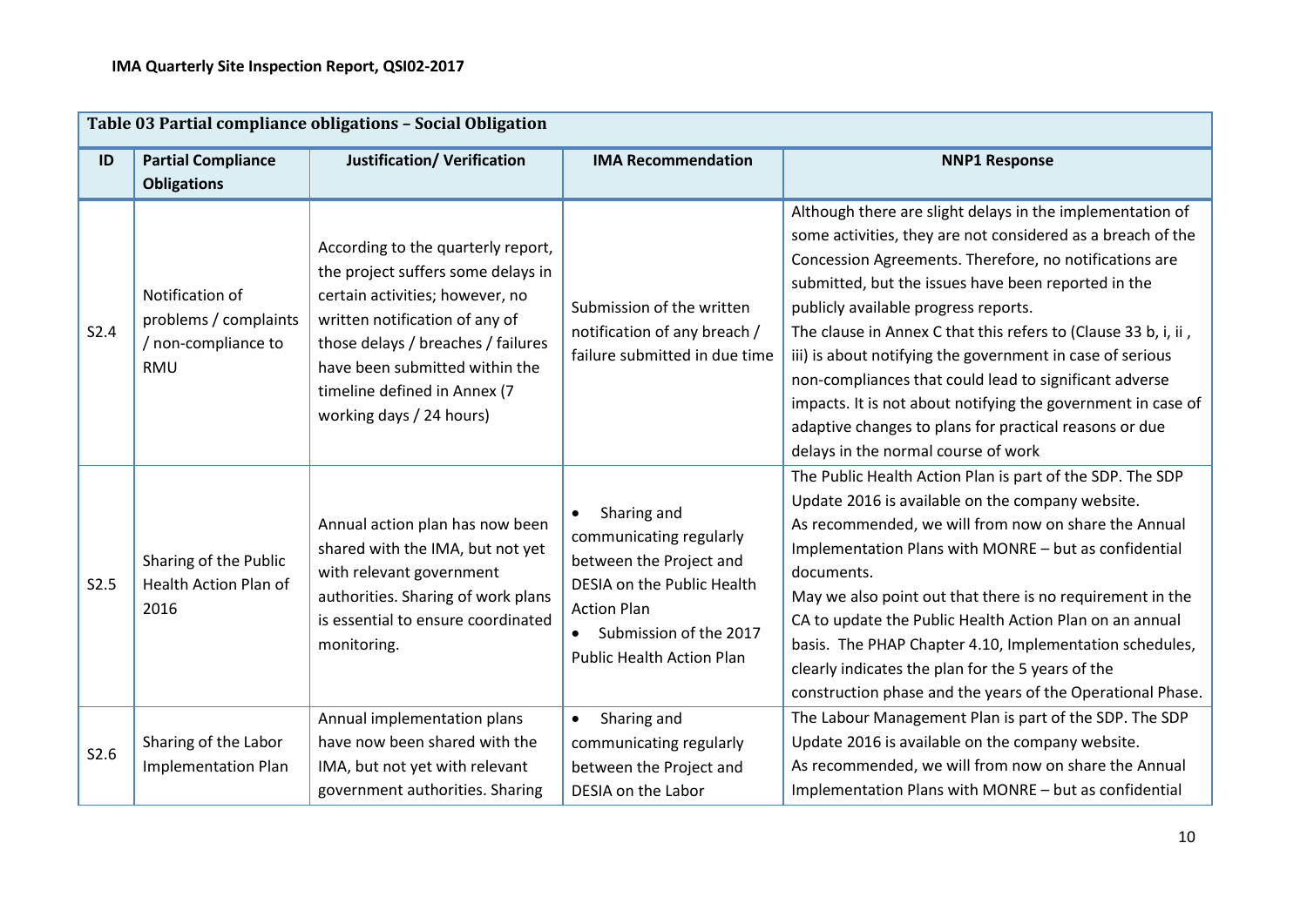|      | Table 03 Partial compliance obligations - Social Obligation                   |                                                                                                                                                                                                                                                                                   |                                                                                                                                                                                                  |                                                                                                                                                                                                                                                                                                                                                                                                                                                                                                                                                                                                                                             |  |  |
|------|-------------------------------------------------------------------------------|-----------------------------------------------------------------------------------------------------------------------------------------------------------------------------------------------------------------------------------------------------------------------------------|--------------------------------------------------------------------------------------------------------------------------------------------------------------------------------------------------|---------------------------------------------------------------------------------------------------------------------------------------------------------------------------------------------------------------------------------------------------------------------------------------------------------------------------------------------------------------------------------------------------------------------------------------------------------------------------------------------------------------------------------------------------------------------------------------------------------------------------------------------|--|--|
| ID   | <b>Partial Compliance</b><br><b>Obligations</b>                               | <b>Justification/ Verification</b>                                                                                                                                                                                                                                                | <b>IMA Recommendation</b>                                                                                                                                                                        | <b>NNP1 Response</b>                                                                                                                                                                                                                                                                                                                                                                                                                                                                                                                                                                                                                        |  |  |
| S2.4 | Notification of<br>problems / complaints<br>/ non-compliance to<br><b>RMU</b> | According to the quarterly report,<br>the project suffers some delays in<br>certain activities; however, no<br>written notification of any of<br>those delays / breaches / failures<br>have been submitted within the<br>timeline defined in Annex (7<br>working days / 24 hours) | Submission of the written<br>notification of any breach /<br>failure submitted in due time                                                                                                       | Although there are slight delays in the implementation of<br>some activities, they are not considered as a breach of the<br>Concession Agreements. Therefore, no notifications are<br>submitted, but the issues have been reported in the<br>publicly available progress reports.<br>The clause in Annex C that this refers to (Clause 33 b, i, ii,<br>iii) is about notifying the government in case of serious<br>non-compliances that could lead to significant adverse<br>impacts. It is not about notifying the government in case of<br>adaptive changes to plans for practical reasons or due<br>delays in the normal course of work |  |  |
| S2.5 | Sharing of the Public<br>Health Action Plan of<br>2016                        | Annual action plan has now been<br>shared with the IMA, but not yet<br>with relevant government<br>authorities. Sharing of work plans<br>is essential to ensure coordinated<br>monitoring.                                                                                        | Sharing and<br>communicating regularly<br>between the Project and<br>DESIA on the Public Health<br><b>Action Plan</b><br>Submission of the 2017<br>$\bullet$<br><b>Public Health Action Plan</b> | The Public Health Action Plan is part of the SDP. The SDP<br>Update 2016 is available on the company website.<br>As recommended, we will from now on share the Annual<br>Implementation Plans with MONRE - but as confidential<br>documents.<br>May we also point out that there is no requirement in the<br>CA to update the Public Health Action Plan on an annual<br>basis. The PHAP Chapter 4.10, Implementation schedules,<br>clearly indicates the plan for the 5 years of the<br>construction phase and the years of the Operational Phase.                                                                                          |  |  |
| S2.6 | Sharing of the Labor<br><b>Implementation Plan</b>                            | Annual implementation plans<br>have now been shared with the<br>IMA, but not yet with relevant<br>government authorities. Sharing                                                                                                                                                 | Sharing and<br>$\bullet$<br>communicating regularly<br>between the Project and<br>DESIA on the Labor                                                                                             | The Labour Management Plan is part of the SDP. The SDP<br>Update 2016 is available on the company website.<br>As recommended, we will from now on share the Annual<br>Implementation Plans with MONRE - but as confidential                                                                                                                                                                                                                                                                                                                                                                                                                 |  |  |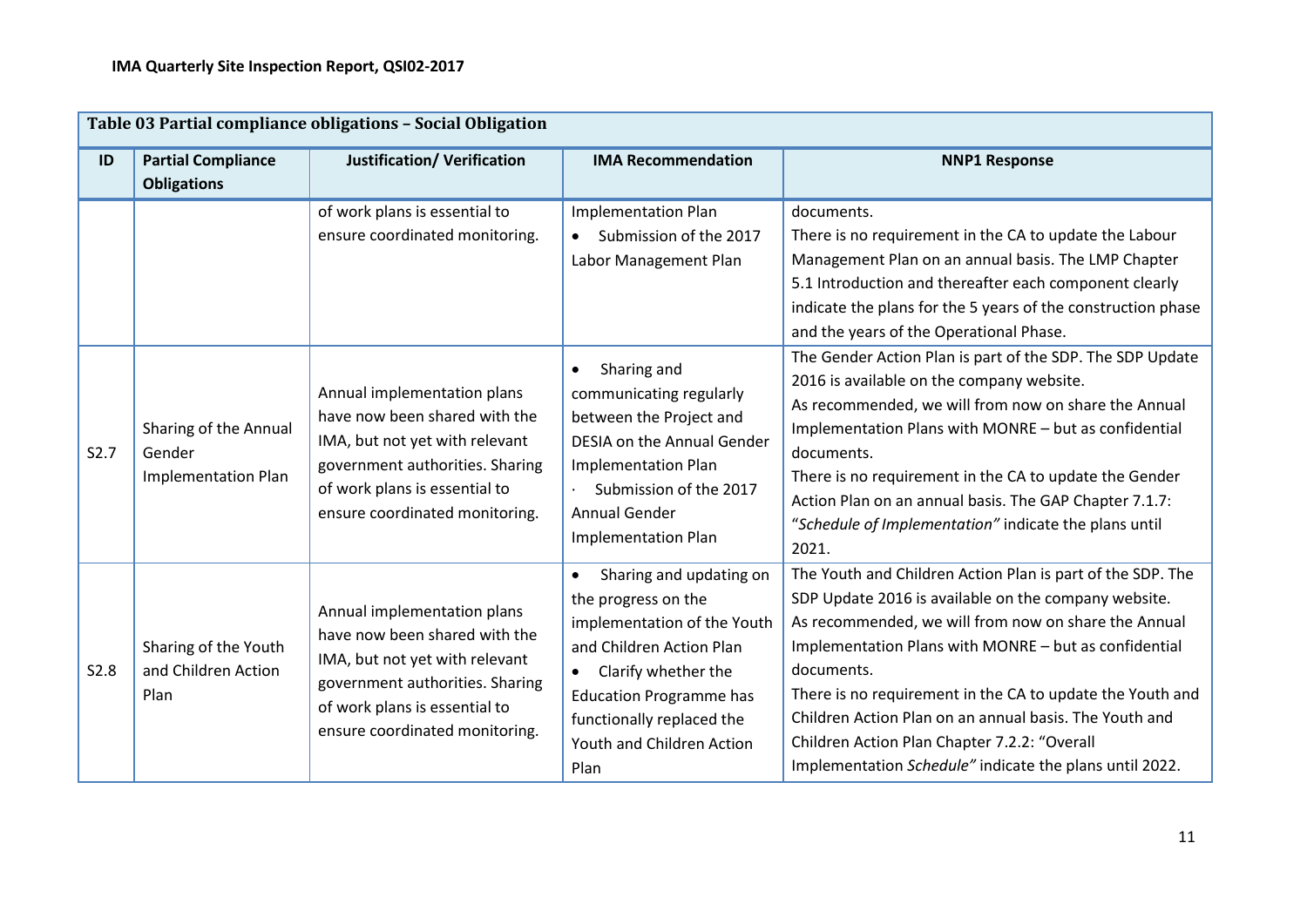|      | Table 03 Partial compliance obligations - Social Obligation   |                                                                                                                                                                                                      |                                                                                                                                                                                                                                                   |                                                                                                                                                                                                                                                                                                                                                                                                                                                                                     |  |  |
|------|---------------------------------------------------------------|------------------------------------------------------------------------------------------------------------------------------------------------------------------------------------------------------|---------------------------------------------------------------------------------------------------------------------------------------------------------------------------------------------------------------------------------------------------|-------------------------------------------------------------------------------------------------------------------------------------------------------------------------------------------------------------------------------------------------------------------------------------------------------------------------------------------------------------------------------------------------------------------------------------------------------------------------------------|--|--|
| ID   | <b>Partial Compliance</b><br><b>Obligations</b>               | <b>Justification/ Verification</b>                                                                                                                                                                   | <b>IMA Recommendation</b>                                                                                                                                                                                                                         | <b>NNP1 Response</b>                                                                                                                                                                                                                                                                                                                                                                                                                                                                |  |  |
|      |                                                               | of work plans is essential to<br>ensure coordinated monitoring.                                                                                                                                      | <b>Implementation Plan</b><br>Submission of the 2017<br>Labor Management Plan                                                                                                                                                                     | documents.<br>There is no requirement in the CA to update the Labour<br>Management Plan on an annual basis. The LMP Chapter<br>5.1 Introduction and thereafter each component clearly<br>indicate the plans for the 5 years of the construction phase<br>and the years of the Operational Phase.                                                                                                                                                                                    |  |  |
| S2.7 | Sharing of the Annual<br>Gender<br><b>Implementation Plan</b> | Annual implementation plans<br>have now been shared with the<br>IMA, but not yet with relevant<br>government authorities. Sharing<br>of work plans is essential to<br>ensure coordinated monitoring. | Sharing and<br>$\bullet$<br>communicating regularly<br>between the Project and<br><b>DESIA on the Annual Gender</b><br><b>Implementation Plan</b><br>Submission of the 2017<br><b>Annual Gender</b><br><b>Implementation Plan</b>                 | The Gender Action Plan is part of the SDP. The SDP Update<br>2016 is available on the company website.<br>As recommended, we will from now on share the Annual<br>Implementation Plans with MONRE - but as confidential<br>documents.<br>There is no requirement in the CA to update the Gender<br>Action Plan on an annual basis. The GAP Chapter 7.1.7:<br>"Schedule of Implementation" indicate the plans until<br>2021.                                                         |  |  |
| S2.8 | Sharing of the Youth<br>and Children Action<br>Plan           | Annual implementation plans<br>have now been shared with the<br>IMA, but not yet with relevant<br>government authorities. Sharing<br>of work plans is essential to<br>ensure coordinated monitoring. | Sharing and updating on<br>$\bullet$<br>the progress on the<br>implementation of the Youth<br>and Children Action Plan<br>Clarify whether the<br><b>Education Programme has</b><br>functionally replaced the<br>Youth and Children Action<br>Plan | The Youth and Children Action Plan is part of the SDP. The<br>SDP Update 2016 is available on the company website.<br>As recommended, we will from now on share the Annual<br>Implementation Plans with MONRE - but as confidential<br>documents.<br>There is no requirement in the CA to update the Youth and<br>Children Action Plan on an annual basis. The Youth and<br>Children Action Plan Chapter 7.2.2: "Overall<br>Implementation Schedule" indicate the plans until 2022. |  |  |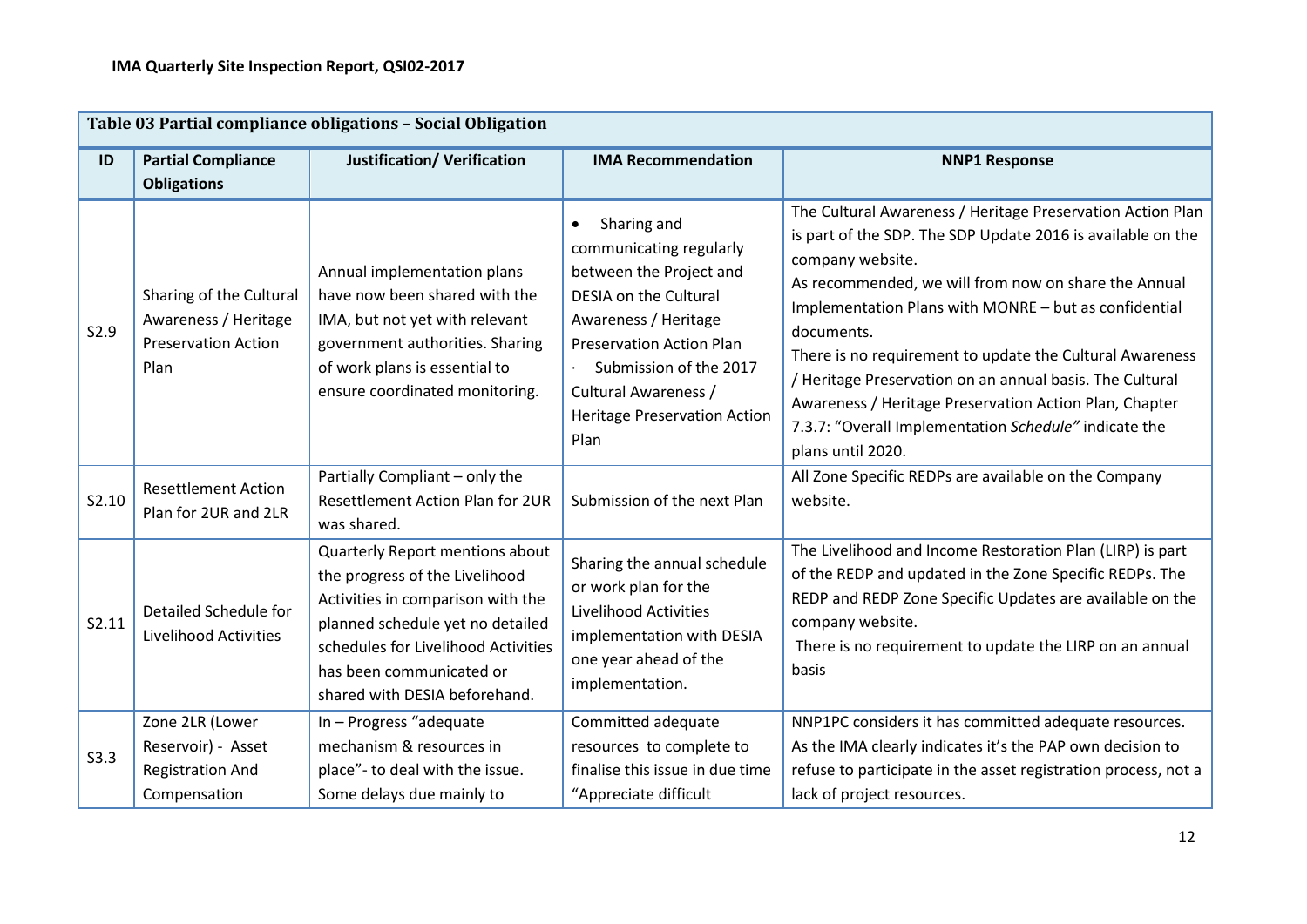|       | Table 03 Partial compliance obligations - Social Obligation                           |                                                                                                                                                                                                                                                |                                                                                                                                                                                                                                                               |                                                                                                                                                                                                                                                                                                                                                                                                                                                                                                                                              |  |  |
|-------|---------------------------------------------------------------------------------------|------------------------------------------------------------------------------------------------------------------------------------------------------------------------------------------------------------------------------------------------|---------------------------------------------------------------------------------------------------------------------------------------------------------------------------------------------------------------------------------------------------------------|----------------------------------------------------------------------------------------------------------------------------------------------------------------------------------------------------------------------------------------------------------------------------------------------------------------------------------------------------------------------------------------------------------------------------------------------------------------------------------------------------------------------------------------------|--|--|
| ID    | <b>Partial Compliance</b><br><b>Obligations</b>                                       | <b>Justification/ Verification</b>                                                                                                                                                                                                             | <b>IMA Recommendation</b>                                                                                                                                                                                                                                     | <b>NNP1 Response</b>                                                                                                                                                                                                                                                                                                                                                                                                                                                                                                                         |  |  |
| S2.9  | Sharing of the Cultural<br>Awareness / Heritage<br><b>Preservation Action</b><br>Plan | Annual implementation plans<br>have now been shared with the<br>IMA, but not yet with relevant<br>government authorities. Sharing<br>of work plans is essential to<br>ensure coordinated monitoring.                                           | Sharing and<br>communicating regularly<br>between the Project and<br><b>DESIA on the Cultural</b><br>Awareness / Heritage<br><b>Preservation Action Plan</b><br>Submission of the 2017<br>Cultural Awareness /<br><b>Heritage Preservation Action</b><br>Plan | The Cultural Awareness / Heritage Preservation Action Plan<br>is part of the SDP. The SDP Update 2016 is available on the<br>company website.<br>As recommended, we will from now on share the Annual<br>Implementation Plans with MONRE - but as confidential<br>documents.<br>There is no requirement to update the Cultural Awareness<br>/ Heritage Preservation on an annual basis. The Cultural<br>Awareness / Heritage Preservation Action Plan, Chapter<br>7.3.7: "Overall Implementation Schedule" indicate the<br>plans until 2020. |  |  |
| S2.10 | <b>Resettlement Action</b><br>Plan for 2UR and 2LR                                    | Partially Compliant - only the<br>Resettlement Action Plan for 2UR<br>was shared.                                                                                                                                                              | Submission of the next Plan                                                                                                                                                                                                                                   | All Zone Specific REDPs are available on the Company<br>website.                                                                                                                                                                                                                                                                                                                                                                                                                                                                             |  |  |
| S2.11 | Detailed Schedule for<br><b>Livelihood Activities</b>                                 | Quarterly Report mentions about<br>the progress of the Livelihood<br>Activities in comparison with the<br>planned schedule yet no detailed<br>schedules for Livelihood Activities<br>has been communicated or<br>shared with DESIA beforehand. | Sharing the annual schedule<br>or work plan for the<br>Livelihood Activities<br>implementation with DESIA<br>one year ahead of the<br>implementation.                                                                                                         | The Livelihood and Income Restoration Plan (LIRP) is part<br>of the REDP and updated in the Zone Specific REDPs. The<br>REDP and REDP Zone Specific Updates are available on the<br>company website.<br>There is no requirement to update the LIRP on an annual<br>basis                                                                                                                                                                                                                                                                     |  |  |
| S3.3  | Zone 2LR (Lower<br>Reservoir) - Asset<br><b>Registration And</b><br>Compensation      | In - Progress "adequate<br>mechanism & resources in<br>place"- to deal with the issue.<br>Some delays due mainly to                                                                                                                            | Committed adequate<br>resources to complete to<br>finalise this issue in due time<br>"Appreciate difficult                                                                                                                                                    | NNP1PC considers it has committed adequate resources.<br>As the IMA clearly indicates it's the PAP own decision to<br>refuse to participate in the asset registration process, not a<br>lack of project resources.                                                                                                                                                                                                                                                                                                                           |  |  |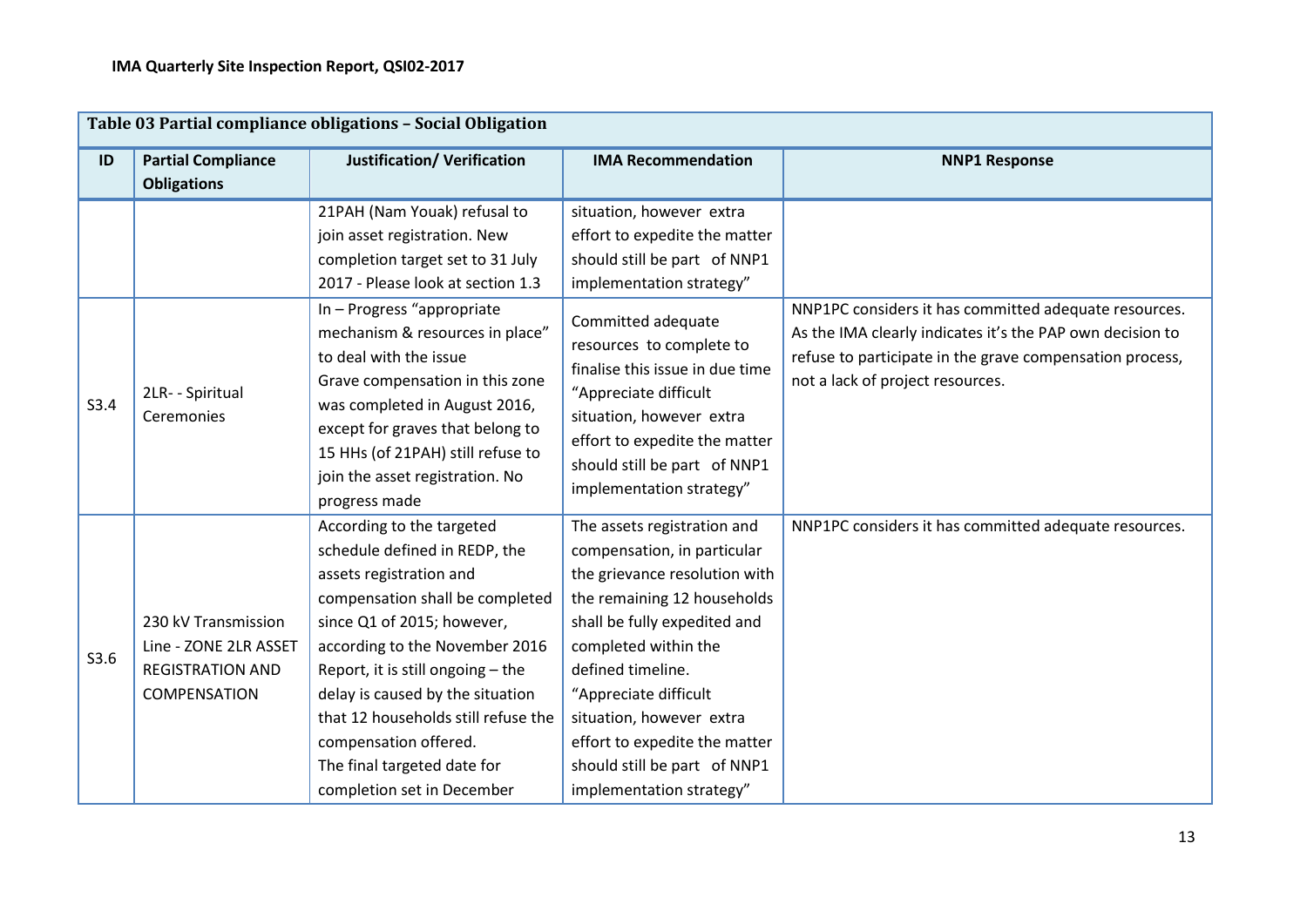|      | Table 03 Partial compliance obligations - Social Obligation                             |                                                                                                                                                                                                                                                                                                                                                                                                  |                                                                                                                                                                                                                                                                                                                                                           |                                                                                                                                                                                                                    |  |  |
|------|-----------------------------------------------------------------------------------------|--------------------------------------------------------------------------------------------------------------------------------------------------------------------------------------------------------------------------------------------------------------------------------------------------------------------------------------------------------------------------------------------------|-----------------------------------------------------------------------------------------------------------------------------------------------------------------------------------------------------------------------------------------------------------------------------------------------------------------------------------------------------------|--------------------------------------------------------------------------------------------------------------------------------------------------------------------------------------------------------------------|--|--|
| ID   | <b>Partial Compliance</b><br><b>Obligations</b>                                         | <b>Justification/ Verification</b>                                                                                                                                                                                                                                                                                                                                                               | <b>IMA Recommendation</b>                                                                                                                                                                                                                                                                                                                                 | <b>NNP1 Response</b>                                                                                                                                                                                               |  |  |
|      |                                                                                         | 21PAH (Nam Youak) refusal to<br>join asset registration. New<br>completion target set to 31 July<br>2017 - Please look at section 1.3                                                                                                                                                                                                                                                            | situation, however extra<br>effort to expedite the matter<br>should still be part of NNP1<br>implementation strategy"                                                                                                                                                                                                                                     |                                                                                                                                                                                                                    |  |  |
| S3.4 | 2LR- - Spiritual<br>Ceremonies                                                          | In - Progress "appropriate<br>mechanism & resources in place"<br>to deal with the issue<br>Grave compensation in this zone<br>was completed in August 2016,<br>except for graves that belong to<br>15 HHs (of 21PAH) still refuse to<br>join the asset registration. No<br>progress made                                                                                                         | Committed adequate<br>resources to complete to<br>finalise this issue in due time<br>"Appreciate difficult<br>situation, however extra<br>effort to expedite the matter<br>should still be part of NNP1<br>implementation strategy"                                                                                                                       | NNP1PC considers it has committed adequate resources.<br>As the IMA clearly indicates it's the PAP own decision to<br>refuse to participate in the grave compensation process,<br>not a lack of project resources. |  |  |
| S3.6 | 230 kV Transmission<br>Line - ZONE 2LR ASSET<br><b>REGISTRATION AND</b><br>COMPENSATION | According to the targeted<br>schedule defined in REDP, the<br>assets registration and<br>compensation shall be completed<br>since Q1 of 2015; however,<br>according to the November 2016<br>Report, it is still ongoing $-$ the<br>delay is caused by the situation<br>that 12 households still refuse the<br>compensation offered.<br>The final targeted date for<br>completion set in December | The assets registration and<br>compensation, in particular<br>the grievance resolution with<br>the remaining 12 households<br>shall be fully expedited and<br>completed within the<br>defined timeline.<br>"Appreciate difficult<br>situation, however extra<br>effort to expedite the matter<br>should still be part of NNP1<br>implementation strategy" | NNP1PC considers it has committed adequate resources.                                                                                                                                                              |  |  |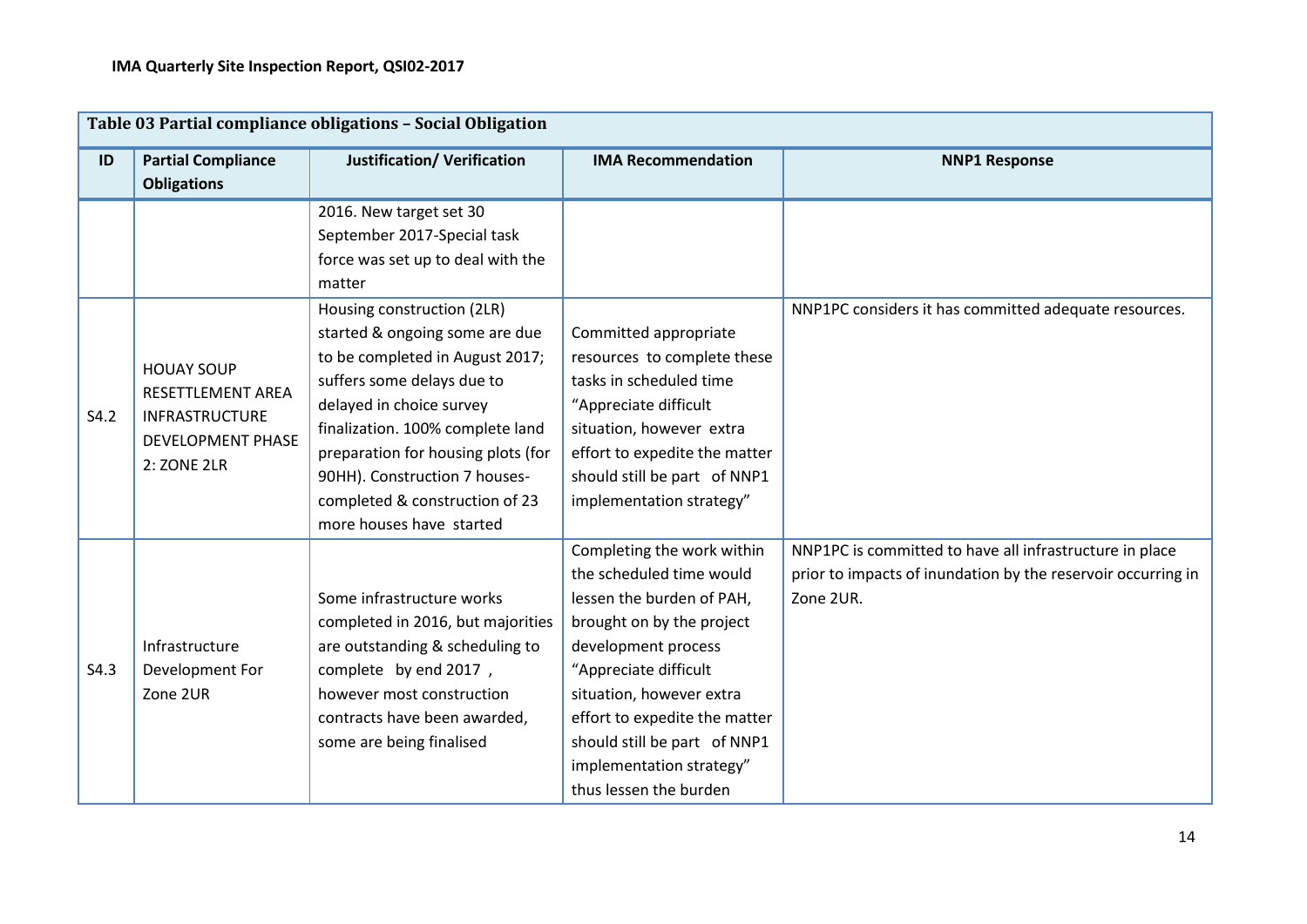| Table 03 Partial compliance obligations - Social Obligation |                           |                                    |                               |                                                              |  |
|-------------------------------------------------------------|---------------------------|------------------------------------|-------------------------------|--------------------------------------------------------------|--|
| ID                                                          | <b>Partial Compliance</b> | <b>Justification/ Verification</b> | <b>IMA Recommendation</b>     | <b>NNP1 Response</b>                                         |  |
|                                                             | <b>Obligations</b>        |                                    |                               |                                                              |  |
|                                                             |                           | 2016. New target set 30            |                               |                                                              |  |
|                                                             |                           | September 2017-Special task        |                               |                                                              |  |
|                                                             |                           | force was set up to deal with the  |                               |                                                              |  |
|                                                             |                           | matter                             |                               |                                                              |  |
|                                                             |                           | Housing construction (2LR)         |                               | NNP1PC considers it has committed adequate resources.        |  |
|                                                             |                           | started & ongoing some are due     | Committed appropriate         |                                                              |  |
|                                                             | <b>HOUAY SOUP</b>         | to be completed in August 2017;    | resources to complete these   |                                                              |  |
|                                                             | RESETTLEMENT AREA         | suffers some delays due to         | tasks in scheduled time       |                                                              |  |
| S4.2                                                        | <b>INFRASTRUCTURE</b>     | delayed in choice survey           | "Appreciate difficult         |                                                              |  |
|                                                             | <b>DEVELOPMENT PHASE</b>  | finalization. 100% complete land   | situation, however extra      |                                                              |  |
|                                                             | 2: ZONE 2LR               | preparation for housing plots (for | effort to expedite the matter |                                                              |  |
|                                                             |                           | 90HH). Construction 7 houses-      | should still be part of NNP1  |                                                              |  |
|                                                             |                           | completed & construction of 23     | implementation strategy"      |                                                              |  |
|                                                             |                           | more houses have started           |                               |                                                              |  |
|                                                             |                           |                                    | Completing the work within    | NNP1PC is committed to have all infrastructure in place      |  |
|                                                             |                           |                                    | the scheduled time would      | prior to impacts of inundation by the reservoir occurring in |  |
|                                                             |                           | Some infrastructure works          | lessen the burden of PAH,     | Zone 2UR.                                                    |  |
|                                                             |                           | completed in 2016, but majorities  | brought on by the project     |                                                              |  |
|                                                             | Infrastructure            | are outstanding & scheduling to    | development process           |                                                              |  |
| S4.3                                                        | Development For           | complete by end 2017,              | "Appreciate difficult         |                                                              |  |
|                                                             | Zone 2UR                  | however most construction          | situation, however extra      |                                                              |  |
|                                                             |                           | contracts have been awarded,       | effort to expedite the matter |                                                              |  |
|                                                             |                           | some are being finalised           | should still be part of NNP1  |                                                              |  |
|                                                             |                           |                                    | implementation strategy"      |                                                              |  |
|                                                             |                           |                                    | thus lessen the burden        |                                                              |  |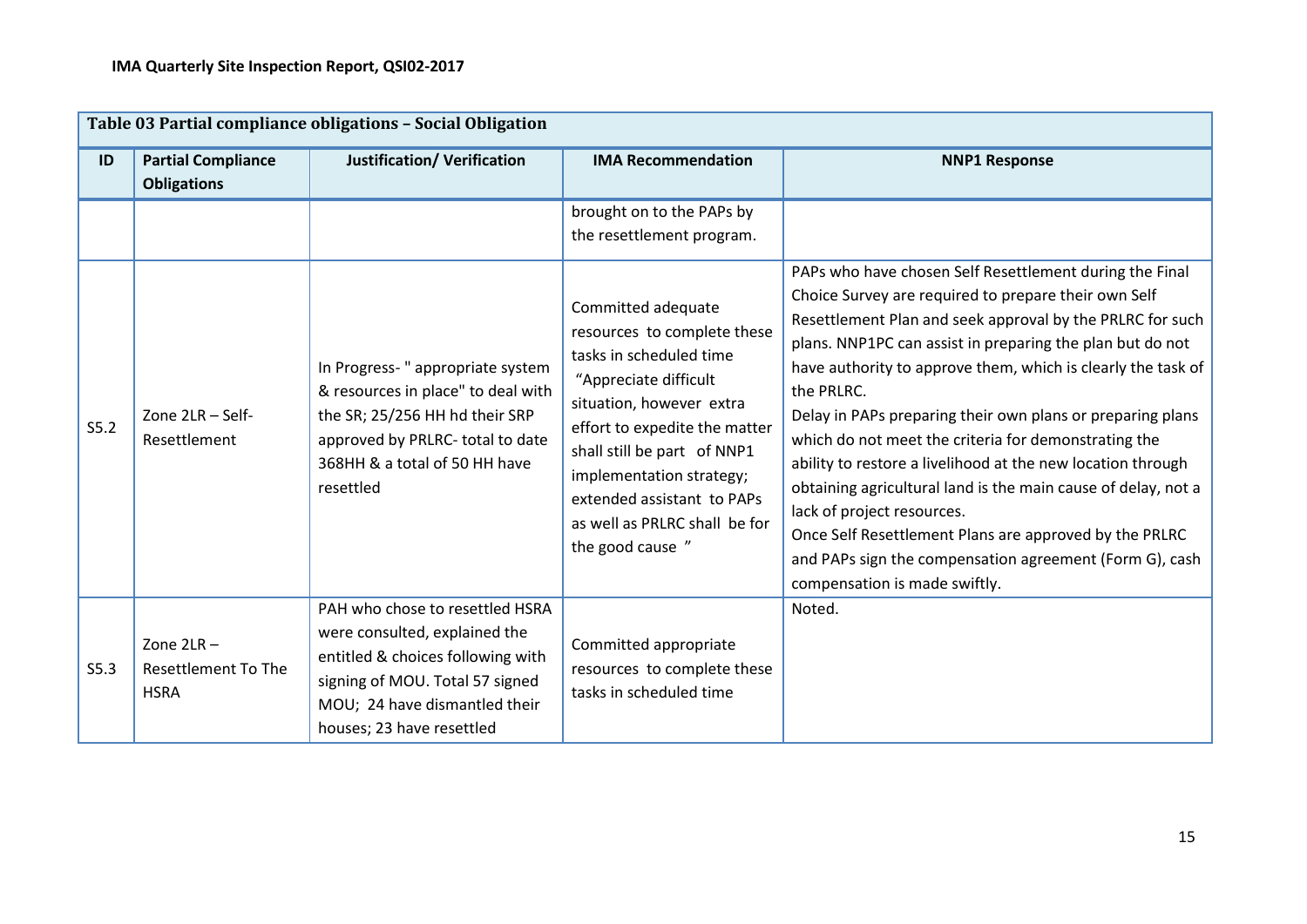|      |                                                           | Table 03 Partial compliance obligations - Social Obligation                                                                                                                                            |                                                                                                                                                                                                                                                                                                                  |                                                                                                                                                                                                                                                                                                                                                                                                                                                                                                                                                                                                                                                                                                                                                                   |
|------|-----------------------------------------------------------|--------------------------------------------------------------------------------------------------------------------------------------------------------------------------------------------------------|------------------------------------------------------------------------------------------------------------------------------------------------------------------------------------------------------------------------------------------------------------------------------------------------------------------|-------------------------------------------------------------------------------------------------------------------------------------------------------------------------------------------------------------------------------------------------------------------------------------------------------------------------------------------------------------------------------------------------------------------------------------------------------------------------------------------------------------------------------------------------------------------------------------------------------------------------------------------------------------------------------------------------------------------------------------------------------------------|
| ID   | <b>Partial Compliance</b><br><b>Obligations</b>           | <b>Justification/ Verification</b>                                                                                                                                                                     | <b>IMA Recommendation</b>                                                                                                                                                                                                                                                                                        | <b>NNP1 Response</b>                                                                                                                                                                                                                                                                                                                                                                                                                                                                                                                                                                                                                                                                                                                                              |
|      |                                                           |                                                                                                                                                                                                        | brought on to the PAPs by<br>the resettlement program.                                                                                                                                                                                                                                                           |                                                                                                                                                                                                                                                                                                                                                                                                                                                                                                                                                                                                                                                                                                                                                                   |
| S5.2 | Zone 2LR - Self-<br>Resettlement                          | In Progress-" appropriate system<br>& resources in place" to deal with<br>the SR; 25/256 HH hd their SRP<br>approved by PRLRC- total to date<br>368HH & a total of 50 HH have<br>resettled             | Committed adequate<br>resources to complete these<br>tasks in scheduled time<br>"Appreciate difficult<br>situation, however extra<br>effort to expedite the matter<br>shall still be part of NNP1<br>implementation strategy;<br>extended assistant to PAPs<br>as well as PRLRC shall be for<br>the good cause " | PAPs who have chosen Self Resettlement during the Final<br>Choice Survey are required to prepare their own Self<br>Resettlement Plan and seek approval by the PRLRC for such<br>plans. NNP1PC can assist in preparing the plan but do not<br>have authority to approve them, which is clearly the task of<br>the PRLRC.<br>Delay in PAPs preparing their own plans or preparing plans<br>which do not meet the criteria for demonstrating the<br>ability to restore a livelihood at the new location through<br>obtaining agricultural land is the main cause of delay, not a<br>lack of project resources.<br>Once Self Resettlement Plans are approved by the PRLRC<br>and PAPs sign the compensation agreement (Form G), cash<br>compensation is made swiftly. |
| S5.3 | Zone $2LR -$<br><b>Resettlement To The</b><br><b>HSRA</b> | PAH who chose to resettled HSRA<br>were consulted, explained the<br>entitled & choices following with<br>signing of MOU. Total 57 signed<br>MOU; 24 have dismantled their<br>houses; 23 have resettled | Committed appropriate<br>resources to complete these<br>tasks in scheduled time                                                                                                                                                                                                                                  | Noted.                                                                                                                                                                                                                                                                                                                                                                                                                                                                                                                                                                                                                                                                                                                                                            |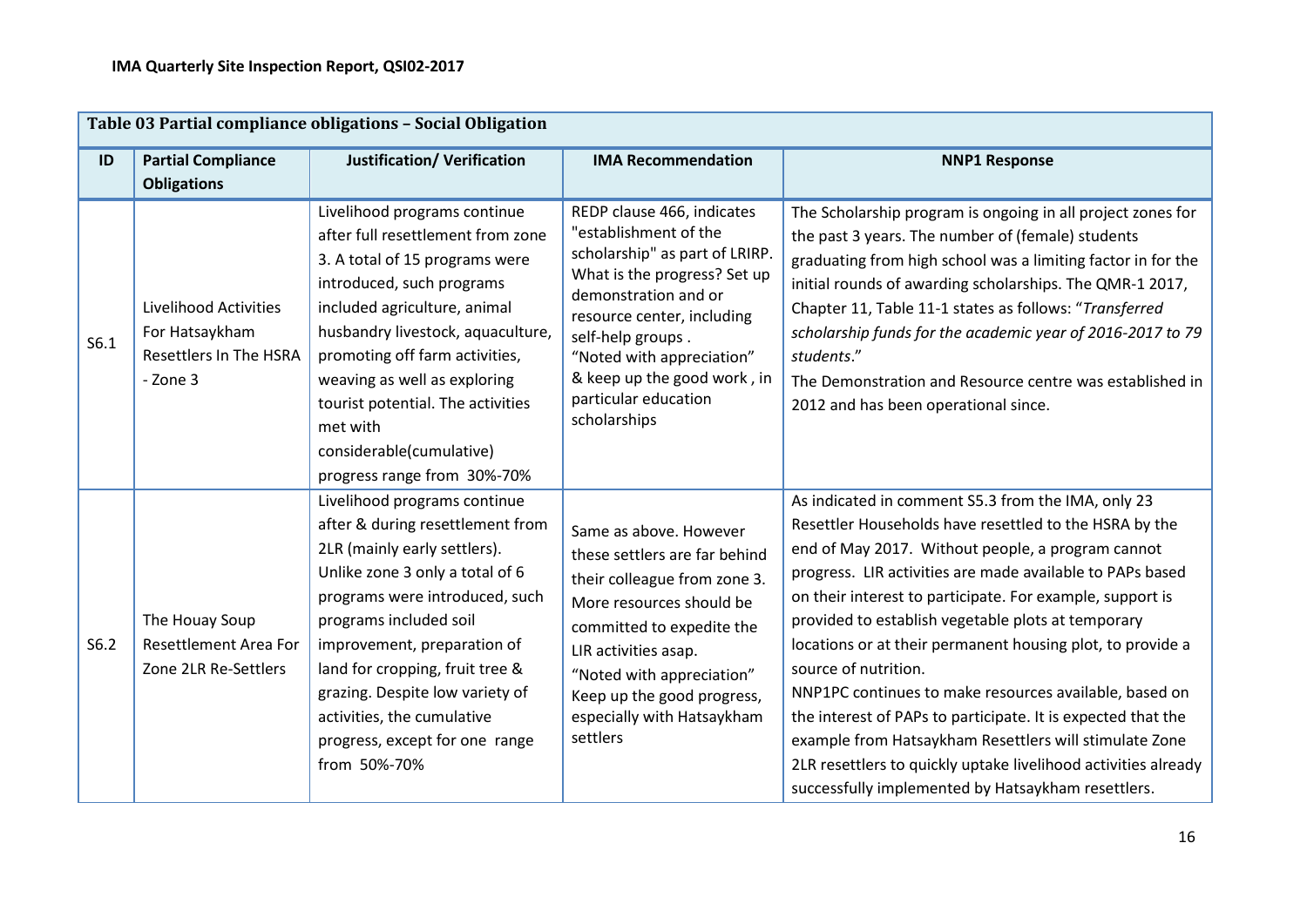|      |                                                                                             | Table 03 Partial compliance obligations - Social Obligation                                                                                                                                                                                                                                                                                                                          |                                                                                                                                                                                                                                                                                                      |                                                                                                                                                                                                                                                                                                                                                                                                                                                                                                                                                                                                                                                                                                                                                     |
|------|---------------------------------------------------------------------------------------------|--------------------------------------------------------------------------------------------------------------------------------------------------------------------------------------------------------------------------------------------------------------------------------------------------------------------------------------------------------------------------------------|------------------------------------------------------------------------------------------------------------------------------------------------------------------------------------------------------------------------------------------------------------------------------------------------------|-----------------------------------------------------------------------------------------------------------------------------------------------------------------------------------------------------------------------------------------------------------------------------------------------------------------------------------------------------------------------------------------------------------------------------------------------------------------------------------------------------------------------------------------------------------------------------------------------------------------------------------------------------------------------------------------------------------------------------------------------------|
| ID   | <b>Partial Compliance</b><br><b>Obligations</b>                                             | <b>Justification/ Verification</b>                                                                                                                                                                                                                                                                                                                                                   | <b>IMA Recommendation</b>                                                                                                                                                                                                                                                                            | <b>NNP1 Response</b>                                                                                                                                                                                                                                                                                                                                                                                                                                                                                                                                                                                                                                                                                                                                |
| S6.1 | <b>Livelihood Activities</b><br>For Hatsaykham<br><b>Resettlers In The HSRA</b><br>- Zone 3 | Livelihood programs continue<br>after full resettlement from zone<br>3. A total of 15 programs were<br>introduced, such programs<br>included agriculture, animal<br>husbandry livestock, aquaculture,<br>promoting off farm activities,<br>weaving as well as exploring<br>tourist potential. The activities<br>met with<br>considerable(cumulative)<br>progress range from 30%-70%  | REDP clause 466, indicates<br>"establishment of the<br>scholarship" as part of LRIRP.<br>What is the progress? Set up<br>demonstration and or<br>resource center, including<br>self-help groups.<br>"Noted with appreciation"<br>& keep up the good work, in<br>particular education<br>scholarships | The Scholarship program is ongoing in all project zones for<br>the past 3 years. The number of (female) students<br>graduating from high school was a limiting factor in for the<br>initial rounds of awarding scholarships. The QMR-1 2017,<br>Chapter 11, Table 11-1 states as follows: "Transferred<br>scholarship funds for the academic year of 2016-2017 to 79<br>students."<br>The Demonstration and Resource centre was established in<br>2012 and has been operational since.                                                                                                                                                                                                                                                              |
| S6.2 | The Houay Soup<br>Resettlement Area For<br>Zone 2LR Re-Settlers                             | Livelihood programs continue<br>after & during resettlement from<br>2LR (mainly early settlers).<br>Unlike zone 3 only a total of 6<br>programs were introduced, such<br>programs included soil<br>improvement, preparation of<br>land for cropping, fruit tree &<br>grazing. Despite low variety of<br>activities, the cumulative<br>progress, except for one range<br>from 50%-70% | Same as above. However<br>these settlers are far behind<br>their colleague from zone 3.<br>More resources should be<br>committed to expedite the<br>LIR activities asap.<br>"Noted with appreciation"<br>Keep up the good progress,<br>especially with Hatsaykham<br>settlers                        | As indicated in comment S5.3 from the IMA, only 23<br>Resettler Households have resettled to the HSRA by the<br>end of May 2017. Without people, a program cannot<br>progress. LIR activities are made available to PAPs based<br>on their interest to participate. For example, support is<br>provided to establish vegetable plots at temporary<br>locations or at their permanent housing plot, to provide a<br>source of nutrition.<br>NNP1PC continues to make resources available, based on<br>the interest of PAPs to participate. It is expected that the<br>example from Hatsaykham Resettlers will stimulate Zone<br>2LR resettlers to quickly uptake livelihood activities already<br>successfully implemented by Hatsaykham resettlers. |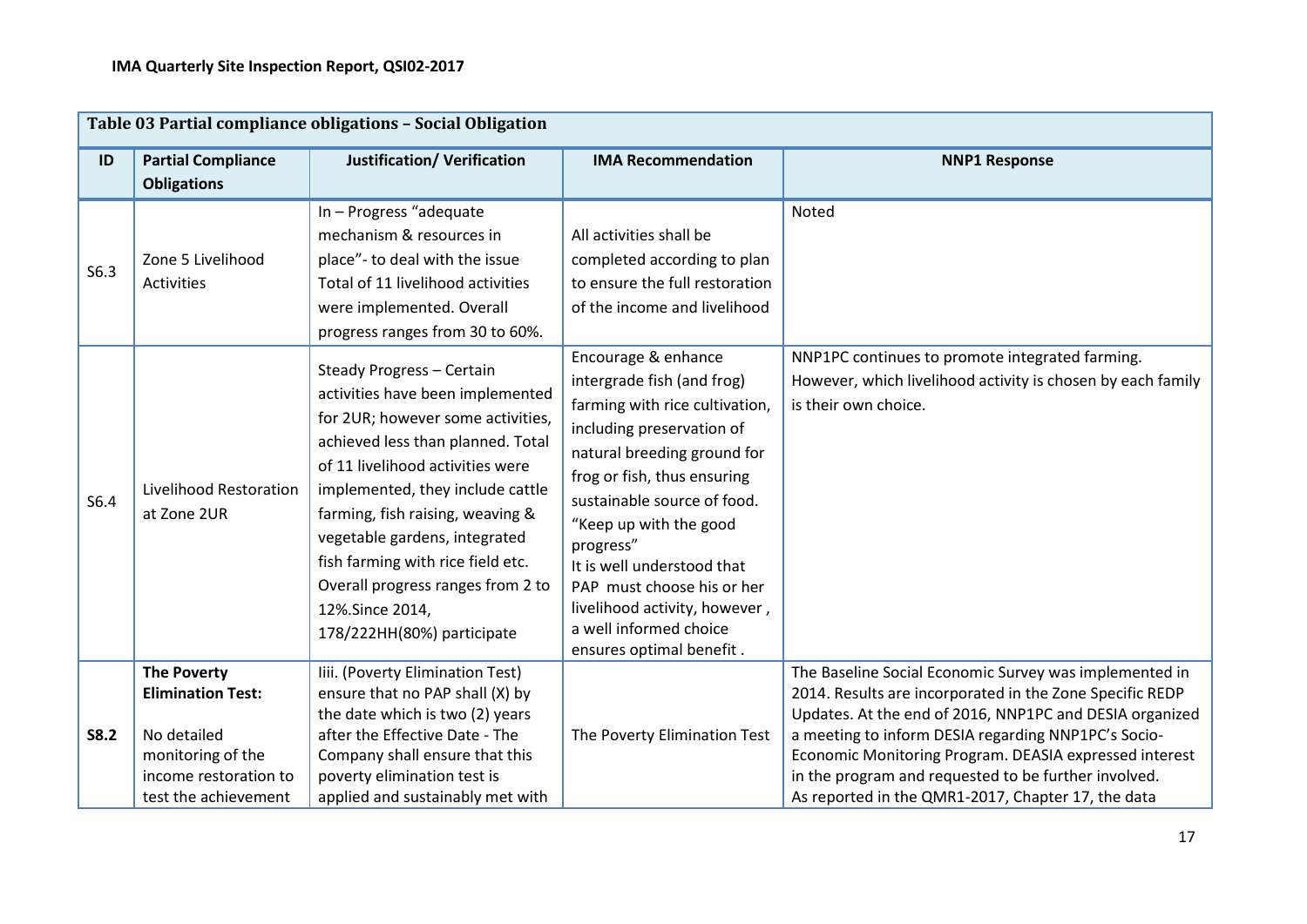|             | Table 03 Partial compliance obligations - Social Obligation                                                                         |                                                                                                                                                                                                                                                                                                                                                                                                                 |                                                                                                                                                                                                                                                                                                                                                                                                         |                                                                                                                                                                                                                                                                                                                                                                                                              |  |  |
|-------------|-------------------------------------------------------------------------------------------------------------------------------------|-----------------------------------------------------------------------------------------------------------------------------------------------------------------------------------------------------------------------------------------------------------------------------------------------------------------------------------------------------------------------------------------------------------------|---------------------------------------------------------------------------------------------------------------------------------------------------------------------------------------------------------------------------------------------------------------------------------------------------------------------------------------------------------------------------------------------------------|--------------------------------------------------------------------------------------------------------------------------------------------------------------------------------------------------------------------------------------------------------------------------------------------------------------------------------------------------------------------------------------------------------------|--|--|
| ID          | <b>Partial Compliance</b><br><b>Obligations</b>                                                                                     | <b>Justification/ Verification</b>                                                                                                                                                                                                                                                                                                                                                                              | <b>IMA Recommendation</b>                                                                                                                                                                                                                                                                                                                                                                               | <b>NNP1 Response</b>                                                                                                                                                                                                                                                                                                                                                                                         |  |  |
| S6.3        | Zone 5 Livelihood<br><b>Activities</b>                                                                                              | In - Progress "adequate<br>mechanism & resources in<br>place"- to deal with the issue<br>Total of 11 livelihood activities<br>were implemented. Overall<br>progress ranges from 30 to 60%.                                                                                                                                                                                                                      | All activities shall be<br>completed according to plan<br>to ensure the full restoration<br>of the income and livelihood                                                                                                                                                                                                                                                                                | Noted                                                                                                                                                                                                                                                                                                                                                                                                        |  |  |
| S6.4        | Livelihood Restoration<br>at Zone 2UR                                                                                               | Steady Progress - Certain<br>activities have been implemented<br>for 2UR; however some activities,<br>achieved less than planned. Total<br>of 11 livelihood activities were<br>implemented, they include cattle<br>farming, fish raising, weaving &<br>vegetable gardens, integrated<br>fish farming with rice field etc.<br>Overall progress ranges from 2 to<br>12%.Since 2014,<br>178/222HH(80%) participate | Encourage & enhance<br>intergrade fish (and frog)<br>farming with rice cultivation,<br>including preservation of<br>natural breeding ground for<br>frog or fish, thus ensuring<br>sustainable source of food.<br>"Keep up with the good<br>progress"<br>It is well understood that<br>PAP must choose his or her<br>livelihood activity, however,<br>a well informed choice<br>ensures optimal benefit. | NNP1PC continues to promote integrated farming.<br>However, which livelihood activity is chosen by each family<br>is their own choice.                                                                                                                                                                                                                                                                       |  |  |
| <b>S8.2</b> | <b>The Poverty</b><br><b>Elimination Test:</b><br>No detailed<br>monitoring of the<br>income restoration to<br>test the achievement | liii. (Poverty Elimination Test)<br>ensure that no PAP shall (X) by<br>the date which is two (2) years<br>after the Effective Date - The<br>Company shall ensure that this<br>poverty elimination test is<br>applied and sustainably met with                                                                                                                                                                   | The Poverty Elimination Test                                                                                                                                                                                                                                                                                                                                                                            | The Baseline Social Economic Survey was implemented in<br>2014. Results are incorporated in the Zone Specific REDP<br>Updates. At the end of 2016, NNP1PC and DESIA organized<br>a meeting to inform DESIA regarding NNP1PC's Socio-<br>Economic Monitoring Program. DEASIA expressed interest<br>in the program and requested to be further involved.<br>As reported in the QMR1-2017, Chapter 17, the data |  |  |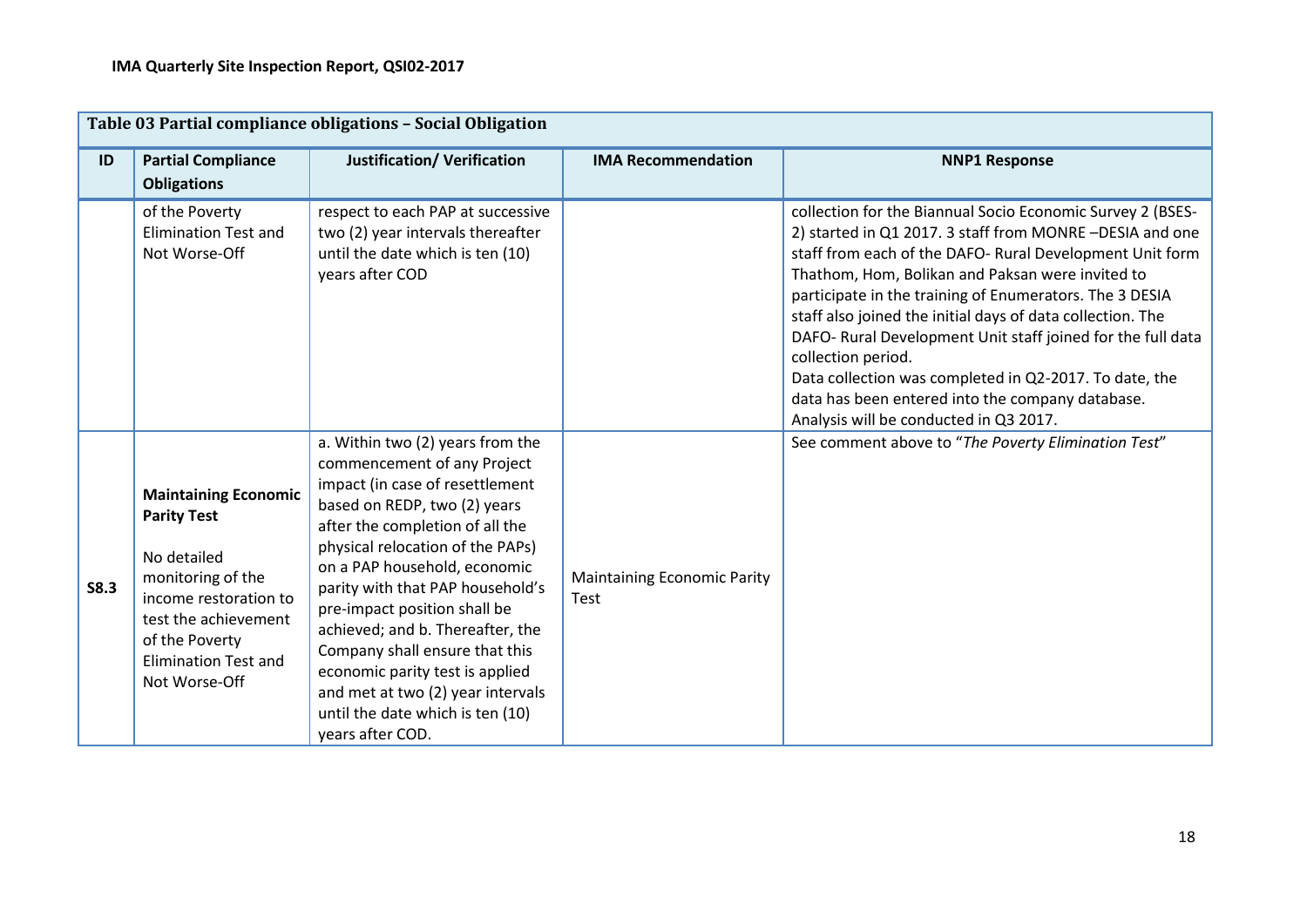| Table 03 Partial compliance obligations - Social Obligation |                                                                                                                                                                                                          |                                                                                                                                                                                                                                                                                                                                                                                                                                                                                                                     |                                                   |                                                                                                                                                                                                                                                                                                                                                                                                                                                                                                                                                                                                             |  |
|-------------------------------------------------------------|----------------------------------------------------------------------------------------------------------------------------------------------------------------------------------------------------------|---------------------------------------------------------------------------------------------------------------------------------------------------------------------------------------------------------------------------------------------------------------------------------------------------------------------------------------------------------------------------------------------------------------------------------------------------------------------------------------------------------------------|---------------------------------------------------|-------------------------------------------------------------------------------------------------------------------------------------------------------------------------------------------------------------------------------------------------------------------------------------------------------------------------------------------------------------------------------------------------------------------------------------------------------------------------------------------------------------------------------------------------------------------------------------------------------------|--|
| ID                                                          | <b>Partial Compliance</b><br><b>Obligations</b>                                                                                                                                                          | <b>Justification/ Verification</b>                                                                                                                                                                                                                                                                                                                                                                                                                                                                                  | <b>IMA Recommendation</b>                         | <b>NNP1 Response</b>                                                                                                                                                                                                                                                                                                                                                                                                                                                                                                                                                                                        |  |
|                                                             | of the Poverty<br><b>Elimination Test and</b><br>Not Worse-Off                                                                                                                                           | respect to each PAP at successive<br>two (2) year intervals thereafter<br>until the date which is ten (10)<br>years after COD                                                                                                                                                                                                                                                                                                                                                                                       |                                                   | collection for the Biannual Socio Economic Survey 2 (BSES-<br>2) started in Q1 2017. 3 staff from MONRE-DESIA and one<br>staff from each of the DAFO- Rural Development Unit form<br>Thathom, Hom, Bolikan and Paksan were invited to<br>participate in the training of Enumerators. The 3 DESIA<br>staff also joined the initial days of data collection. The<br>DAFO- Rural Development Unit staff joined for the full data<br>collection period.<br>Data collection was completed in Q2-2017. To date, the<br>data has been entered into the company database.<br>Analysis will be conducted in Q3 2017. |  |
| <b>S8.3</b>                                                 | <b>Maintaining Economic</b><br><b>Parity Test</b><br>No detailed<br>monitoring of the<br>income restoration to<br>test the achievement<br>of the Poverty<br><b>Elimination Test and</b><br>Not Worse-Off | a. Within two (2) years from the<br>commencement of any Project<br>impact (in case of resettlement<br>based on REDP, two (2) years<br>after the completion of all the<br>physical relocation of the PAPs)<br>on a PAP household, economic<br>parity with that PAP household's<br>pre-impact position shall be<br>achieved; and b. Thereafter, the<br>Company shall ensure that this<br>economic parity test is applied<br>and met at two (2) year intervals<br>until the date which is ten (10)<br>years after COD. | <b>Maintaining Economic Parity</b><br><b>Test</b> | See comment above to "The Poverty Elimination Test"                                                                                                                                                                                                                                                                                                                                                                                                                                                                                                                                                         |  |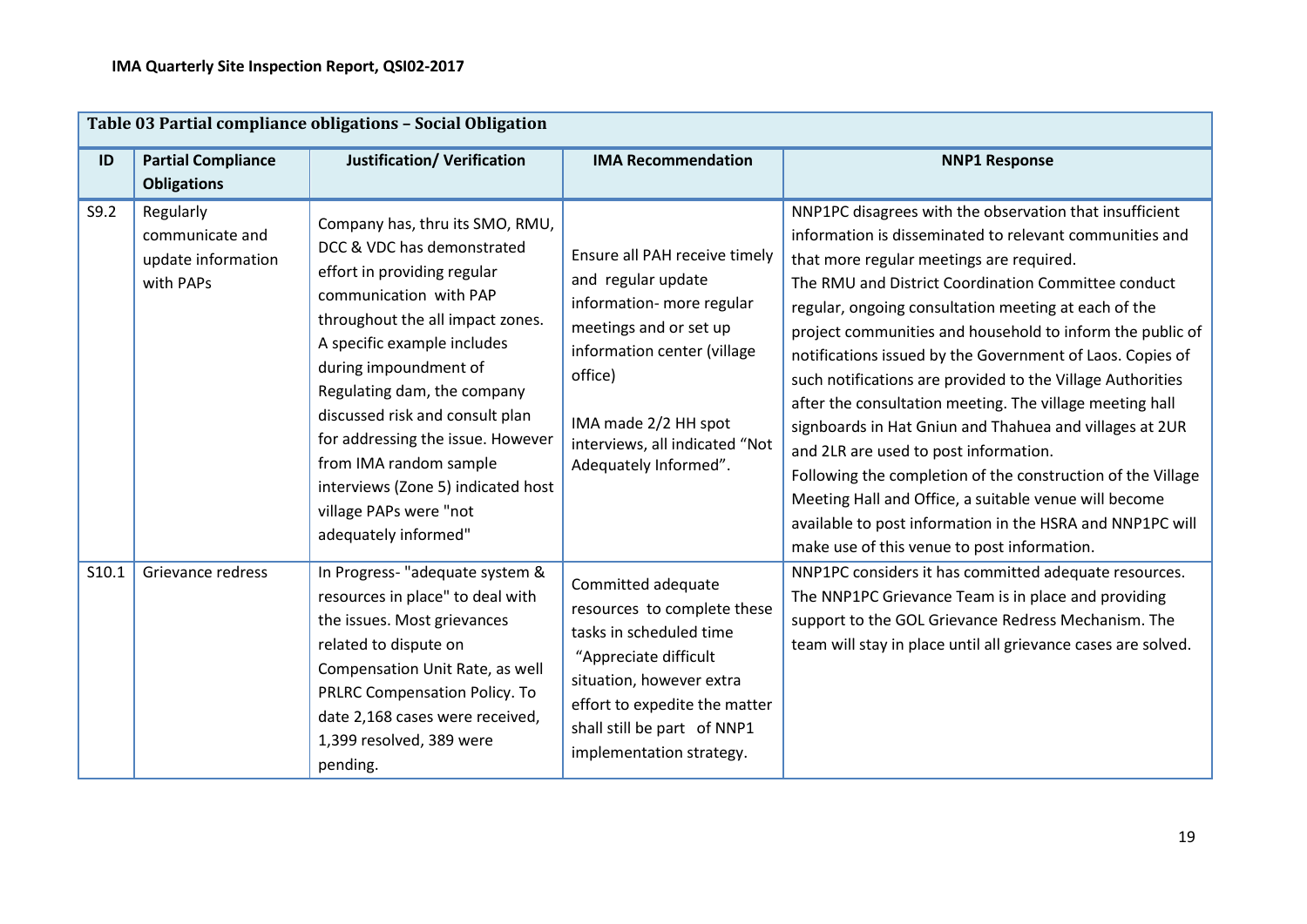|       |                                                                 | Table 03 Partial compliance obligations - Social Obligation                                                                                                                                                                                                                                                                                                                                                                                 |                                                                                                                                                                                                                                         |                                                                                                                                                                                                                                                                                                                                                                                                                                                                                                                                                                                                                                                                                                                                                                                                                                                                           |
|-------|-----------------------------------------------------------------|---------------------------------------------------------------------------------------------------------------------------------------------------------------------------------------------------------------------------------------------------------------------------------------------------------------------------------------------------------------------------------------------------------------------------------------------|-----------------------------------------------------------------------------------------------------------------------------------------------------------------------------------------------------------------------------------------|---------------------------------------------------------------------------------------------------------------------------------------------------------------------------------------------------------------------------------------------------------------------------------------------------------------------------------------------------------------------------------------------------------------------------------------------------------------------------------------------------------------------------------------------------------------------------------------------------------------------------------------------------------------------------------------------------------------------------------------------------------------------------------------------------------------------------------------------------------------------------|
| ID    | <b>Partial Compliance</b><br><b>Obligations</b>                 | <b>Justification/ Verification</b>                                                                                                                                                                                                                                                                                                                                                                                                          | <b>IMA Recommendation</b>                                                                                                                                                                                                               | <b>NNP1 Response</b>                                                                                                                                                                                                                                                                                                                                                                                                                                                                                                                                                                                                                                                                                                                                                                                                                                                      |
| S9.2  | Regularly<br>communicate and<br>update information<br>with PAPs | Company has, thru its SMO, RMU,<br>DCC & VDC has demonstrated<br>effort in providing regular<br>communication with PAP<br>throughout the all impact zones.<br>A specific example includes<br>during impoundment of<br>Regulating dam, the company<br>discussed risk and consult plan<br>for addressing the issue. However<br>from IMA random sample<br>interviews (Zone 5) indicated host<br>village PAPs were "not<br>adequately informed" | Ensure all PAH receive timely<br>and regular update<br>information- more regular<br>meetings and or set up<br>information center (village<br>office)<br>IMA made 2/2 HH spot<br>interviews, all indicated "Not<br>Adequately Informed". | NNP1PC disagrees with the observation that insufficient<br>information is disseminated to relevant communities and<br>that more regular meetings are required.<br>The RMU and District Coordination Committee conduct<br>regular, ongoing consultation meeting at each of the<br>project communities and household to inform the public of<br>notifications issued by the Government of Laos. Copies of<br>such notifications are provided to the Village Authorities<br>after the consultation meeting. The village meeting hall<br>signboards in Hat Gniun and Thahuea and villages at 2UR<br>and 2LR are used to post information.<br>Following the completion of the construction of the Village<br>Meeting Hall and Office, a suitable venue will become<br>available to post information in the HSRA and NNP1PC will<br>make use of this venue to post information. |
| S10.1 | Grievance redress                                               | In Progress- "adequate system &<br>resources in place" to deal with<br>the issues. Most grievances<br>related to dispute on<br>Compensation Unit Rate, as well<br>PRLRC Compensation Policy. To<br>date 2,168 cases were received,<br>1,399 resolved, 389 were<br>pending.                                                                                                                                                                  | Committed adequate<br>resources to complete these<br>tasks in scheduled time<br>"Appreciate difficult<br>situation, however extra<br>effort to expedite the matter<br>shall still be part of NNP1<br>implementation strategy.           | NNP1PC considers it has committed adequate resources.<br>The NNP1PC Grievance Team is in place and providing<br>support to the GOL Grievance Redress Mechanism. The<br>team will stay in place until all grievance cases are solved.                                                                                                                                                                                                                                                                                                                                                                                                                                                                                                                                                                                                                                      |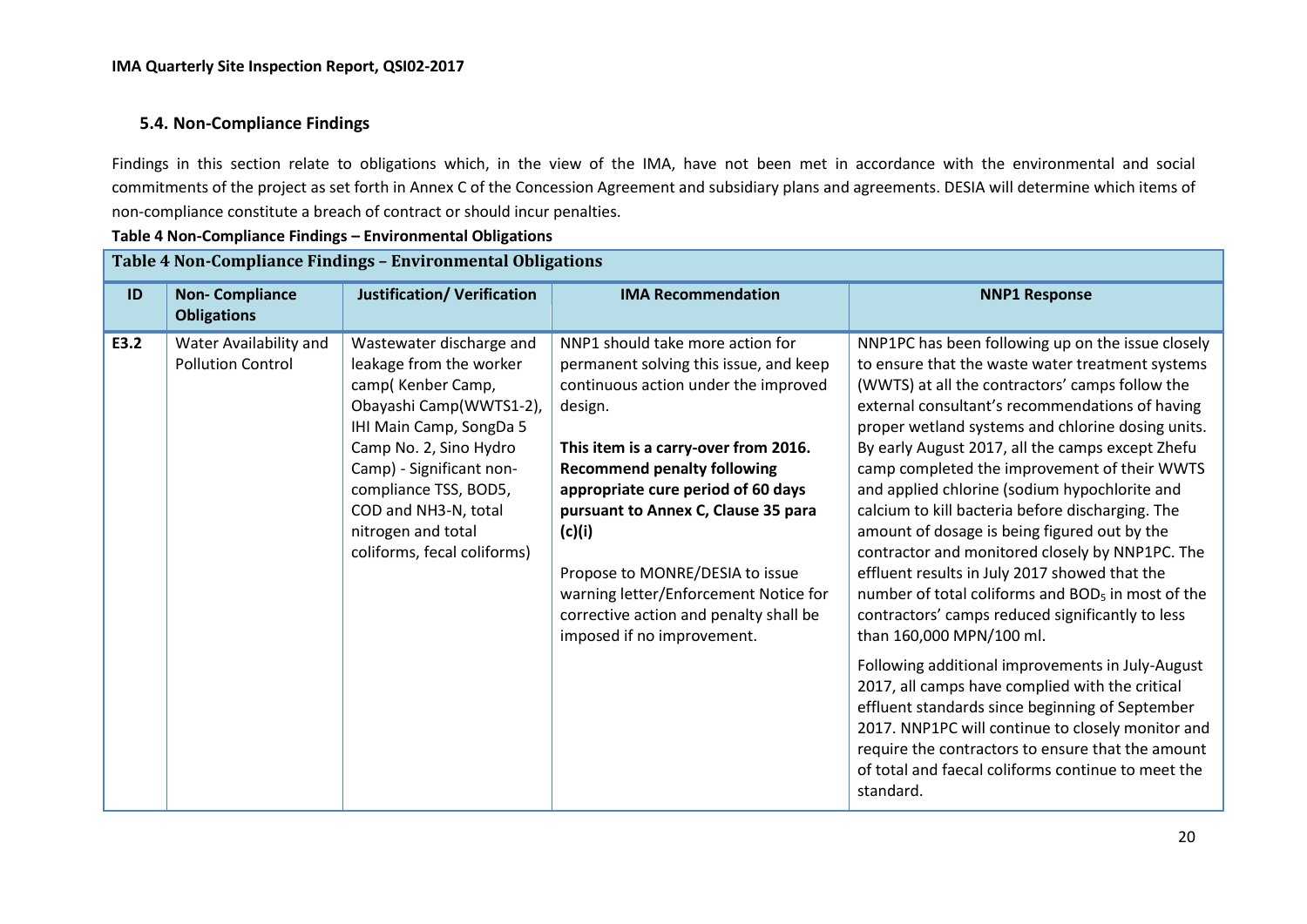#### **5.4. Non-Compliance Findings**

Findings in this section relate to obligations which, in the view of the IMA, have not been met in accordance with the environmental and social commitments of the project as set forth in Annex C of the Concession Agreement and subsidiary plans and agreements. DESIA will determine which items of non-compliance constitute a breach of contract or should incur penalties.

**Table 4 Non-Compliance Findings – Environmental Obligations** 

|      |                                                    | Table 4 Non-Compliance Findings - Environmental Obligations                                                                                                                                                                                                                                |                                                                                                                                                                                                                                                                                                                                                                                                                                                        |                                                                                                                                                                                                                                                                                                                                                                                                                                                                                                                                                                                                                                                                                                                                                                                                                                                                                                                                                                                                                                                                                                                       |
|------|----------------------------------------------------|--------------------------------------------------------------------------------------------------------------------------------------------------------------------------------------------------------------------------------------------------------------------------------------------|--------------------------------------------------------------------------------------------------------------------------------------------------------------------------------------------------------------------------------------------------------------------------------------------------------------------------------------------------------------------------------------------------------------------------------------------------------|-----------------------------------------------------------------------------------------------------------------------------------------------------------------------------------------------------------------------------------------------------------------------------------------------------------------------------------------------------------------------------------------------------------------------------------------------------------------------------------------------------------------------------------------------------------------------------------------------------------------------------------------------------------------------------------------------------------------------------------------------------------------------------------------------------------------------------------------------------------------------------------------------------------------------------------------------------------------------------------------------------------------------------------------------------------------------------------------------------------------------|
| ID   | <b>Non-Compliance</b><br><b>Obligations</b>        | <b>Justification/ Verification</b>                                                                                                                                                                                                                                                         | <b>IMA Recommendation</b>                                                                                                                                                                                                                                                                                                                                                                                                                              | <b>NNP1 Response</b>                                                                                                                                                                                                                                                                                                                                                                                                                                                                                                                                                                                                                                                                                                                                                                                                                                                                                                                                                                                                                                                                                                  |
| E3.2 | Water Availability and<br><b>Pollution Control</b> | Wastewater discharge and<br>leakage from the worker<br>camp(Kenber Camp,<br>Obayashi Camp(WWTS1-2),<br>IHI Main Camp, SongDa 5<br>Camp No. 2, Sino Hydro<br>Camp) - Significant non-<br>compliance TSS, BOD5,<br>COD and NH3-N, total<br>nitrogen and total<br>coliforms, fecal coliforms) | NNP1 should take more action for<br>permanent solving this issue, and keep<br>continuous action under the improved<br>design.<br>This item is a carry-over from 2016.<br><b>Recommend penalty following</b><br>appropriate cure period of 60 days<br>pursuant to Annex C, Clause 35 para<br>(c)(i)<br>Propose to MONRE/DESIA to issue<br>warning letter/Enforcement Notice for<br>corrective action and penalty shall be<br>imposed if no improvement. | NNP1PC has been following up on the issue closely<br>to ensure that the waste water treatment systems<br>(WWTS) at all the contractors' camps follow the<br>external consultant's recommendations of having<br>proper wetland systems and chlorine dosing units.<br>By early August 2017, all the camps except Zhefu<br>camp completed the improvement of their WWTS<br>and applied chlorine (sodium hypochlorite and<br>calcium to kill bacteria before discharging. The<br>amount of dosage is being figured out by the<br>contractor and monitored closely by NNP1PC. The<br>effluent results in July 2017 showed that the<br>number of total coliforms and BOD <sub>5</sub> in most of the<br>contractors' camps reduced significantly to less<br>than 160,000 MPN/100 ml.<br>Following additional improvements in July-August<br>2017, all camps have complied with the critical<br>effluent standards since beginning of September<br>2017. NNP1PC will continue to closely monitor and<br>require the contractors to ensure that the amount<br>of total and faecal coliforms continue to meet the<br>standard. |
|      |                                                    |                                                                                                                                                                                                                                                                                            |                                                                                                                                                                                                                                                                                                                                                                                                                                                        |                                                                                                                                                                                                                                                                                                                                                                                                                                                                                                                                                                                                                                                                                                                                                                                                                                                                                                                                                                                                                                                                                                                       |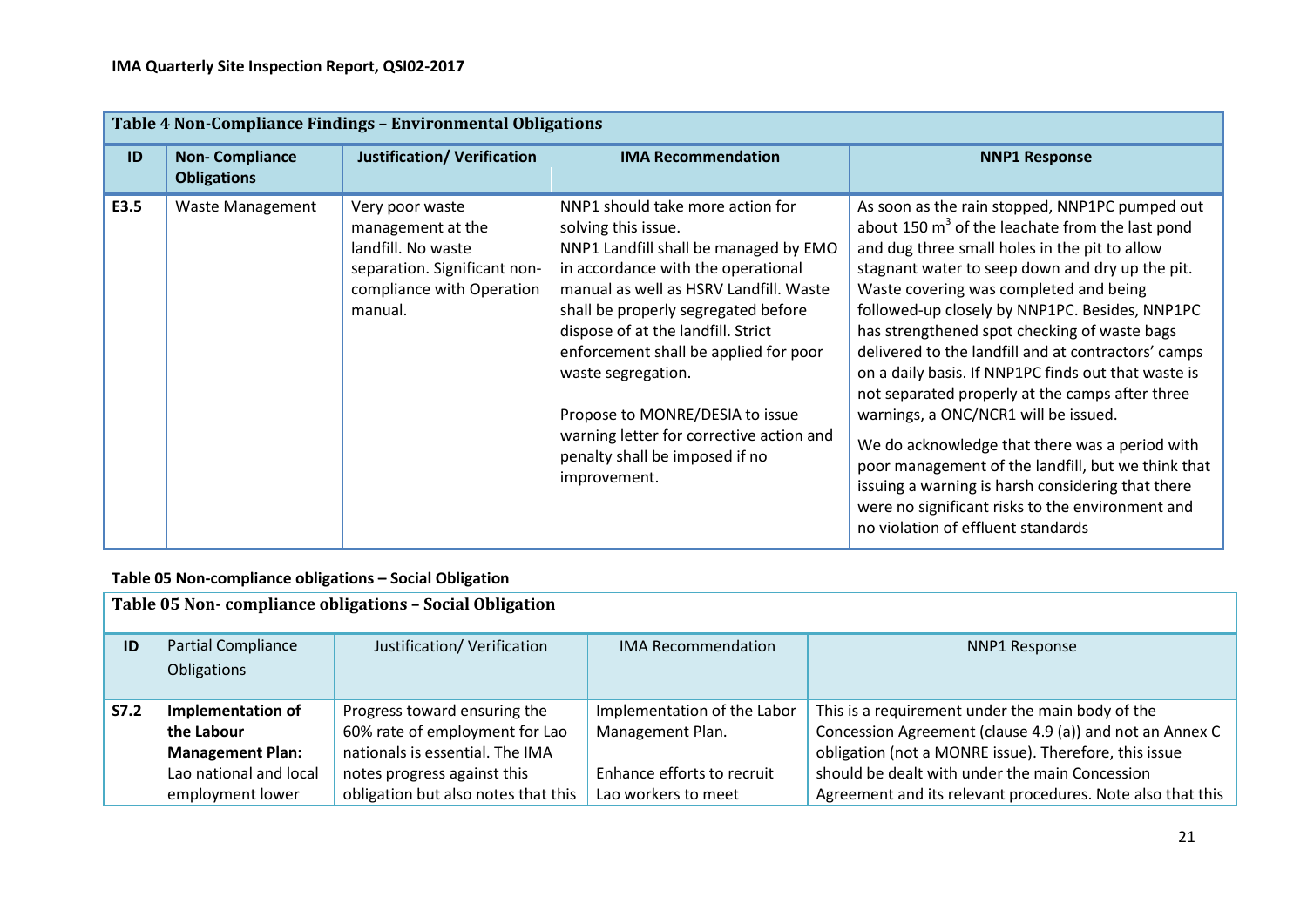|      | Table 4 Non-Compliance Findings - Environmental Obligations |                                                                                                                                    |                                                                                                                                                                                                                                                                                                                                                                                                                                                               |                                                                                                                                                                                                                                                                                                                                                                                                                                                                                                                                                                                                                                                                                                                                                                                                                     |  |  |  |  |
|------|-------------------------------------------------------------|------------------------------------------------------------------------------------------------------------------------------------|---------------------------------------------------------------------------------------------------------------------------------------------------------------------------------------------------------------------------------------------------------------------------------------------------------------------------------------------------------------------------------------------------------------------------------------------------------------|---------------------------------------------------------------------------------------------------------------------------------------------------------------------------------------------------------------------------------------------------------------------------------------------------------------------------------------------------------------------------------------------------------------------------------------------------------------------------------------------------------------------------------------------------------------------------------------------------------------------------------------------------------------------------------------------------------------------------------------------------------------------------------------------------------------------|--|--|--|--|
| ID   | <b>Non-Compliance</b><br><b>Obligations</b>                 | <b>Justification/ Verification</b>                                                                                                 | <b>IMA Recommendation</b>                                                                                                                                                                                                                                                                                                                                                                                                                                     | <b>NNP1 Response</b>                                                                                                                                                                                                                                                                                                                                                                                                                                                                                                                                                                                                                                                                                                                                                                                                |  |  |  |  |
| E3.5 | <b>Waste Management</b>                                     | Very poor waste<br>management at the<br>landfill. No waste<br>separation. Significant non-<br>compliance with Operation<br>manual. | NNP1 should take more action for<br>solving this issue.<br>NNP1 Landfill shall be managed by EMO<br>in accordance with the operational<br>manual as well as HSRV Landfill. Waste<br>shall be properly segregated before<br>dispose of at the landfill. Strict<br>enforcement shall be applied for poor<br>waste segregation.<br>Propose to MONRE/DESIA to issue<br>warning letter for corrective action and<br>penalty shall be imposed if no<br>improvement. | As soon as the rain stopped, NNP1PC pumped out<br>about 150 $m3$ of the leachate from the last pond<br>and dug three small holes in the pit to allow<br>stagnant water to seep down and dry up the pit.<br>Waste covering was completed and being<br>followed-up closely by NNP1PC. Besides, NNP1PC<br>has strengthened spot checking of waste bags<br>delivered to the landfill and at contractors' camps<br>on a daily basis. If NNP1PC finds out that waste is<br>not separated properly at the camps after three<br>warnings, a ONC/NCR1 will be issued.<br>We do acknowledge that there was a period with<br>poor management of the landfill, but we think that<br>issuing a warning is harsh considering that there<br>were no significant risks to the environment and<br>no violation of effluent standards |  |  |  |  |

## **Table 05 Non-compliance obligations – Social Obligation**

|             | Table 05 Non-compliance obligations - Social Obligation    |                                     |                             |                                                            |  |  |  |  |  |
|-------------|------------------------------------------------------------|-------------------------------------|-----------------------------|------------------------------------------------------------|--|--|--|--|--|
| ID          | <b>Partial Compliance</b><br>Obligations                   | Justification/ Verification         | <b>IMA Recommendation</b>   | <b>NNP1 Response</b>                                       |  |  |  |  |  |
| <b>S7.2</b> | <b>Implementation of</b>                                   | Progress toward ensuring the        | Implementation of the Labor | This is a requirement under the main body of the           |  |  |  |  |  |
|             | the Labour                                                 | 60% rate of employment for Lao      | Management Plan.            | Concession Agreement (clause 4.9 (a)) and not an Annex C   |  |  |  |  |  |
|             | nationals is essential. The IMA<br><b>Management Plan:</b> |                                     |                             | obligation (not a MONRE issue). Therefore, this issue      |  |  |  |  |  |
|             | Lao national and local                                     | notes progress against this         | Enhance efforts to recruit  | should be dealt with under the main Concession             |  |  |  |  |  |
|             | employment lower                                           | obligation but also notes that this | Lao workers to meet         | Agreement and its relevant procedures. Note also that this |  |  |  |  |  |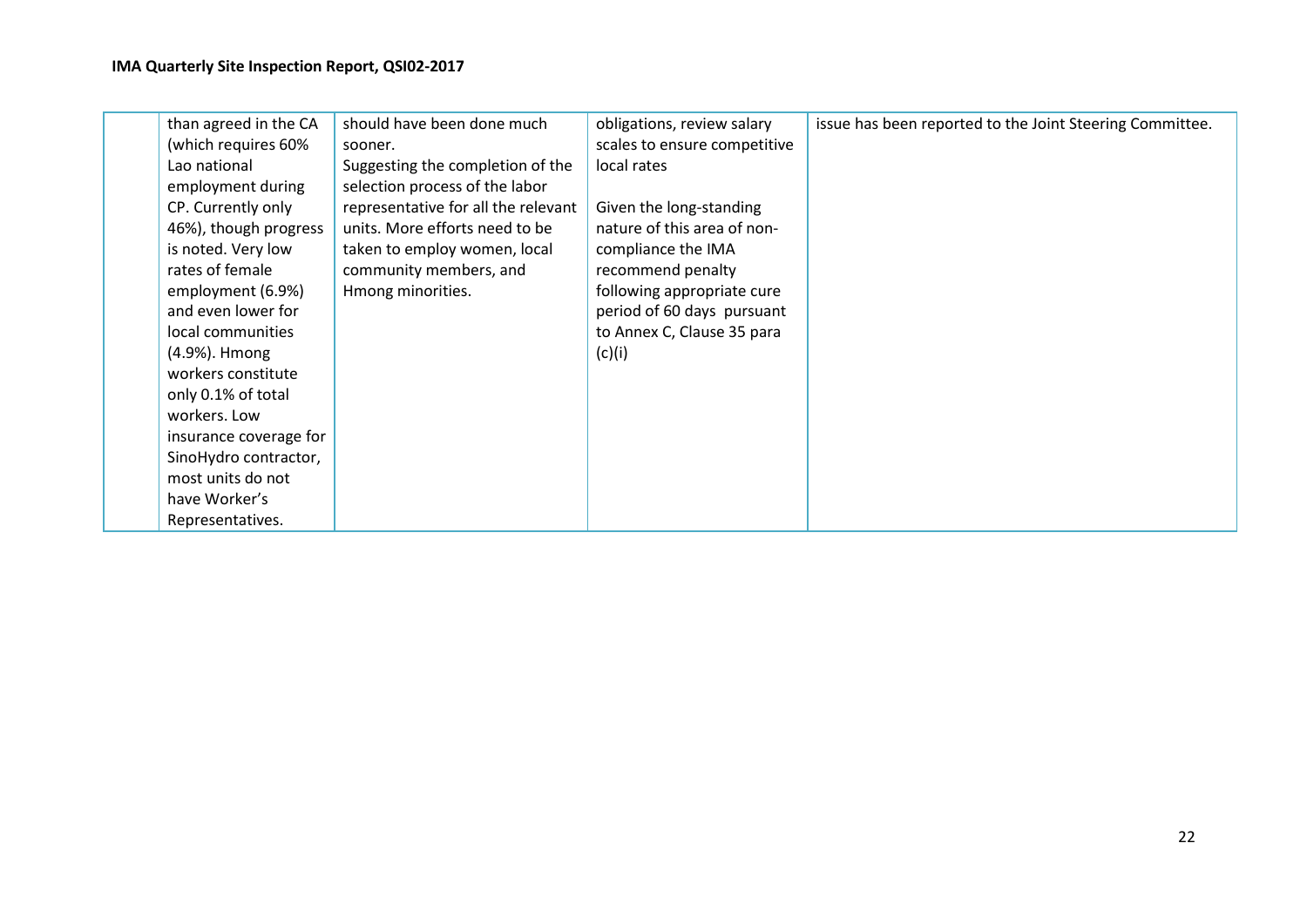| than agreed in the CA  | should have been done much          | obligations, review salary   | issue has been reported to the Joint Steering Committee. |
|------------------------|-------------------------------------|------------------------------|----------------------------------------------------------|
| (which requires 60%)   | sooner.                             | scales to ensure competitive |                                                          |
| Lao national           | Suggesting the completion of the    | local rates                  |                                                          |
| employment during      | selection process of the labor      |                              |                                                          |
| CP. Currently only     | representative for all the relevant | Given the long-standing      |                                                          |
| 46%), though progress  | units. More efforts need to be      | nature of this area of non-  |                                                          |
| is noted. Very low     | taken to employ women, local        | compliance the IMA           |                                                          |
| rates of female        | community members, and              | recommend penalty            |                                                          |
| employment (6.9%)      | Hmong minorities.                   | following appropriate cure   |                                                          |
| and even lower for     |                                     | period of 60 days pursuant   |                                                          |
| local communities      |                                     | to Annex C, Clause 35 para   |                                                          |
| (4.9%). Hmong          |                                     | (c)(i)                       |                                                          |
| workers constitute     |                                     |                              |                                                          |
| only 0.1% of total     |                                     |                              |                                                          |
| workers. Low           |                                     |                              |                                                          |
| insurance coverage for |                                     |                              |                                                          |
| SinoHydro contractor,  |                                     |                              |                                                          |
| most units do not      |                                     |                              |                                                          |
| have Worker's          |                                     |                              |                                                          |
| Representatives.       |                                     |                              |                                                          |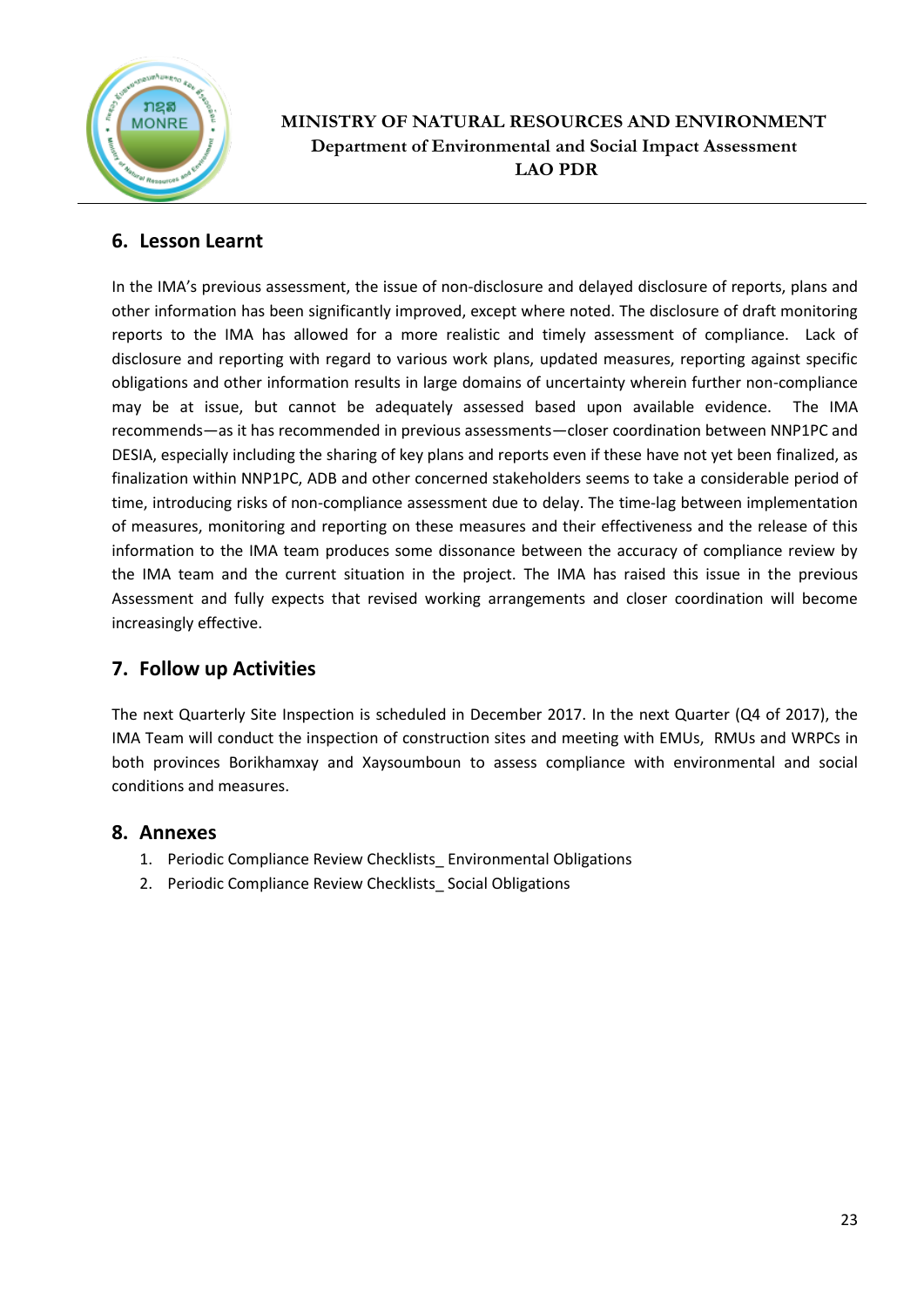

## **MINISTRY OF NATURAL RESOURCES AND ENVIRONMENT Department of Environmental and Social Impact Assessment LAO PDR**

## **6. Lesson Learnt**

In the IMA's previous assessment, the issue of non-disclosure and delayed disclosure of reports, plans and other information has been significantly improved, except where noted. The disclosure of draft monitoring reports to the IMA has allowed for a more realistic and timely assessment of compliance. Lack of disclosure and reporting with regard to various work plans, updated measures, reporting against specific obligations and other information results in large domains of uncertainty wherein further non-compliance may be at issue, but cannot be adequately assessed based upon available evidence. The IMA recommends—as it has recommended in previous assessments—closer coordination between NNP1PC and DESIA, especially including the sharing of key plans and reports even if these have not yet been finalized, as finalization within NNP1PC, ADB and other concerned stakeholders seems to take a considerable period of time, introducing risks of non-compliance assessment due to delay. The time-lag between implementation of measures, monitoring and reporting on these measures and their effectiveness and the release of this information to the IMA team produces some dissonance between the accuracy of compliance review by the IMA team and the current situation in the project. The IMA has raised this issue in the previous Assessment and fully expects that revised working arrangements and closer coordination will become increasingly effective.

## **7. Follow up Activities**

The next Quarterly Site Inspection is scheduled in December 2017. In the next Quarter (Q4 of 2017), the IMA Team will conduct the inspection of construction sites and meeting with EMUs, RMUs and WRPCs in both provinces Borikhamxay and Xaysoumboun to assess compliance with environmental and social conditions and measures.

### **8. Annexes**

- 1. Periodic Compliance Review Checklists Environmental Obligations
- 2. Periodic Compliance Review Checklists Social Obligations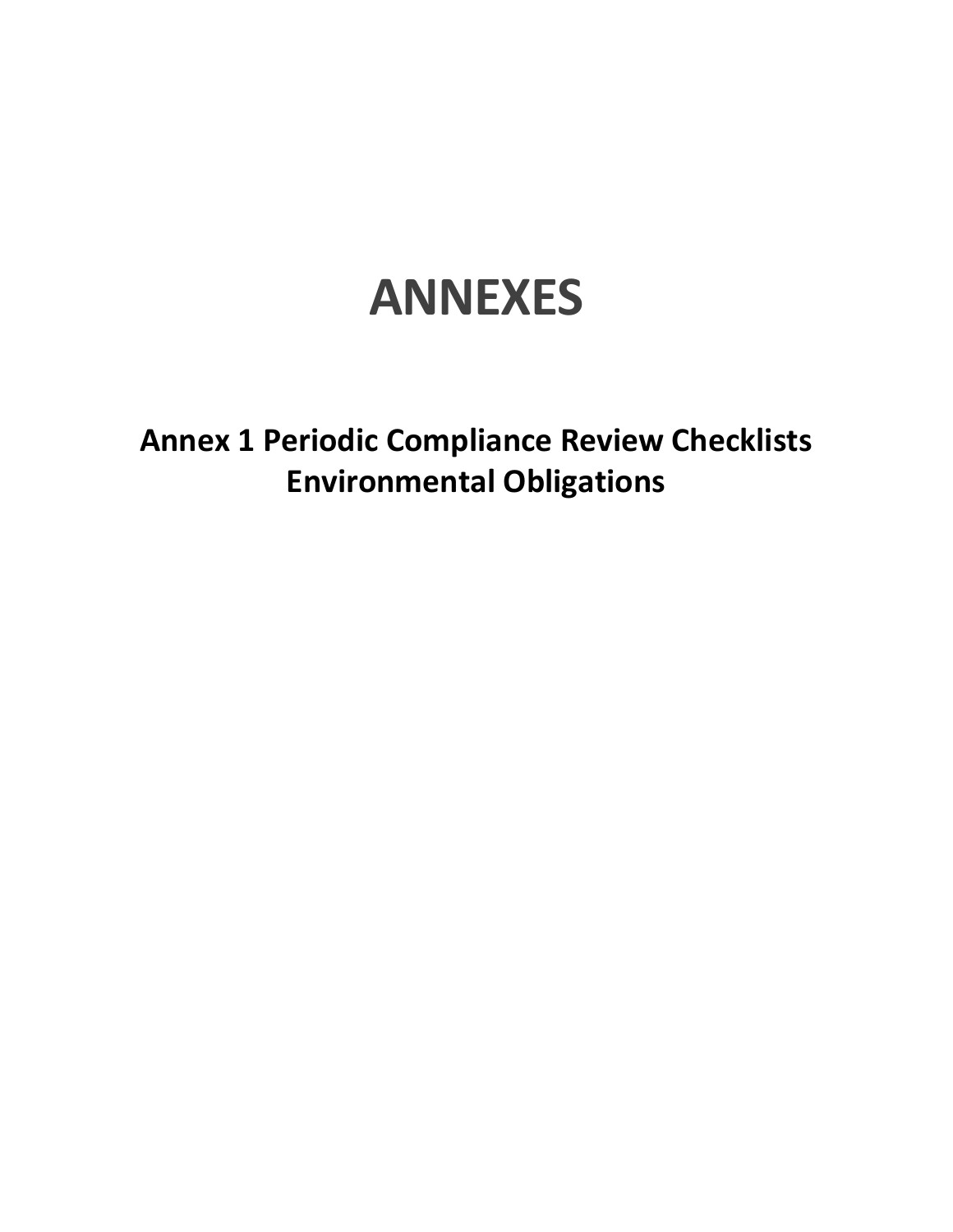# **ANNEXES**

**Annex 1 Periodic Compliance Review Checklists Environmental Obligations**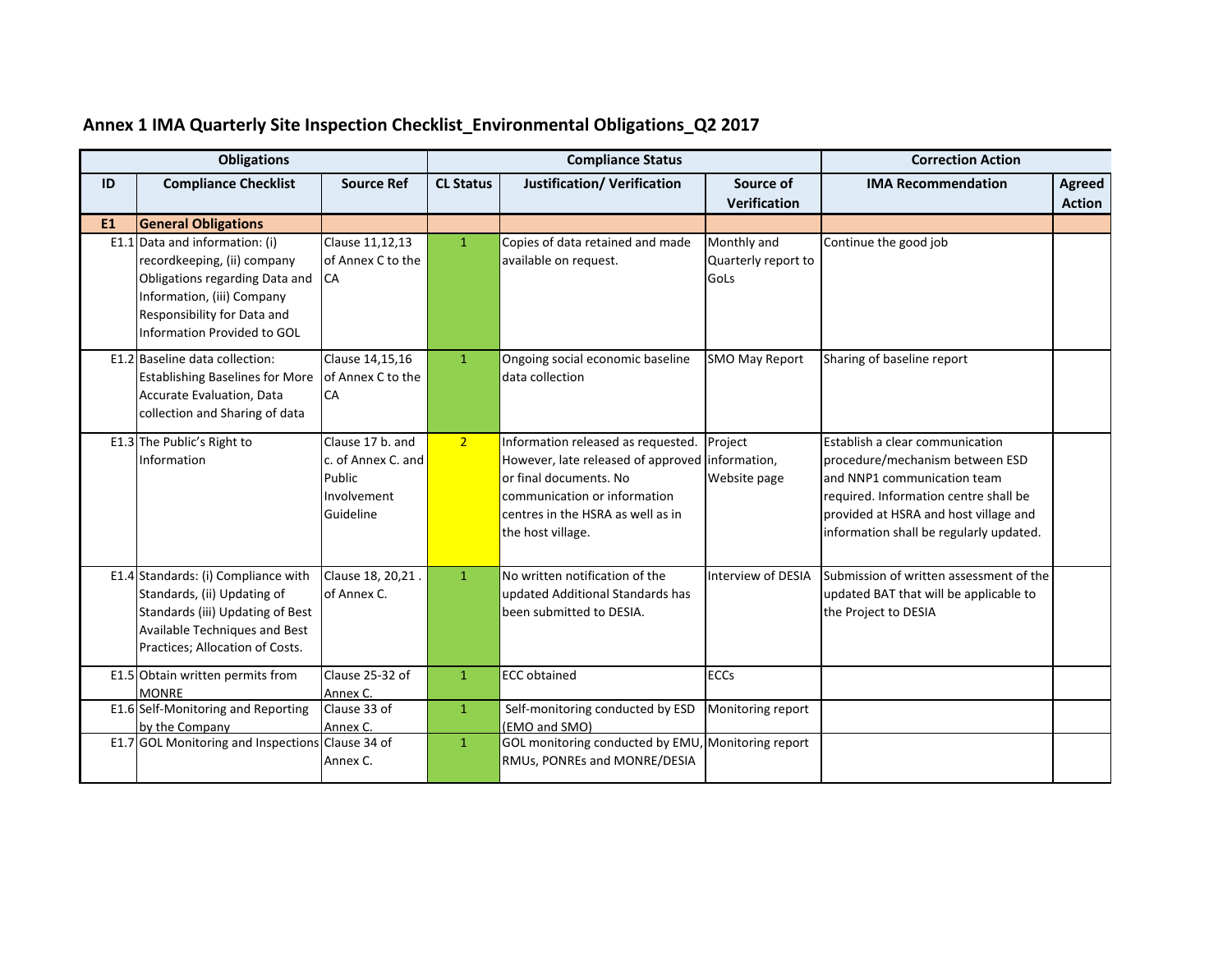| <b>Obligations</b> |                                                                                                                                                                                        | <b>Compliance Status</b>                                                     |                  |                                                                                                                                                                                                           | <b>Correction Action</b>                   |                                                                                                                                                                                                                                |                                |
|--------------------|----------------------------------------------------------------------------------------------------------------------------------------------------------------------------------------|------------------------------------------------------------------------------|------------------|-----------------------------------------------------------------------------------------------------------------------------------------------------------------------------------------------------------|--------------------------------------------|--------------------------------------------------------------------------------------------------------------------------------------------------------------------------------------------------------------------------------|--------------------------------|
| ID                 | <b>Compliance Checklist</b>                                                                                                                                                            | <b>Source Ref</b>                                                            | <b>CL Status</b> | <b>Justification/ Verification</b>                                                                                                                                                                        | Source of<br><b>Verification</b>           | <b>IMA Recommendation</b>                                                                                                                                                                                                      | <b>Agreed</b><br><b>Action</b> |
| <b>E1</b>          | <b>General Obligations</b>                                                                                                                                                             |                                                                              |                  |                                                                                                                                                                                                           |                                            |                                                                                                                                                                                                                                |                                |
| E1.1               | Data and information: (i)<br>recordkeeping, (ii) company<br>Obligations regarding Data and<br>Information, (iii) Company<br>Responsibility for Data and<br>Information Provided to GOL | Clause 11,12,13<br>of Annex C to the<br><b>ICA</b>                           | $\mathbf{1}$     | Copies of data retained and made<br>available on request.                                                                                                                                                 | Monthly and<br>Quarterly report to<br>GoLs | Continue the good job                                                                                                                                                                                                          |                                |
|                    | E1.2 Baseline data collection:<br><b>Establishing Baselines for More</b><br>Accurate Evaluation, Data<br>collection and Sharing of data                                                | Clause 14,15,16<br>of Annex C to the<br><b>CA</b>                            | $\mathbf{1}$     | Ongoing social economic baseline<br>data collection                                                                                                                                                       | <b>SMO May Report</b>                      | Sharing of baseline report                                                                                                                                                                                                     |                                |
|                    | E1.3 The Public's Right to<br>Information                                                                                                                                              | Clause 17 b. and<br>c. of Annex C. and<br>Public<br>Involvement<br>Guideline | 2 <sup>1</sup>   | Information released as requested.<br>However, late released of approved information,<br>or final documents. No<br>communication or information<br>centres in the HSRA as well as in<br>the host village. | Project<br>Website page                    | Establish a clear communication<br>procedure/mechanism between ESD<br>and NNP1 communication team<br>required. Information centre shall be<br>provided at HSRA and host village and<br>information shall be regularly updated. |                                |
|                    | E1.4 Standards: (i) Compliance with<br>Standards, (ii) Updating of<br>Standards (iii) Updating of Best<br>Available Techniques and Best<br>Practices; Allocation of Costs.             | Clause 18, 20, 21.<br>of Annex C.                                            | $\mathbf{1}$     | No written notification of the<br>updated Additional Standards has<br>been submitted to DESIA.                                                                                                            | Interview of DESIA                         | Submission of written assessment of the<br>updated BAT that will be applicable to<br>the Project to DESIA                                                                                                                      |                                |
|                    | E1.5 Obtain written permits from<br><b>MONRE</b>                                                                                                                                       | Clause 25-32 of<br>Annex C.                                                  | $\mathbf{1}$     | <b>ECC</b> obtained                                                                                                                                                                                       | <b>ECCs</b>                                |                                                                                                                                                                                                                                |                                |
|                    | E1.6 Self-Monitoring and Reporting<br>by the Company                                                                                                                                   | Clause 33 of<br>Annex <sub>C</sub> .                                         | $\mathbf{1}$     | Self-monitoring conducted by ESD<br>(EMO and SMO)                                                                                                                                                         | Monitoring report                          |                                                                                                                                                                                                                                |                                |
|                    | E1.7 GOL Monitoring and Inspections Clause 34 of                                                                                                                                       | Annex C.                                                                     | $\mathbf{1}$     | GOL monitoring conducted by EMU, Monitoring report<br>RMUs, PONREs and MONRE/DESIA                                                                                                                        |                                            |                                                                                                                                                                                                                                |                                |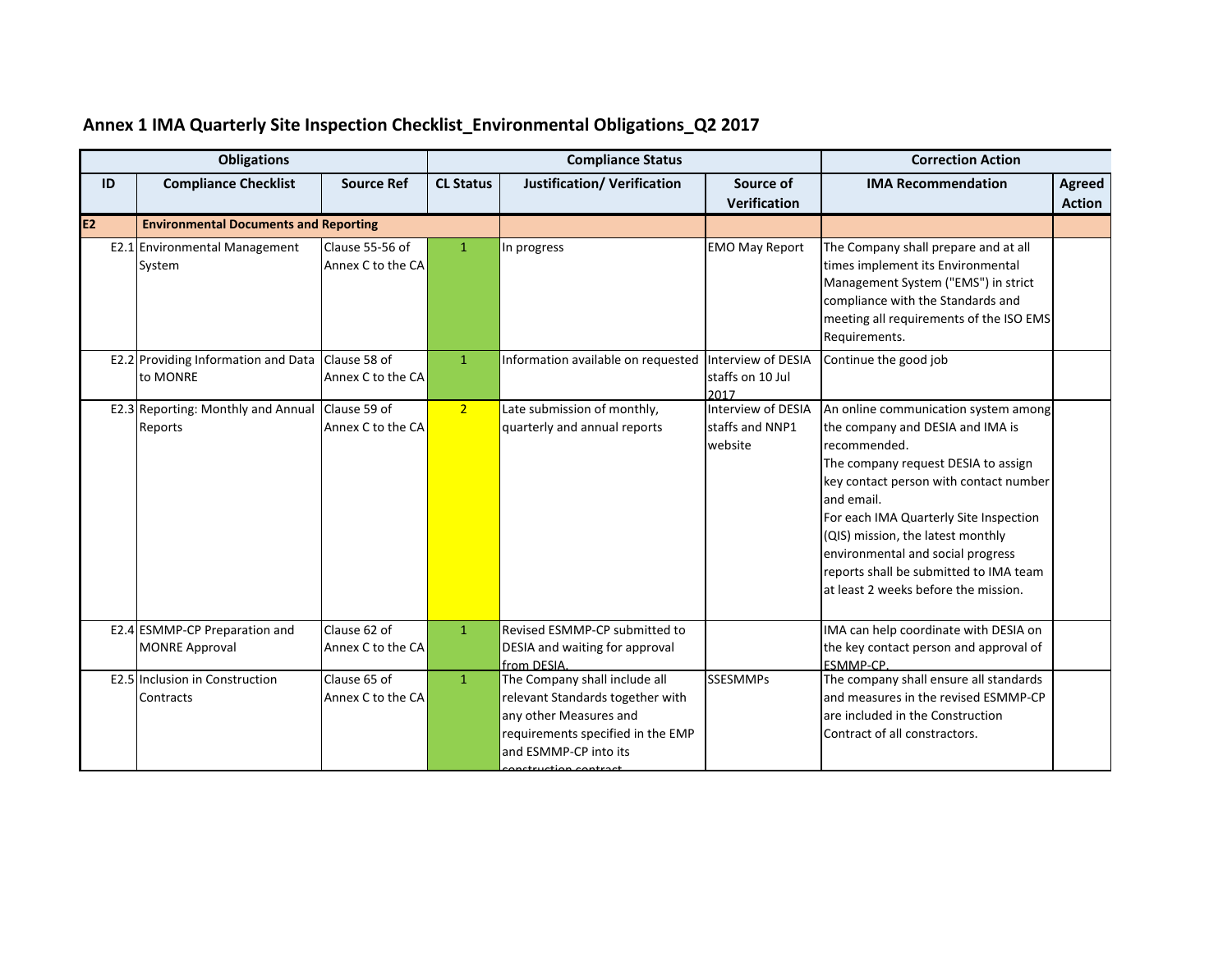| <b>Obligations</b> |                                                        | <b>Compliance Status</b>             |                  | <b>Correction Action</b>                                                                                                                                  |                                                  |                                                                                                                                                                                                                                                                                                                                                                                               |                                |
|--------------------|--------------------------------------------------------|--------------------------------------|------------------|-----------------------------------------------------------------------------------------------------------------------------------------------------------|--------------------------------------------------|-----------------------------------------------------------------------------------------------------------------------------------------------------------------------------------------------------------------------------------------------------------------------------------------------------------------------------------------------------------------------------------------------|--------------------------------|
| ID                 | <b>Compliance Checklist</b>                            | <b>Source Ref</b>                    | <b>CL Status</b> | <b>Justification/ Verification</b>                                                                                                                        | Source of<br><b>Verification</b>                 | <b>IMA Recommendation</b>                                                                                                                                                                                                                                                                                                                                                                     | <b>Agreed</b><br><b>Action</b> |
| <b>E2</b>          | <b>Environmental Documents and Reporting</b>           |                                      |                  |                                                                                                                                                           |                                                  |                                                                                                                                                                                                                                                                                                                                                                                               |                                |
|                    | E2.1 Environmental Management<br>System                | Clause 55-56 of<br>Annex C to the CA | $\mathbf{1}$     | In progress                                                                                                                                               | <b>EMO May Report</b>                            | The Company shall prepare and at all<br>times implement its Environmental<br>Management System ("EMS") in strict<br>compliance with the Standards and<br>meeting all requirements of the ISO EMS<br>Requirements.                                                                                                                                                                             |                                |
|                    | E2.2 Providing Information and Data<br>to MONRE        | Clause 58 of<br>Annex C to the CA    | $\mathbf{1}$     | Information available on requested                                                                                                                        | Interview of DESIA<br>staffs on 10 Jul<br>2017   | Continue the good job                                                                                                                                                                                                                                                                                                                                                                         |                                |
|                    | E2.3 Reporting: Monthly and Annual<br>Reports          | Clause 59 of<br>Annex C to the CA    | 2 <sup>1</sup>   | Late submission of monthly,<br>quarterly and annual reports                                                                                               | Interview of DESIA<br>staffs and NNP1<br>website | An online communication system among<br>the company and DESIA and IMA is<br>recommended.<br>The company request DESIA to assign<br>key contact person with contact number<br>and email.<br>For each IMA Quarterly Site Inspection<br>(QIS) mission, the latest monthly<br>environmental and social progress<br>reports shall be submitted to IMA team<br>at least 2 weeks before the mission. |                                |
|                    | E2.4 ESMMP-CP Preparation and<br><b>MONRE Approval</b> | Clause 62 of<br>Annex C to the CA    | $\mathbf{1}$     | Revised ESMMP-CP submitted to<br>DESIA and waiting for approval<br>from DESIA.                                                                            |                                                  | IMA can help coordinate with DESIA on<br>the key contact person and approval of<br>ESMMP-CP.                                                                                                                                                                                                                                                                                                  |                                |
|                    | <b>E2.5</b> Inclusion in Construction<br>Contracts     | Clause 65 of<br>Annex C to the CA    | $\mathbf{1}$     | The Company shall include all<br>relevant Standards together with<br>any other Measures and<br>requirements specified in the EMP<br>and ESMMP-CP into its | <b>SSESMMPs</b>                                  | The company shall ensure all standards<br>and measures in the revised ESMMP-CP<br>are included in the Construction<br>Contract of all constractors.                                                                                                                                                                                                                                           |                                |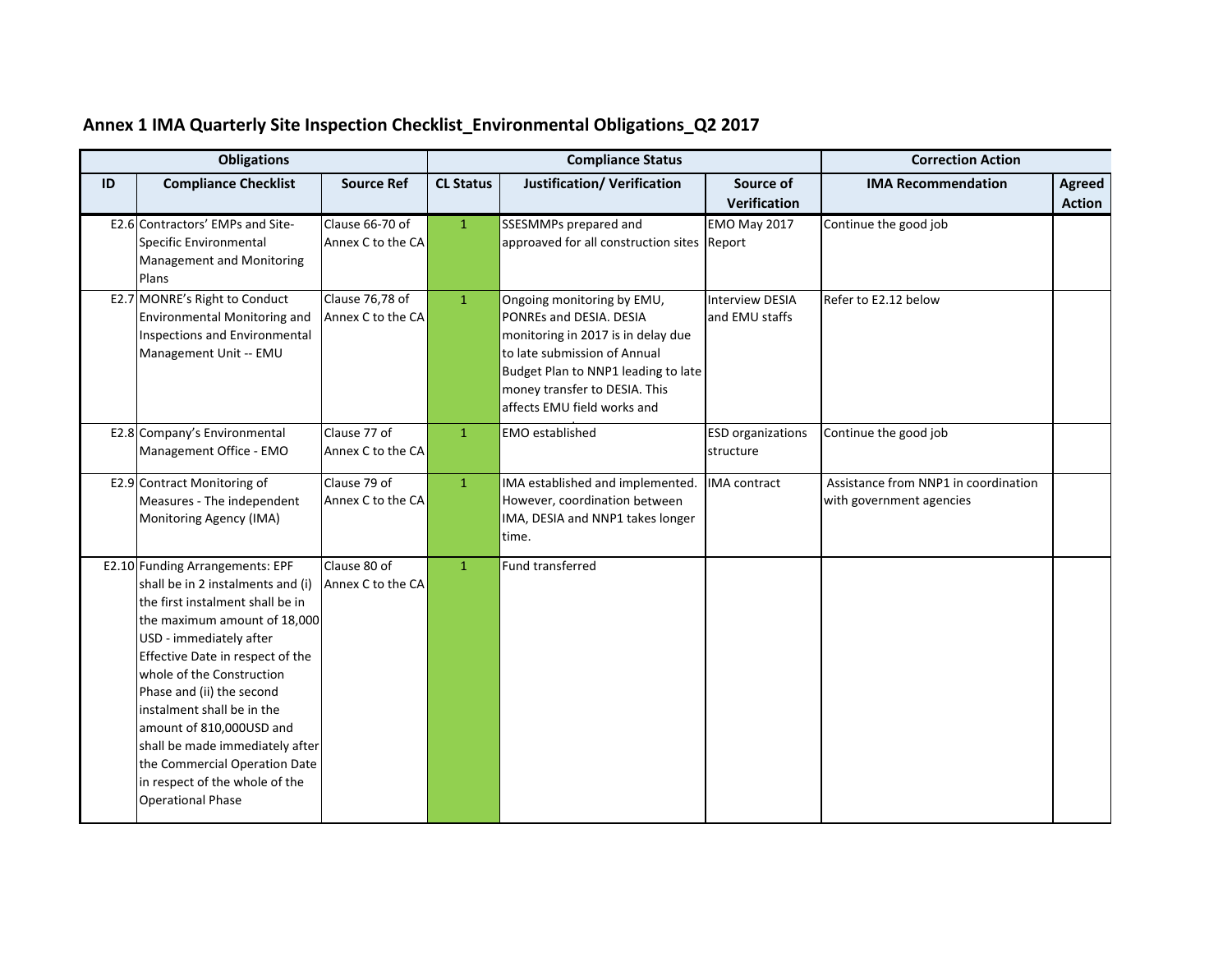| <b>Obligations</b> |                                                                                                                                                                                                                                                                                                                                                                                                                                                               | <b>Compliance Status</b>             |                  |                                                                                                                                                                                                                                    | <b>Correction Action</b>                 |                                                                  |                         |
|--------------------|---------------------------------------------------------------------------------------------------------------------------------------------------------------------------------------------------------------------------------------------------------------------------------------------------------------------------------------------------------------------------------------------------------------------------------------------------------------|--------------------------------------|------------------|------------------------------------------------------------------------------------------------------------------------------------------------------------------------------------------------------------------------------------|------------------------------------------|------------------------------------------------------------------|-------------------------|
| ID                 | <b>Compliance Checklist</b>                                                                                                                                                                                                                                                                                                                                                                                                                                   | <b>Source Ref</b>                    | <b>CL Status</b> | <b>Justification/ Verification</b>                                                                                                                                                                                                 | Source of<br><b>Verification</b>         | <b>IMA Recommendation</b>                                        | Agreed<br><b>Action</b> |
|                    | E2.6 Contractors' EMPs and Site-<br>Specific Environmental<br>Management and Monitoring<br>Plans                                                                                                                                                                                                                                                                                                                                                              | Clause 66-70 of<br>Annex C to the CA | $\mathbf{1}$     | SSESMMPs prepared and<br>approaved for all construction sites Report                                                                                                                                                               | <b>EMO May 2017</b>                      | Continue the good job                                            |                         |
|                    | E2.7 MONRE's Right to Conduct<br><b>Environmental Monitoring and</b><br><b>Inspections and Environmental</b><br>Management Unit -- EMU                                                                                                                                                                                                                                                                                                                        | Clause 76,78 of<br>Annex C to the CA | $\mathbf{1}$     | Ongoing monitoring by EMU,<br>PONREs and DESIA. DESIA<br>monitoring in 2017 is in delay due<br>to late submission of Annual<br>Budget Plan to NNP1 leading to late<br>money transfer to DESIA. This<br>affects EMU field works and | <b>Interview DESIA</b><br>and EMU staffs | Refer to E2.12 below                                             |                         |
|                    | E2.8 Company's Environmental<br>Management Office - EMO                                                                                                                                                                                                                                                                                                                                                                                                       | Clause 77 of<br>Annex C to the CA    | $\mathbf{1}$     | <b>EMO</b> established                                                                                                                                                                                                             | <b>ESD</b> organizations<br>structure    | Continue the good job                                            |                         |
|                    | E2.9 Contract Monitoring of<br>Measures - The independent<br>Monitoring Agency (IMA)                                                                                                                                                                                                                                                                                                                                                                          | Clause 79 of<br>Annex C to the CA    | $\mathbf{1}$     | IMA established and implemented.<br>However, coordination between<br>IMA, DESIA and NNP1 takes longer<br>time.                                                                                                                     | <b>IMA</b> contract                      | Assistance from NNP1 in coordination<br>with government agencies |                         |
|                    | E2.10 Funding Arrangements: EPF<br>shall be in 2 instalments and (i)<br>the first instalment shall be in<br>the maximum amount of 18,000<br>USD - immediately after<br>Effective Date in respect of the<br>whole of the Construction<br>Phase and (ii) the second<br>instalment shall be in the<br>amount of 810,000USD and<br>shall be made immediately after<br>the Commercial Operation Date<br>in respect of the whole of the<br><b>Operational Phase</b> | Clause 80 of<br>Annex C to the CA    | $\mathbf{1}$     | Fund transferred                                                                                                                                                                                                                   |                                          |                                                                  |                         |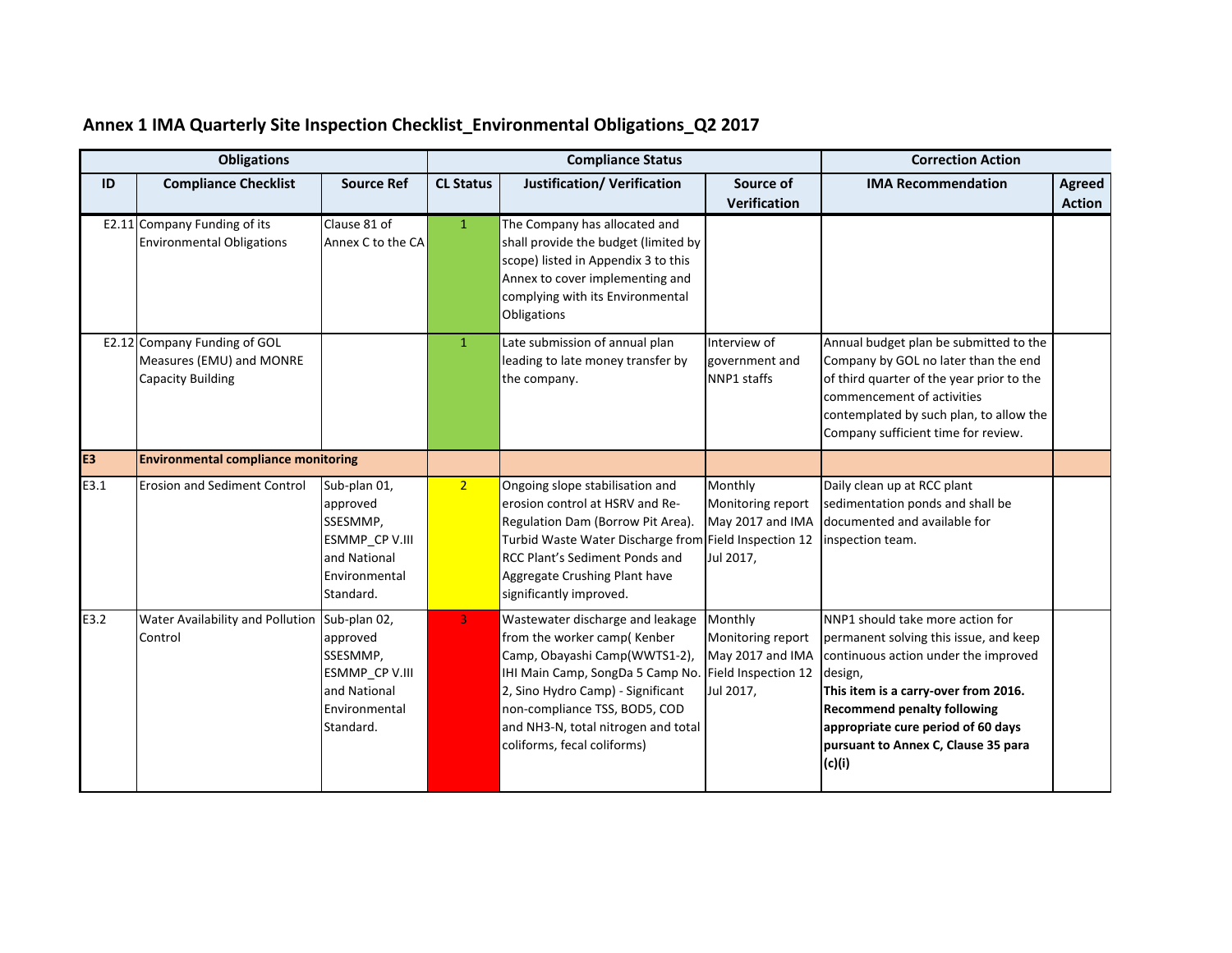|                | <b>Obligations</b>                                                                   |                                                                                                      | <b>Compliance Status</b> |                                                                                                                                                                                                                                                                                  |                                                                                      | <b>Correction Action</b>                                                                                                                                                                                                                                                                           |               |
|----------------|--------------------------------------------------------------------------------------|------------------------------------------------------------------------------------------------------|--------------------------|----------------------------------------------------------------------------------------------------------------------------------------------------------------------------------------------------------------------------------------------------------------------------------|--------------------------------------------------------------------------------------|----------------------------------------------------------------------------------------------------------------------------------------------------------------------------------------------------------------------------------------------------------------------------------------------------|---------------|
| ID             | <b>Compliance Checklist</b>                                                          | <b>Source Ref</b>                                                                                    | <b>CL Status</b>         | <b>Justification/ Verification</b>                                                                                                                                                                                                                                               | Source of                                                                            | <b>IMA Recommendation</b>                                                                                                                                                                                                                                                                          | <b>Agreed</b> |
|                |                                                                                      |                                                                                                      |                          |                                                                                                                                                                                                                                                                                  | Verification                                                                         |                                                                                                                                                                                                                                                                                                    | <b>Action</b> |
|                | E2.11 Company Funding of its<br><b>Environmental Obligations</b>                     | Clause 81 of<br>Annex C to the CA                                                                    | $\mathbf{1}$             | The Company has allocated and<br>shall provide the budget (limited by<br>scope) listed in Appendix 3 to this<br>Annex to cover implementing and<br>complying with its Environmental<br>Obligations                                                                               |                                                                                      |                                                                                                                                                                                                                                                                                                    |               |
|                | E2.12 Company Funding of GOL<br>Measures (EMU) and MONRE<br><b>Capacity Building</b> |                                                                                                      | $\mathbf{1}$             | Late submission of annual plan<br>leading to late money transfer by<br>the company.                                                                                                                                                                                              | Interview of<br>government and<br>NNP1 staffs                                        | Annual budget plan be submitted to the<br>Company by GOL no later than the end<br>of third quarter of the year prior to the<br>commencement of activities<br>contemplated by such plan, to allow the<br>Company sufficient time for review.                                                        |               |
| E <sub>3</sub> | <b>Environmental compliance monitoring</b>                                           |                                                                                                      |                          |                                                                                                                                                                                                                                                                                  |                                                                                      |                                                                                                                                                                                                                                                                                                    |               |
| E3.1           | <b>Erosion and Sediment Control</b>                                                  | Sub-plan 01,<br>approved<br>SSESMMP,<br>ESMMP_CP V.III<br>and National<br>Environmental<br>Standard. | 2 <sup>1</sup>           | Ongoing slope stabilisation and<br>erosion control at HSRV and Re-<br>Regulation Dam (Borrow Pit Area).<br>Turbid Waste Water Discharge from Field Inspection 12<br>RCC Plant's Sediment Ponds and<br>Aggregate Crushing Plant have<br>significantly improved.                   | Monthly<br>Monitoring report<br>May 2017 and IMA<br>Jul 2017,                        | Daily clean up at RCC plant<br>sedimentation ponds and shall be<br>documented and available for<br>inspection team.                                                                                                                                                                                |               |
| E3.2           | Water Availability and Pollution Sub-plan 02,<br>Control                             | approved<br>SSESMMP,<br>ESMMP_CP V.III<br>and National<br>Environmental<br>Standard.                 | 3 <sup>°</sup>           | Wastewater discharge and leakage<br>from the worker camp(Kenber<br>Camp, Obayashi Camp(WWTS1-2),<br>IHI Main Camp, SongDa 5 Camp No.<br>2, Sino Hydro Camp) - Significant<br>non-compliance TSS, BOD5, COD<br>and NH3-N, total nitrogen and total<br>coliforms, fecal coliforms) | Monthly<br>Monitoring report<br>May 2017 and IMA<br>Field Inspection 12<br>Jul 2017, | NNP1 should take more action for<br>permanent solving this issue, and keep<br>continuous action under the improved<br>design,<br>This item is a carry-over from 2016.<br><b>Recommend penalty following</b><br>appropriate cure period of 60 days<br>pursuant to Annex C, Clause 35 para<br>(c)(i) |               |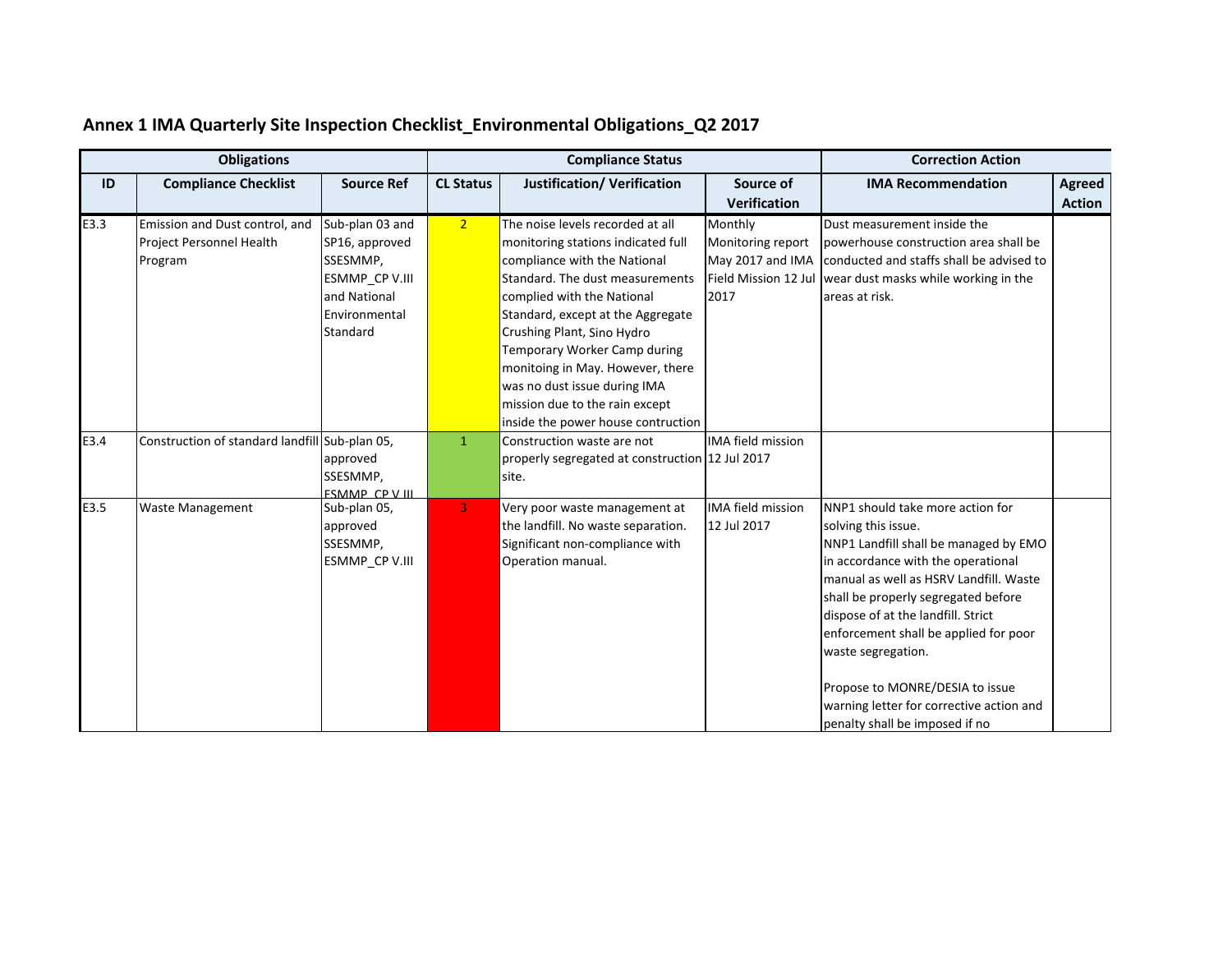|      | <b>Obligations</b>                                                    |                                                                                                              | <b>Compliance Status</b> |                                                                                                                                                                                                                                                                                                                                                                                                                        |                                                          | <b>Correction Action</b>                                                                                                                                                                                                                                                                                                                                                                                                                      |                         |  |
|------|-----------------------------------------------------------------------|--------------------------------------------------------------------------------------------------------------|--------------------------|------------------------------------------------------------------------------------------------------------------------------------------------------------------------------------------------------------------------------------------------------------------------------------------------------------------------------------------------------------------------------------------------------------------------|----------------------------------------------------------|-----------------------------------------------------------------------------------------------------------------------------------------------------------------------------------------------------------------------------------------------------------------------------------------------------------------------------------------------------------------------------------------------------------------------------------------------|-------------------------|--|
| ID   | <b>Compliance Checklist</b>                                           | <b>Source Ref</b>                                                                                            | <b>CL Status</b>         | <b>Justification/ Verification</b>                                                                                                                                                                                                                                                                                                                                                                                     | Source of<br><b>Verification</b>                         | <b>IMA Recommendation</b>                                                                                                                                                                                                                                                                                                                                                                                                                     | Agreed<br><b>Action</b> |  |
| E3.3 | Emission and Dust control, and<br>Project Personnel Health<br>Program | Sub-plan 03 and<br>SP16, approved<br>SSESMMP,<br>ESMMP_CP V.III<br>and National<br>Environmental<br>Standard | 2 <sup>1</sup>           | The noise levels recorded at all<br>monitoring stations indicated full<br>compliance with the National<br>Standard. The dust measurements<br>complied with the National<br>Standard, except at the Aggregate<br>Crushing Plant, Sino Hydro<br>Temporary Worker Camp during<br>monitoing in May. However, there<br>was no dust issue during IMA<br>mission due to the rain except<br>inside the power house contruction | Monthly<br>Monitoring report<br>May 2017 and IMA<br>2017 | Dust measurement inside the<br>powerhouse construction area shall be<br>conducted and staffs shall be advised to<br>Field Mission 12 Jul   wear dust masks while working in the<br>areas at risk.                                                                                                                                                                                                                                             |                         |  |
| E3.4 | Construction of standard landfill Sub-plan 05,                        | approved<br>SSESMMP,<br><b>ESMMP CPVIII</b>                                                                  | $\mathbf{1}$             | Construction waste are not<br>properly segregated at construction 12 Jul 2017<br>site.                                                                                                                                                                                                                                                                                                                                 | <b>IMA field mission</b>                                 |                                                                                                                                                                                                                                                                                                                                                                                                                                               |                         |  |
| E3.5 | Waste Management                                                      | Sub-plan 05,<br>approved<br>SSESMMP,<br>ESMMP CP V.III                                                       | 3 <sup>1</sup>           | Very poor waste management at<br>the landfill. No waste separation.<br>Significant non-compliance with<br>Operation manual.                                                                                                                                                                                                                                                                                            | <b>IMA field mission</b><br>12 Jul 2017                  | NNP1 should take more action for<br>solving this issue.<br>NNP1 Landfill shall be managed by EMO<br>in accordance with the operational<br>manual as well as HSRV Landfill. Waste<br>shall be properly segregated before<br>dispose of at the landfill. Strict<br>enforcement shall be applied for poor<br>waste segregation.<br>Propose to MONRE/DESIA to issue<br>warning letter for corrective action and<br>penalty shall be imposed if no |                         |  |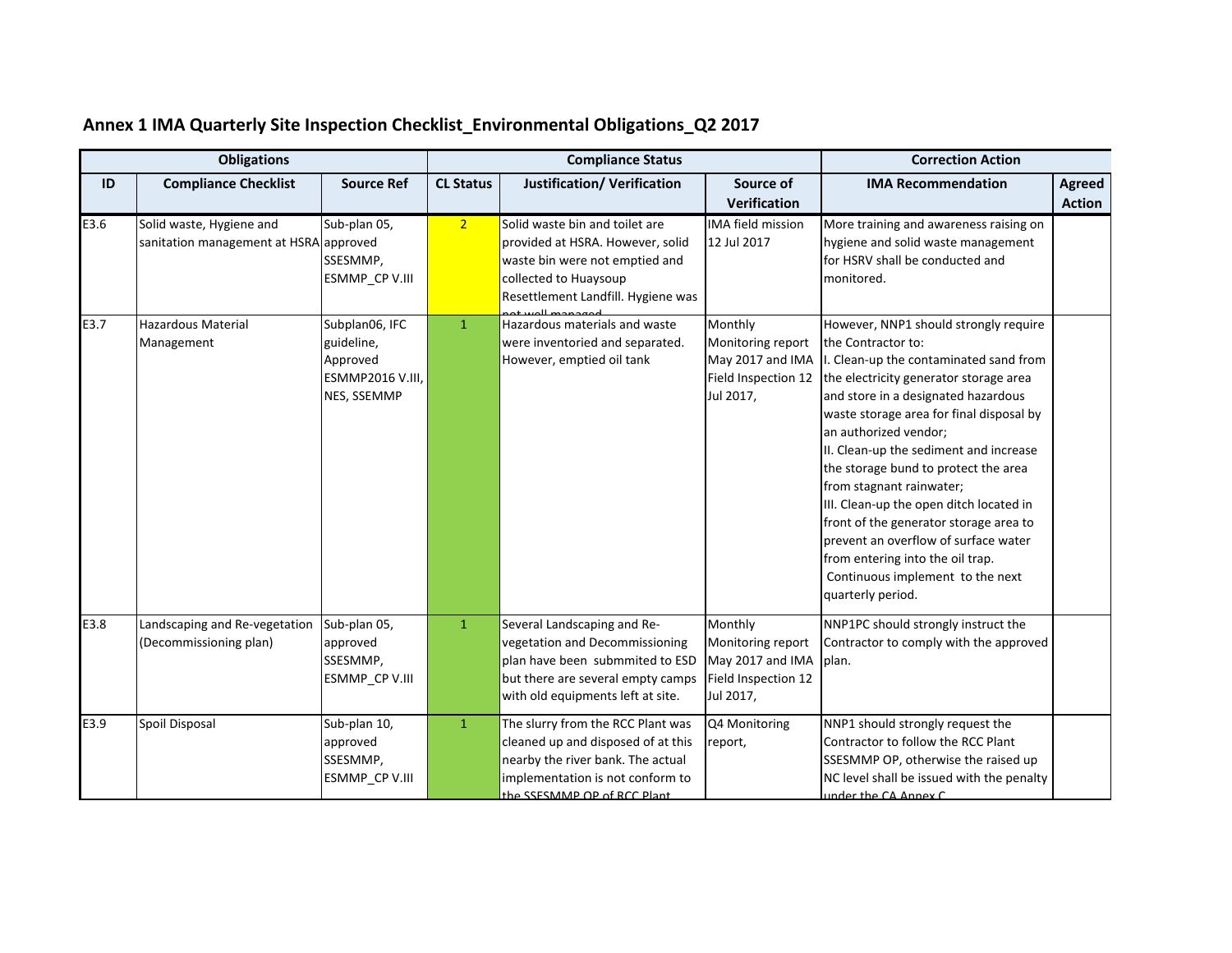|      | <b>Obligations</b>                                                 |                                                                                    | <b>Compliance Status</b> |                                                                                                                                                                                 |                                                                                      | <b>Correction Action</b>                                                                                                                                                                                                                                                                                                                                                                                                                                                                                                                                                                            |                         |
|------|--------------------------------------------------------------------|------------------------------------------------------------------------------------|--------------------------|---------------------------------------------------------------------------------------------------------------------------------------------------------------------------------|--------------------------------------------------------------------------------------|-----------------------------------------------------------------------------------------------------------------------------------------------------------------------------------------------------------------------------------------------------------------------------------------------------------------------------------------------------------------------------------------------------------------------------------------------------------------------------------------------------------------------------------------------------------------------------------------------------|-------------------------|
| ID   | <b>Compliance Checklist</b>                                        | <b>Source Ref</b>                                                                  | <b>CL Status</b>         | <b>Justification/ Verification</b>                                                                                                                                              | Source of<br><b>Verification</b>                                                     | <b>IMA Recommendation</b>                                                                                                                                                                                                                                                                                                                                                                                                                                                                                                                                                                           | Agreed<br><b>Action</b> |
| E3.6 | Solid waste, Hygiene and<br>sanitation management at HSRA approved | Sub-plan 05,<br>SSESMMP,<br>ESMMP_CP V.III                                         | 2 <sup>7</sup>           | Solid waste bin and toilet are<br>provided at HSRA. However, solid<br>waste bin were not emptied and<br>collected to Huaysoup<br>Resettlement Landfill. Hygiene was             | <b>IMA field mission</b><br>12 Jul 2017                                              | More training and awareness raising on<br>hygiene and solid waste management<br>for HSRV shall be conducted and<br>monitored.                                                                                                                                                                                                                                                                                                                                                                                                                                                                       |                         |
| E3.7 | <b>Hazardous Material</b><br>Management                            | Subplan06, IFC<br>guideline,<br>Approved<br><b>ESMMP2016 V.III,</b><br>NES, SSEMMP | $\mathbf{1}$             | Hazardous materials and waste<br>were inventoried and separated.<br>However, emptied oil tank                                                                                   | Monthly<br>Monitoring report<br>May 2017 and IMA<br>Field Inspection 12<br>Jul 2017, | However, NNP1 should strongly require<br>the Contractor to:<br>I. Clean-up the contaminated sand from<br>the electricity generator storage area<br>and store in a designated hazardous<br>waste storage area for final disposal by<br>an authorized vendor;<br>II. Clean-up the sediment and increase<br>the storage bund to protect the area<br>from stagnant rainwater;<br>III. Clean-up the open ditch located in<br>front of the generator storage area to<br>prevent an overflow of surface water<br>from entering into the oil trap.<br>Continuous implement to the next<br>quarterly period. |                         |
| E3.8 | Landscaping and Re-vegetation<br>(Decommissioning plan)            | Sub-plan 05,<br>approved<br>SSESMMP,<br>ESMMP_CP V.III                             | $\mathbf{1}$             | Several Landscaping and Re-<br>vegetation and Decommissioning<br>plan have been submmited to ESD<br>but there are several empty camps<br>with old equipments left at site.      | Monthly<br>Monitoring report<br>May 2017 and IMA<br>Field Inspection 12<br>Jul 2017, | NNP1PC should strongly instruct the<br>Contractor to comply with the approved<br>plan.                                                                                                                                                                                                                                                                                                                                                                                                                                                                                                              |                         |
| E3.9 | Spoil Disposal                                                     | Sub-plan 10,<br>approved<br>SSESMMP,<br>ESMMP_CP V.III                             | $\mathbf{1}$             | The slurry from the RCC Plant was<br>cleaned up and disposed of at this<br>nearby the river bank. The actual<br>implementation is not conform to<br>the SSESMMP OP of RCC Plant | Q4 Monitoring<br>report,                                                             | NNP1 should strongly request the<br>Contractor to follow the RCC Plant<br>SSESMMP OP, otherwise the raised up<br>NC level shall be issued with the penalty<br>under the CA Annex C                                                                                                                                                                                                                                                                                                                                                                                                                  |                         |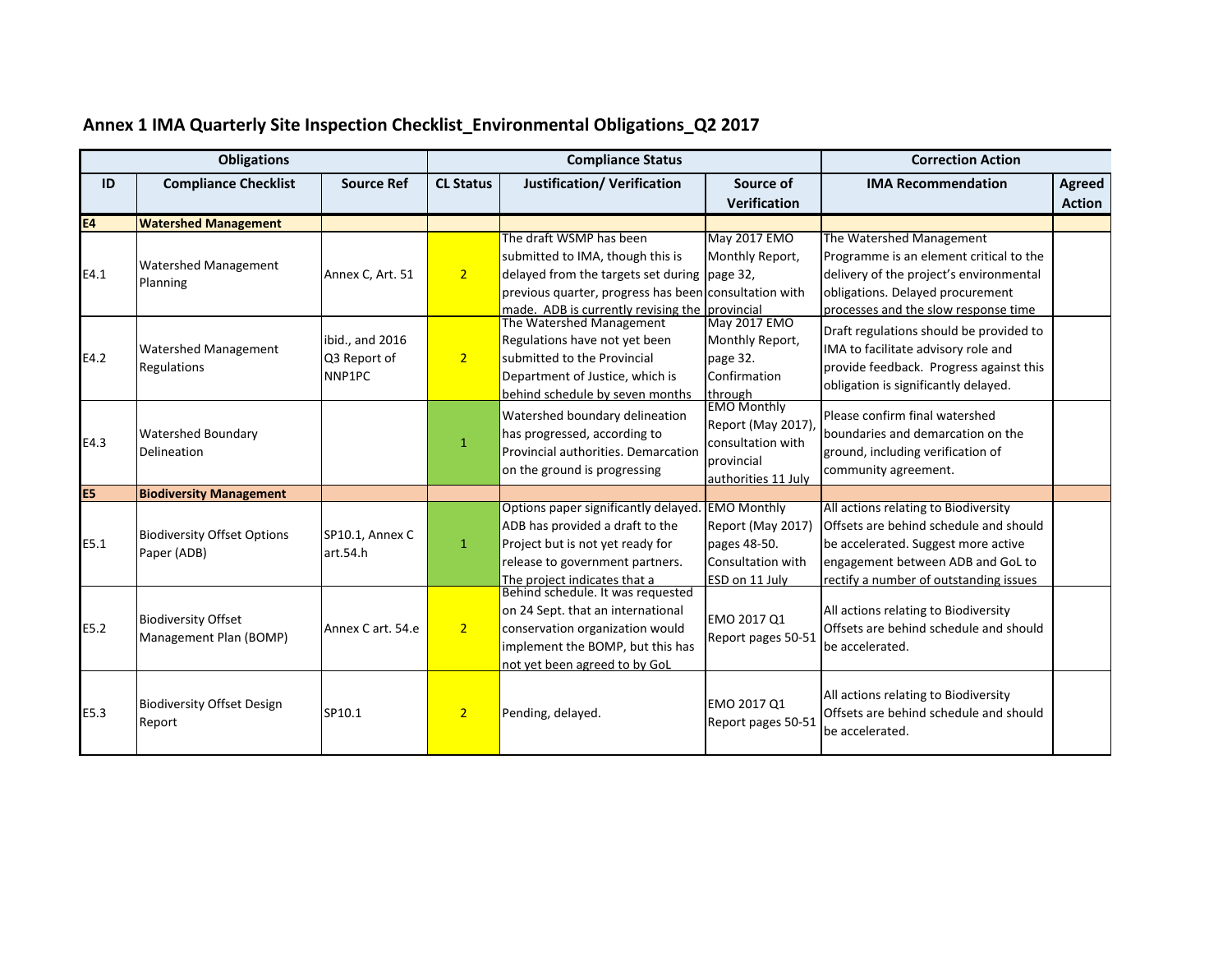|                | <b>Obligations</b>                                   |                                           | <b>Compliance Status</b> |                                                                                                                                                                                                                        |                                                                                                   | <b>Correction Action</b>                                                                                                                                                                             |                         |
|----------------|------------------------------------------------------|-------------------------------------------|--------------------------|------------------------------------------------------------------------------------------------------------------------------------------------------------------------------------------------------------------------|---------------------------------------------------------------------------------------------------|------------------------------------------------------------------------------------------------------------------------------------------------------------------------------------------------------|-------------------------|
| ID             | <b>Compliance Checklist</b>                          | <b>Source Ref</b>                         | <b>CL Status</b>         | <b>Justification/ Verification</b>                                                                                                                                                                                     | Source of<br><b>Verification</b>                                                                  | <b>IMA Recommendation</b>                                                                                                                                                                            | Agreed<br><b>Action</b> |
| <b>E4</b>      | <b>Watershed Management</b>                          |                                           |                          |                                                                                                                                                                                                                        |                                                                                                   |                                                                                                                                                                                                      |                         |
| E4.1           | <b>Watershed Management</b><br>Planning              | Annex C, Art. 51                          | 2 <sup>1</sup>           | The draft WSMP has been<br>submitted to IMA, though this is<br>delayed from the targets set during page 32,<br>previous quarter, progress has been consultation with<br>made. ADB is currently revising the provincial | May 2017 EMO<br>Monthly Report,                                                                   | The Watershed Management<br>Programme is an element critical to the<br>delivery of the project's environmental<br>obligations. Delayed procurement<br>processes and the slow response time           |                         |
| E4.2           | <b>Watershed Management</b><br>Regulations           | ibid., and 2016<br>Q3 Report of<br>NNP1PC | 2 <sup>1</sup>           | The Watershed Management<br>Regulations have not yet been<br>submitted to the Provincial<br>Department of Justice, which is<br>behind schedule by seven months                                                         | May 2017 EMO<br>Monthly Report,<br>page 32.<br>Confirmation<br>through                            | Draft regulations should be provided to<br>IMA to facilitate advisory role and<br>provide feedback. Progress against this<br>obligation is significantly delayed.                                    |                         |
| E4.3           | <b>Watershed Boundary</b><br>Delineation             |                                           | $\mathbf{1}$             | Watershed boundary delineation<br>has progressed, according to<br>Provincial authorities. Demarcation<br>on the ground is progressing                                                                                  | <b>EMO Monthly</b><br>Report (May 2017)<br>consultation with<br>provincial<br>authorities 11 July | Please confirm final watershed<br>boundaries and demarcation on the<br>ground, including verification of<br>community agreement.                                                                     |                         |
| E <sub>5</sub> | <b>Biodiversity Management</b>                       |                                           |                          |                                                                                                                                                                                                                        |                                                                                                   |                                                                                                                                                                                                      |                         |
| E5.1           | <b>Biodiversity Offset Options</b><br>Paper (ADB)    | SP10.1, Annex C<br>art.54.h               | $\mathbf{1}$             | Options paper significantly delayed.<br>ADB has provided a draft to the<br>Project but is not yet ready for<br>release to government partners.<br>The project indicates that a                                         | <b>EMO Monthly</b><br>Report (May 2017)<br>pages 48-50.<br>Consultation with<br>ESD on 11 July    | All actions relating to Biodiversity<br>Offsets are behind schedule and should<br>be accelerated. Suggest more active<br>engagement between ADB and GoL to<br>rectify a number of outstanding issues |                         |
| E5.2           | <b>Biodiversity Offset</b><br>Management Plan (BOMP) | Annex C art, 54.e                         | 2 <sup>1</sup>           | Behind schedule. It was requested<br>on 24 Sept. that an international<br>conservation organization would<br>implement the BOMP, but this has<br>not yet been agreed to by GoL                                         | EMO 2017 Q1<br>Report pages 50-51                                                                 | All actions relating to Biodiversity<br>Offsets are behind schedule and should<br>be accelerated.                                                                                                    |                         |
| E5.3           | <b>Biodiversity Offset Design</b><br>Report          | SP10.1                                    | 2 <sup>1</sup>           | Pending, delayed.                                                                                                                                                                                                      | EMO 2017 Q1<br>Report pages 50-51                                                                 | All actions relating to Biodiversity<br>Offsets are behind schedule and should<br>be accelerated.                                                                                                    |                         |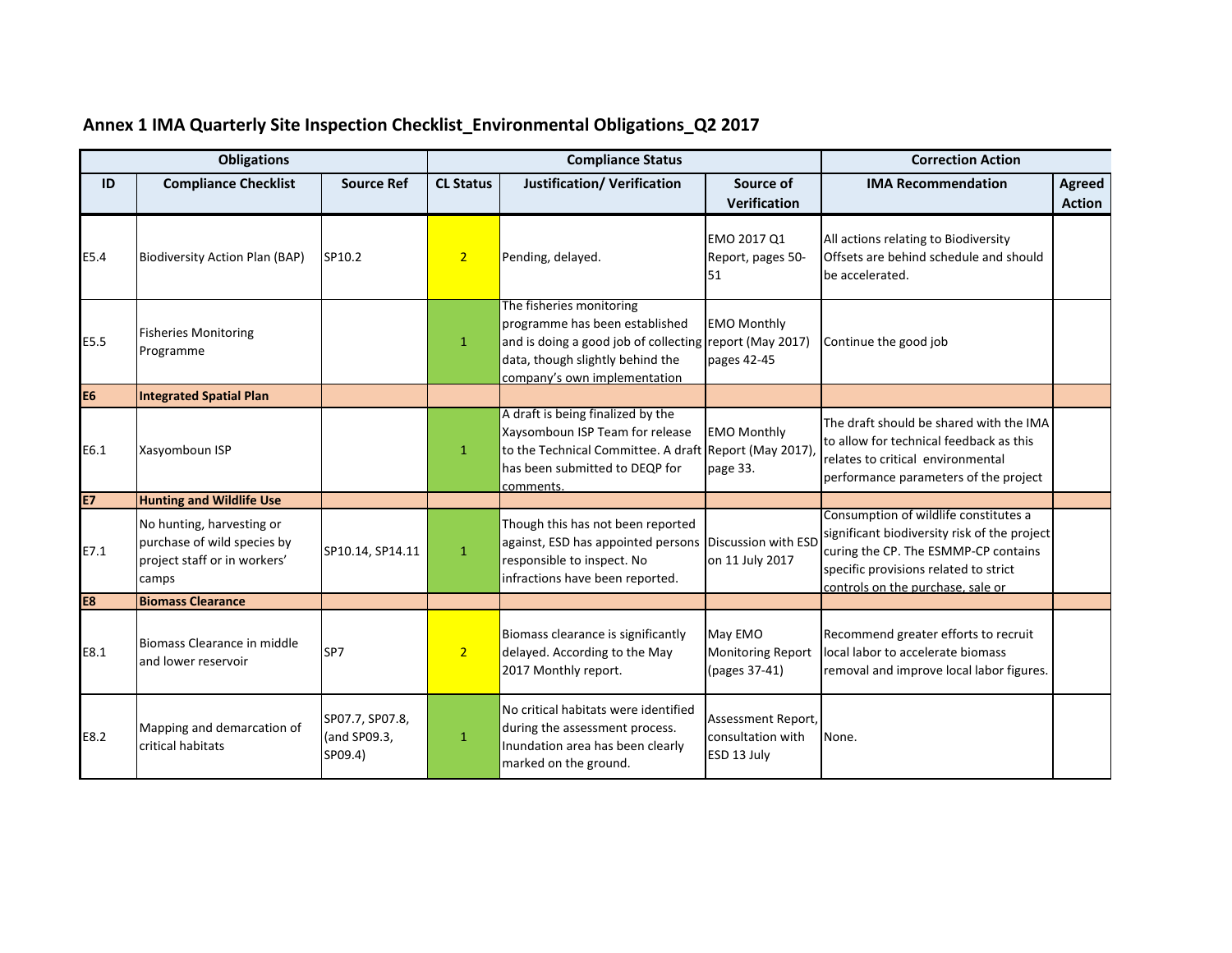|                | <b>Obligations</b>                                                                                |                                            | <b>Compliance Status</b> |                                                                                                                                                                                           |                                                        | <b>Correction Action</b>                                                                                                                                                                                    |                                |  |
|----------------|---------------------------------------------------------------------------------------------------|--------------------------------------------|--------------------------|-------------------------------------------------------------------------------------------------------------------------------------------------------------------------------------------|--------------------------------------------------------|-------------------------------------------------------------------------------------------------------------------------------------------------------------------------------------------------------------|--------------------------------|--|
| ID             | <b>Compliance Checklist</b>                                                                       | <b>Source Ref</b>                          | <b>CL Status</b>         | <b>Justification/ Verification</b>                                                                                                                                                        | Source of<br>Verification                              | <b>IMA Recommendation</b>                                                                                                                                                                                   | <b>Agreed</b><br><b>Action</b> |  |
| E5.4           | <b>Biodiversity Action Plan (BAP)</b>                                                             | SP10.2                                     | 2 <sup>1</sup>           | Pending, delayed.                                                                                                                                                                         | EMO 2017 Q1<br>Report, pages 50-<br>51                 | All actions relating to Biodiversity<br>Offsets are behind schedule and should<br>be accelerated.                                                                                                           |                                |  |
| E5.5           | <b>Fisheries Monitoring</b><br>Programme                                                          |                                            | $\mathbf{1}$             | The fisheries monitoring<br>programme has been established<br>and is doing a good job of collecting report (May 2017)<br>data, though slightly behind the<br>company's own implementation | <b>EMO Monthly</b><br>pages 42-45                      | Continue the good job                                                                                                                                                                                       |                                |  |
| E <sub>6</sub> | <b>Integrated Spatial Plan</b>                                                                    |                                            |                          |                                                                                                                                                                                           |                                                        |                                                                                                                                                                                                             |                                |  |
| E6.1           | Xasyomboun ISP                                                                                    |                                            | $\mathbf{1}$             | A draft is being finalized by the<br>Xaysomboun ISP Team for release<br>to the Technical Committee. A draft Report (May 2017)<br>has been submitted to DEQP for<br>comments.              | <b>EMO Monthly</b><br>page 33.                         | The draft should be shared with the IMA<br>to allow for technical feedback as this<br>relates to critical environmental<br>performance parameters of the project                                            |                                |  |
| <b>E7</b>      | <b>Hunting and Wildlife Use</b>                                                                   |                                            |                          |                                                                                                                                                                                           |                                                        |                                                                                                                                                                                                             |                                |  |
| E7.1           | No hunting, harvesting or<br>purchase of wild species by<br>project staff or in workers'<br>camps | SP10.14, SP14.11                           | $\mathbf{1}$             | Though this has not been reported<br>against, ESD has appointed persons Discussion with ESD<br>responsible to inspect. No<br>infractions have been reported.                              | on 11 July 2017                                        | Consumption of wildlife constitutes a<br>significant biodiversity risk of the project<br>curing the CP. The ESMMP-CP contains<br>specific provisions related to strict<br>controls on the purchase, sale or |                                |  |
| E8             | <b>Biomass Clearance</b>                                                                          |                                            |                          |                                                                                                                                                                                           |                                                        |                                                                                                                                                                                                             |                                |  |
| E8.1           | Biomass Clearance in middle<br>and lower reservoir                                                | SP7                                        | 2 <sup>1</sup>           | Biomass clearance is significantly<br>delayed. According to the May<br>2017 Monthly report.                                                                                               | May EMO<br><b>Monitoring Report</b><br>(pages 37-41)   | Recommend greater efforts to recruit<br>local labor to accelerate biomass<br>removal and improve local labor figures.                                                                                       |                                |  |
| E8.2           | Mapping and demarcation of<br>critical habitats                                                   | SP07.7, SP07.8,<br>(and SP09.3,<br>SP09.4) | $\mathbf{1}$             | No critical habitats were identified<br>during the assessment process.<br>Inundation area has been clearly<br>marked on the ground.                                                       | Assessment Report,<br>consultation with<br>ESD 13 July | None.                                                                                                                                                                                                       |                                |  |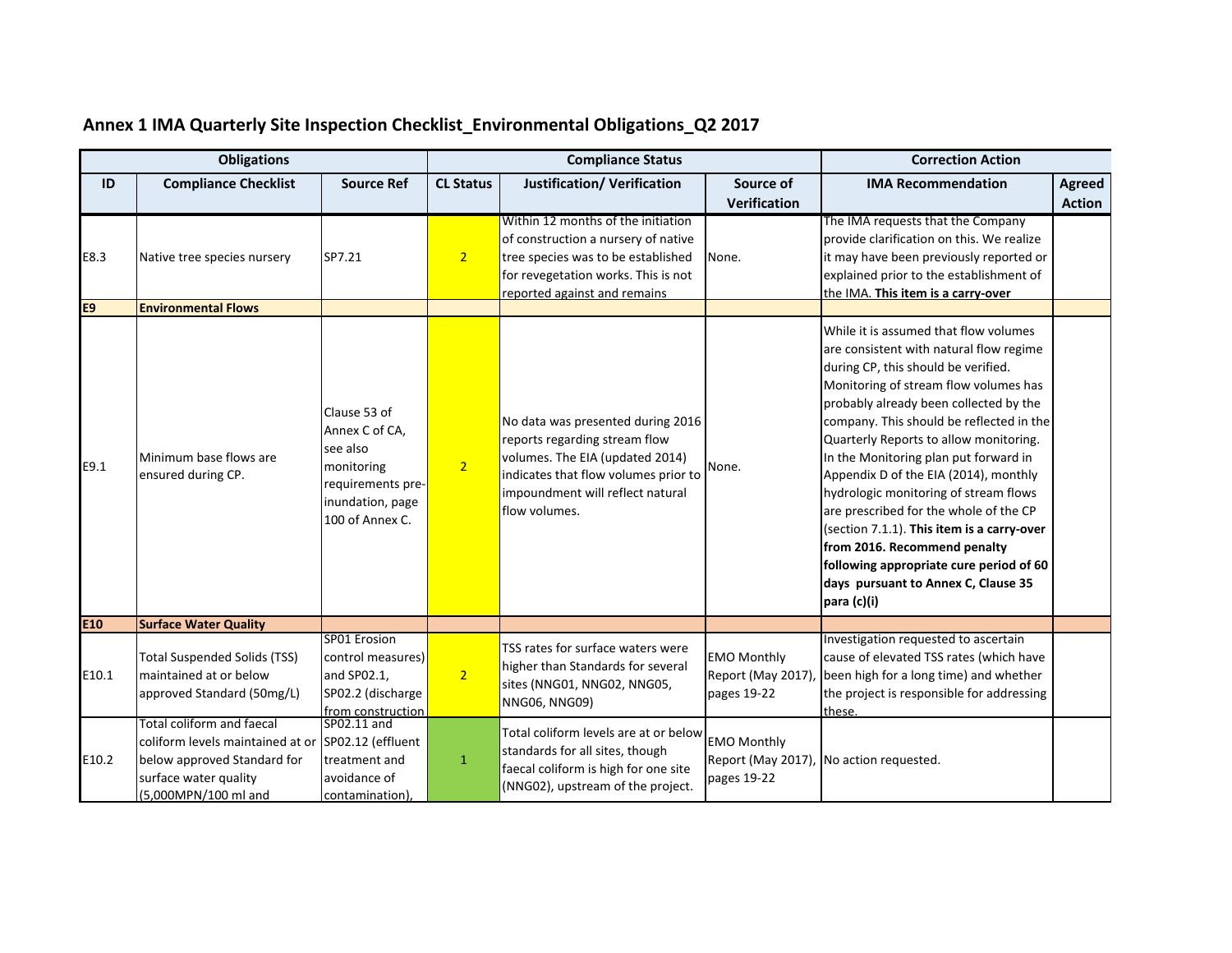|       | <b>Obligations</b>                                                                                                                                              |                                                                                                                      | <b>Compliance Status</b> |                                                                                                                                                                                                    |                                                        | <b>Correction Action</b>                                                                                                                                                                                                                                                                                                                                                                                                                                                                                                                                                                                                                             |               |
|-------|-----------------------------------------------------------------------------------------------------------------------------------------------------------------|----------------------------------------------------------------------------------------------------------------------|--------------------------|----------------------------------------------------------------------------------------------------------------------------------------------------------------------------------------------------|--------------------------------------------------------|------------------------------------------------------------------------------------------------------------------------------------------------------------------------------------------------------------------------------------------------------------------------------------------------------------------------------------------------------------------------------------------------------------------------------------------------------------------------------------------------------------------------------------------------------------------------------------------------------------------------------------------------------|---------------|
| ID    | <b>Compliance Checklist</b>                                                                                                                                     | <b>Source Ref</b>                                                                                                    | <b>CL Status</b>         | <b>Justification/ Verification</b>                                                                                                                                                                 | Source of                                              | <b>IMA Recommendation</b>                                                                                                                                                                                                                                                                                                                                                                                                                                                                                                                                                                                                                            | <b>Agreed</b> |
|       |                                                                                                                                                                 |                                                                                                                      |                          |                                                                                                                                                                                                    | <b>Verification</b>                                    |                                                                                                                                                                                                                                                                                                                                                                                                                                                                                                                                                                                                                                                      | <b>Action</b> |
| E8.3  | Native tree species nursery                                                                                                                                     | SP7.21                                                                                                               | 2 <sup>1</sup>           | Within 12 months of the initiation<br>of construction a nursery of native<br>tree species was to be established<br>for revegetation works. This is not<br>reported against and remains             | None.                                                  | The IMA requests that the Company<br>provide clarification on this. We realize<br>it may have been previously reported or<br>explained prior to the establishment of<br>the IMA. This item is a carry-over                                                                                                                                                                                                                                                                                                                                                                                                                                           |               |
| E9    | <b>Environmental Flows</b>                                                                                                                                      |                                                                                                                      |                          |                                                                                                                                                                                                    |                                                        |                                                                                                                                                                                                                                                                                                                                                                                                                                                                                                                                                                                                                                                      |               |
| E9.1  | Minimum base flows are<br>ensured during CP.                                                                                                                    | Clause 53 of<br>Annex C of CA,<br>see also<br>monitoring<br>requirements pre-<br>inundation, page<br>100 of Annex C. | 2 <sup>1</sup>           | No data was presented during 2016<br>reports regarding stream flow<br>volumes. The EIA (updated 2014)<br>indicates that flow volumes prior to<br>impoundment will reflect natural<br>flow volumes. | None.                                                  | While it is assumed that flow volumes<br>are consistent with natural flow regime<br>during CP, this should be verified.<br>Monitoring of stream flow volumes has<br>probably already been collected by the<br>company. This should be reflected in the<br>Quarterly Reports to allow monitoring.<br>In the Monitoring plan put forward in<br>Appendix D of the EIA (2014), monthly<br>hydrologic monitoring of stream flows<br>are prescribed for the whole of the CP<br>(section 7.1.1). This item is a carry-over<br>from 2016. Recommend penalty<br>following appropriate cure period of 60<br>days pursuant to Annex C, Clause 35<br>para (c)(i) |               |
| E10   | <b>Surface Water Quality</b>                                                                                                                                    |                                                                                                                      |                          |                                                                                                                                                                                                    |                                                        |                                                                                                                                                                                                                                                                                                                                                                                                                                                                                                                                                                                                                                                      |               |
| E10.1 | <b>Total Suspended Solids (TSS)</b><br>maintained at or below<br>approved Standard (50mg/L)                                                                     | SP01 Erosion<br>control measures)<br>and SP02.1,<br>SP02.2 (discharge<br>from construction                           | $\overline{2}$           | TSS rates for surface waters were<br>higher than Standards for several<br>sites (NNG01, NNG02, NNG05,<br>NNG06, NNG09)                                                                             | <b>EMO Monthly</b><br>Report (May 2017)<br>pages 19-22 | Investigation requested to ascertain<br>cause of elevated TSS rates (which have<br>been high for a long time) and whether<br>the project is responsible for addressing<br>these.                                                                                                                                                                                                                                                                                                                                                                                                                                                                     |               |
| E10.2 | Total coliform and faecal<br>coliform levels maintained at or SP02.12 (effluent<br>below approved Standard for<br>surface water quality<br>(5,000MPN/100 ml and | SP02.11 and<br>treatment and<br>avoidance of<br>contamination)                                                       | $1\,$                    | Total coliform levels are at or below<br>standards for all sites, though<br>faecal coliform is high for one site<br>(NNG02), upstream of the project.                                              | <b>EMO Monthly</b><br>pages 19-22                      | Report (May 2017), No action requested.                                                                                                                                                                                                                                                                                                                                                                                                                                                                                                                                                                                                              |               |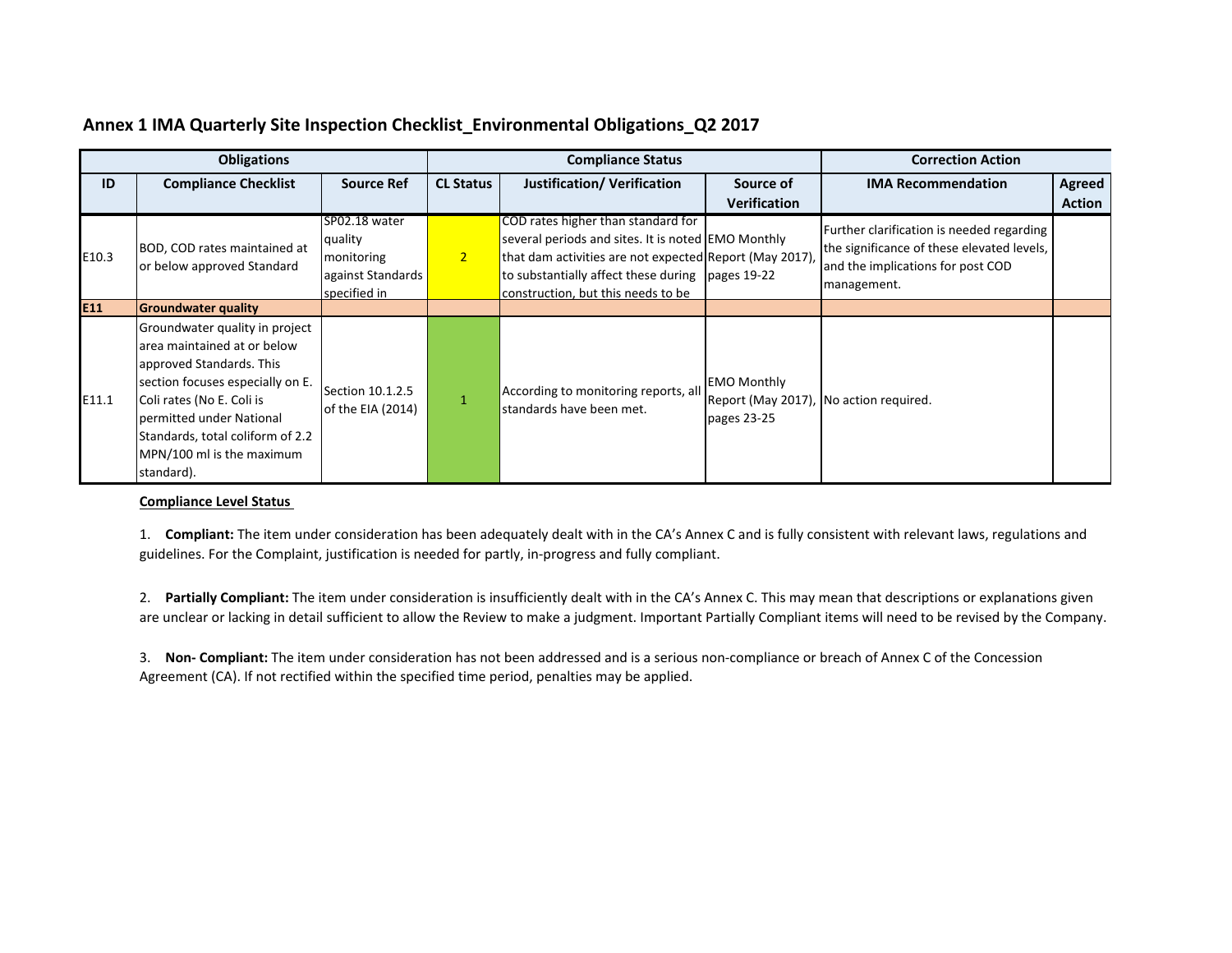|       | <b>Obligations</b>                                                                                                                                                                                                                                                    |                                                                             | <b>Compliance Status</b> |                                                                                                                                                                                                                                               |                                                                             | <b>Correction Action</b>                                                                                                                    |                         |
|-------|-----------------------------------------------------------------------------------------------------------------------------------------------------------------------------------------------------------------------------------------------------------------------|-----------------------------------------------------------------------------|--------------------------|-----------------------------------------------------------------------------------------------------------------------------------------------------------------------------------------------------------------------------------------------|-----------------------------------------------------------------------------|---------------------------------------------------------------------------------------------------------------------------------------------|-------------------------|
| ID    | <b>Compliance Checklist</b>                                                                                                                                                                                                                                           | <b>Source Ref</b>                                                           | <b>CL Status</b>         | <b>Justification/ Verification</b>                                                                                                                                                                                                            | Source of<br><b>Verification</b>                                            | <b>IMA Recommendation</b>                                                                                                                   | Agreed<br><b>Action</b> |
| E10.3 | BOD, COD rates maintained at<br>or below approved Standard                                                                                                                                                                                                            | SP02.18 water<br>quality<br>monitoring<br>against Standards<br>specified in | 2 <sup>1</sup>           | COD rates higher than standard for<br>several periods and sites. It is noted EMO Monthly<br>that dam activities are not expected Report (May 2017),<br>to substantially affect these during pages 19-22<br>construction, but this needs to be |                                                                             | Further clarification is needed regarding<br>the significance of these elevated levels,<br>and the implications for post COD<br>management. |                         |
| E11   | <b>Groundwater quality</b>                                                                                                                                                                                                                                            |                                                                             |                          |                                                                                                                                                                                                                                               |                                                                             |                                                                                                                                             |                         |
| E11.1 | Groundwater quality in project<br>area maintained at or below<br>approved Standards. This<br>section focuses especially on E.<br>Coli rates (No E. Coli is<br>permitted under National<br>Standards, total coliform of 2.2<br>MPN/100 ml is the maximum<br>standard). | Section 10.1.2.5<br>of the EIA (2014)                                       |                          | According to monitoring reports, all<br>standards have been met.                                                                                                                                                                              | <b>EMO Monthly</b><br>Report (May 2017), No action required.<br>pages 23-25 |                                                                                                                                             |                         |

#### **Compliance Level Status**

1. **Compliant:** The item under consideration has been adequately dealt with in the CA's Annex C and is fully consistent with relevant laws, regulations and guidelines. For the Complaint, justification is needed for partly, in‐progress and fully compliant.

2. **Partially Compliant:** The item under consideration is insufficiently dealt with in the CA's Annex C. This may mean that descriptions or explanations given are unclear or lacking in detail sufficient to allow the Review to make <sup>a</sup> judgment. Important Partially Compliant items will need to be revised by the Company.

3. **Non‐ Compliant:** The item under consideration has not been addressed and is <sup>a</sup> serious non‐compliance or breach of Annex C of the Concession Agreement (CA). If not rectified within the specified time period, penalties may be applied.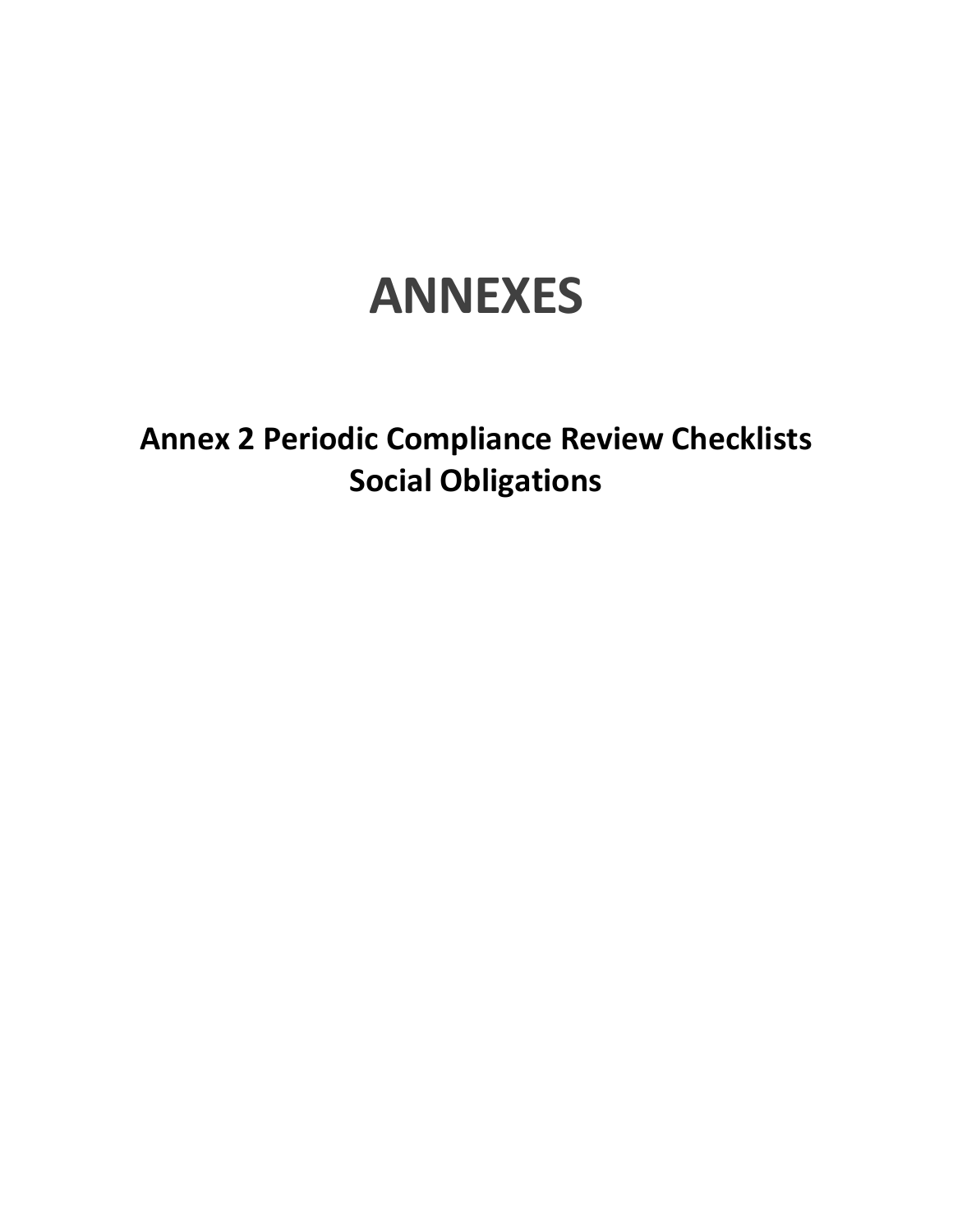# **ANNEXES**

**Annex 2 Periodic Compliance Review Checklists Social Obligations**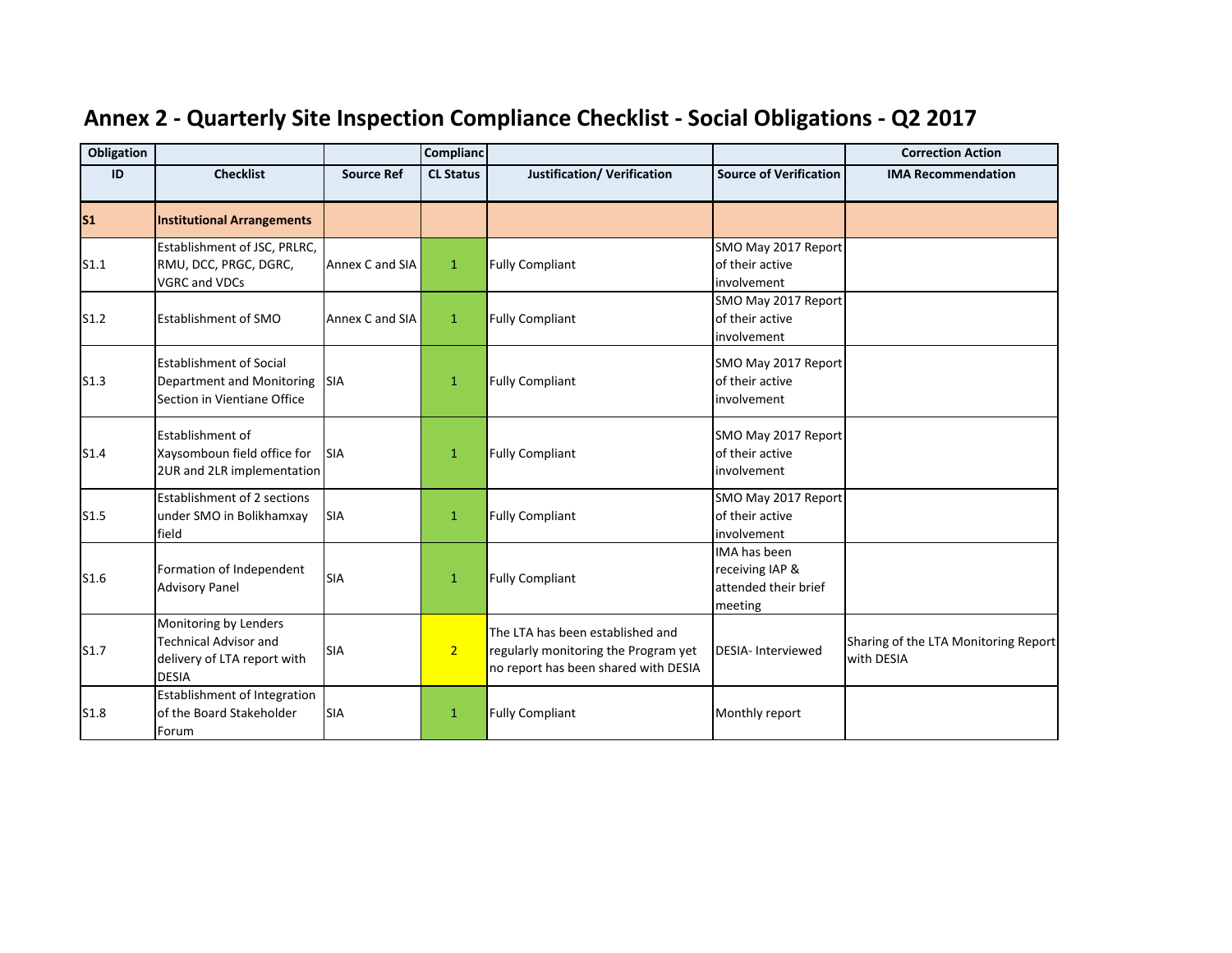| <b>Obligation</b> |                                                                                                      |                   | Complianc        |                                                                                                                  |                                                                    | <b>Correction Action</b>                           |
|-------------------|------------------------------------------------------------------------------------------------------|-------------------|------------------|------------------------------------------------------------------------------------------------------------------|--------------------------------------------------------------------|----------------------------------------------------|
| ID                | <b>Checklist</b>                                                                                     | <b>Source Ref</b> | <b>CL Status</b> | <b>Justification/ Verification</b>                                                                               | <b>Source of Verification</b>                                      | <b>IMA Recommendation</b>                          |
| $\mathsf{s}_1$    | <b>Institutional Arrangements</b>                                                                    |                   |                  |                                                                                                                  |                                                                    |                                                    |
| S1.1              | Establishment of JSC, PRLRC,<br>RMU, DCC, PRGC, DGRC,<br><b>VGRC and VDCs</b>                        | Annex C and SIA   | $\mathbf{1}$     | <b>Fully Compliant</b>                                                                                           | SMO May 2017 Report<br>of their active<br>involvement              |                                                    |
| S1.2              | <b>Establishment of SMO</b>                                                                          | Annex C and SIA   | $\mathbf{1}$     | <b>Fully Compliant</b>                                                                                           | SMO May 2017 Report<br>of their active<br>involvement              |                                                    |
| S1.3              | <b>Establishment of Social</b><br>Department and Monitoring<br>Section in Vientiane Office           | <b>SIA</b>        | $\mathbf{1}$     | <b>Fully Compliant</b>                                                                                           | SMO May 2017 Report<br>of their active<br>involvement              |                                                    |
| S1.4              | Establishment of<br>Xaysomboun field office for<br>2UR and 2LR implementation                        | <b>SIA</b>        | $\mathbf{1}$     | <b>Fully Compliant</b>                                                                                           | SMO May 2017 Report<br>of their active<br>involvement              |                                                    |
| S1.5              | Establishment of 2 sections<br>under SMO in Bolikhamxay<br>field                                     | <b>SIA</b>        | $\mathbf{1}$     | <b>Fully Compliant</b>                                                                                           | SMO May 2017 Report<br>of their active<br>involvement              |                                                    |
| S1.6              | Formation of Independent<br><b>Advisory Panel</b>                                                    | <b>SIA</b>        | $\mathbf{1}$     | <b>Fully Compliant</b>                                                                                           | IMA has been<br>receiving IAP &<br>attended their brief<br>meeting |                                                    |
| S1.7              | Monitoring by Lenders<br><b>Technical Advisor and</b><br>delivery of LTA report with<br><b>DESIA</b> | <b>SIA</b>        | 2 <sub>1</sub>   | The LTA has been established and<br>regularly monitoring the Program yet<br>no report has been shared with DESIA | <b>DESIA-Interviewed</b>                                           | Sharing of the LTA Monitoring Report<br>with DESIA |
| S1.8              | Establishment of Integration<br>of the Board Stakeholder<br>Forum                                    | <b>SIA</b>        | $\mathbf{1}$     | <b>Fully Compliant</b>                                                                                           | Monthly report                                                     |                                                    |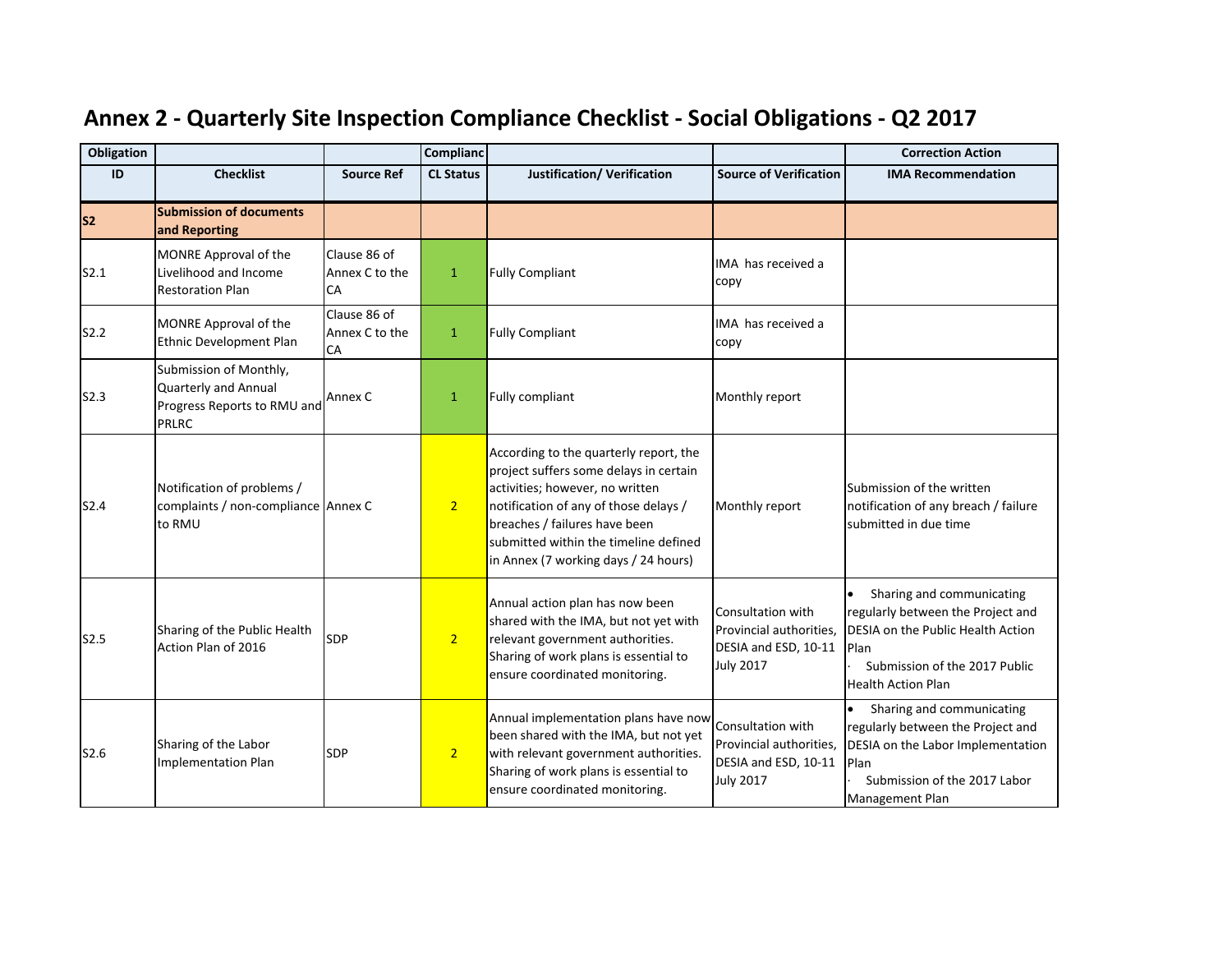| <b>Obligation</b> |                                                                                        |                                      | Complianc        |                                                                                                                                                                                                                                                                                |                                                                                          | <b>Correction Action</b>                                                                                                                                                  |
|-------------------|----------------------------------------------------------------------------------------|--------------------------------------|------------------|--------------------------------------------------------------------------------------------------------------------------------------------------------------------------------------------------------------------------------------------------------------------------------|------------------------------------------------------------------------------------------|---------------------------------------------------------------------------------------------------------------------------------------------------------------------------|
| ID                | <b>Checklist</b>                                                                       | <b>Source Ref</b>                    | <b>CL Status</b> | <b>Justification/ Verification</b>                                                                                                                                                                                                                                             | <b>Source of Verification</b>                                                            | <b>IMA Recommendation</b>                                                                                                                                                 |
| <b>S2</b>         | <b>Submission of documents</b><br>and Reporting                                        |                                      |                  |                                                                                                                                                                                                                                                                                |                                                                                          |                                                                                                                                                                           |
| S2.1              | MONRE Approval of the<br>Livelihood and Income<br><b>Restoration Plan</b>              | Clause 86 of<br>Annex C to the<br>CA | $\mathbf{1}$     | <b>Fully Compliant</b>                                                                                                                                                                                                                                                         | IMA has received a<br>copy                                                               |                                                                                                                                                                           |
| S2.2              | MONRE Approval of the<br>Ethnic Development Plan                                       | Clause 86 of<br>Annex C to the<br>CA | $\mathbf{1}$     | <b>Fully Compliant</b>                                                                                                                                                                                                                                                         | IMA has received a<br>copy                                                               |                                                                                                                                                                           |
| S2.3              | Submission of Monthly,<br>Quarterly and Annual<br>Progress Reports to RMU and<br>PRLRC | Annex C                              | $\mathbf{1}$     | Fully compliant                                                                                                                                                                                                                                                                | Monthly report                                                                           |                                                                                                                                                                           |
| S2.4              | Notification of problems /<br>complaints / non-compliance Annex C<br>to RMU            |                                      | 2 <sup>1</sup>   | According to the quarterly report, the<br>project suffers some delays in certain<br>activities; however, no written<br>notification of any of those delays /<br>breaches / failures have been<br>submitted within the timeline defined<br>in Annex (7 working days / 24 hours) | Monthly report                                                                           | Submission of the written<br>notification of any breach / failure<br>submitted in due time                                                                                |
| S2.5              | Sharing of the Public Health<br>Action Plan of 2016                                    | <b>SDP</b>                           | 2 <sub>1</sub>   | Annual action plan has now been<br>shared with the IMA, but not yet with<br>relevant government authorities.<br>Sharing of work plans is essential to<br>ensure coordinated monitoring.                                                                                        | Consultation with<br>Provincial authorities,<br>DESIA and ESD, 10-11<br><b>July 2017</b> | Sharing and communicating<br>regularly between the Project and<br>DESIA on the Public Health Action<br>Plan<br>Submission of the 2017 Public<br><b>Health Action Plan</b> |
| S2.6              | Sharing of the Labor<br><b>Implementation Plan</b>                                     | SDP                                  | 2 <sup>1</sup>   | Annual implementation plans have now<br>been shared with the IMA, but not yet<br>with relevant government authorities.<br>Sharing of work plans is essential to<br>ensure coordinated monitoring.                                                                              | Consultation with<br>Provincial authorities,<br>DESIA and ESD, 10-11<br><b>July 2017</b> | Sharing and communicating<br>regularly between the Project and<br>DESIA on the Labor Implementation<br>Plan<br>Submission of the 2017 Labor<br><b>Management Plan</b>     |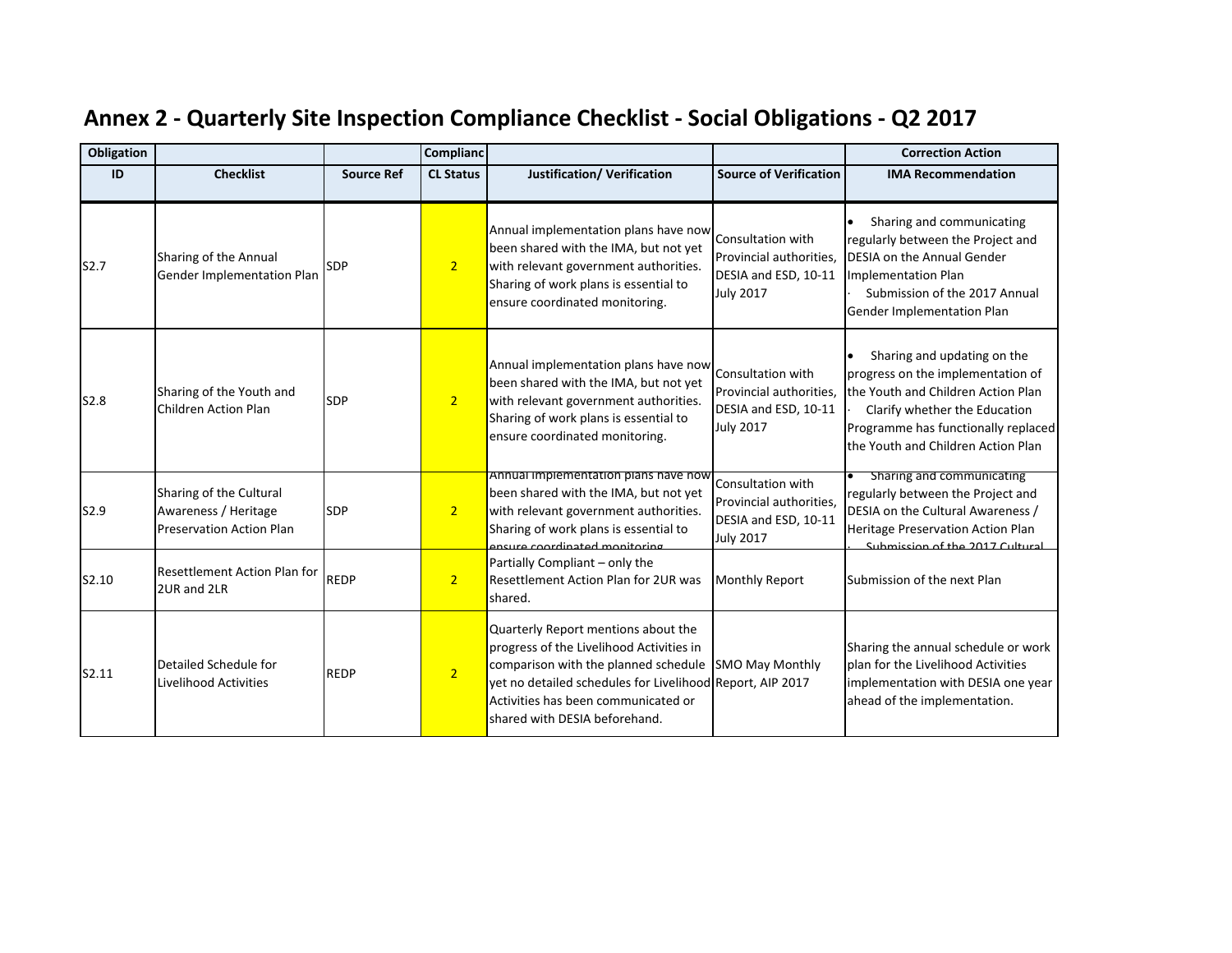| Obligation |                                                                                    |                   | <b>Complianc</b> |                                                                                                                                                                                                                                                              |                                                                                          | <b>Correction Action</b>                                                                                                                                                                                             |
|------------|------------------------------------------------------------------------------------|-------------------|------------------|--------------------------------------------------------------------------------------------------------------------------------------------------------------------------------------------------------------------------------------------------------------|------------------------------------------------------------------------------------------|----------------------------------------------------------------------------------------------------------------------------------------------------------------------------------------------------------------------|
| ID         | <b>Checklist</b>                                                                   | <b>Source Ref</b> | <b>CL Status</b> | <b>Justification/ Verification</b>                                                                                                                                                                                                                           | <b>Source of Verification</b>                                                            | <b>IMA Recommendation</b>                                                                                                                                                                                            |
| S2.7       | Sharing of the Annual<br>Gender Implementation Plan                                | <b>SDP</b>        | 2 <sup>1</sup>   | Annual implementation plans have now<br>been shared with the IMA, but not yet<br>with relevant government authorities.<br>Sharing of work plans is essential to<br>ensure coordinated monitoring.                                                            | Consultation with<br>Provincial authorities,<br>DESIA and ESD, 10-11<br><b>July 2017</b> | Sharing and communicating<br>regularly between the Project and<br><b>DESIA on the Annual Gender</b><br>Implementation Plan<br>Submission of the 2017 Annual<br><b>Gender Implementation Plan</b>                     |
| S2.8       | Sharing of the Youth and<br>Children Action Plan                                   | <b>SDP</b>        | 2 <sup>1</sup>   | Annual implementation plans have now<br>been shared with the IMA, but not yet<br>with relevant government authorities.<br>Sharing of work plans is essential to<br>ensure coordinated monitoring.                                                            | Consultation with<br>Provincial authorities,<br>DESIA and ESD, 10-11<br><b>July 2017</b> | Sharing and updating on the<br>progress on the implementation of<br>the Youth and Children Action Plan<br>Clarify whether the Education<br>Programme has functionally replaced<br>the Youth and Children Action Plan |
| S2.9       | Sharing of the Cultural<br>Awareness / Heritage<br><b>Preservation Action Plan</b> | <b>SDP</b>        | 2 <sup>1</sup>   | Annual implementation plans have now<br>been shared with the IMA, but not yet<br>with relevant government authorities.<br>Sharing of work plans is essential to<br>ensure coordinated monitoring                                                             | Consultation with<br>Provincial authorities,<br>DESIA and ESD, 10-11<br><b>July 2017</b> | Sharing and communicating<br>regularly between the Project and<br>DESIA on the Cultural Awareness /<br>Heritage Preservation Action Plan<br>Submission of the 2017 Cultural                                          |
| S2.10      | <b>Resettlement Action Plan for</b><br>2UR and 2LR                                 | <b>REDP</b>       | 2 <sup>1</sup>   | Partially Compliant - only the<br>Resettlement Action Plan for 2UR was<br>shared.                                                                                                                                                                            | <b>Monthly Report</b>                                                                    | Submission of the next Plan                                                                                                                                                                                          |
| S2.11      | Detailed Schedule for<br>Livelihood Activities                                     | <b>REDP</b>       | $\overline{2}$   | Quarterly Report mentions about the<br>progress of the Livelihood Activities in<br>comparison with the planned schedule<br>yet no detailed schedules for Livelihood Report, AIP 2017<br>Activities has been communicated or<br>shared with DESIA beforehand. | <b>SMO May Monthly</b>                                                                   | Sharing the annual schedule or work<br>plan for the Livelihood Activities<br>implementation with DESIA one year<br>ahead of the implementation.                                                                      |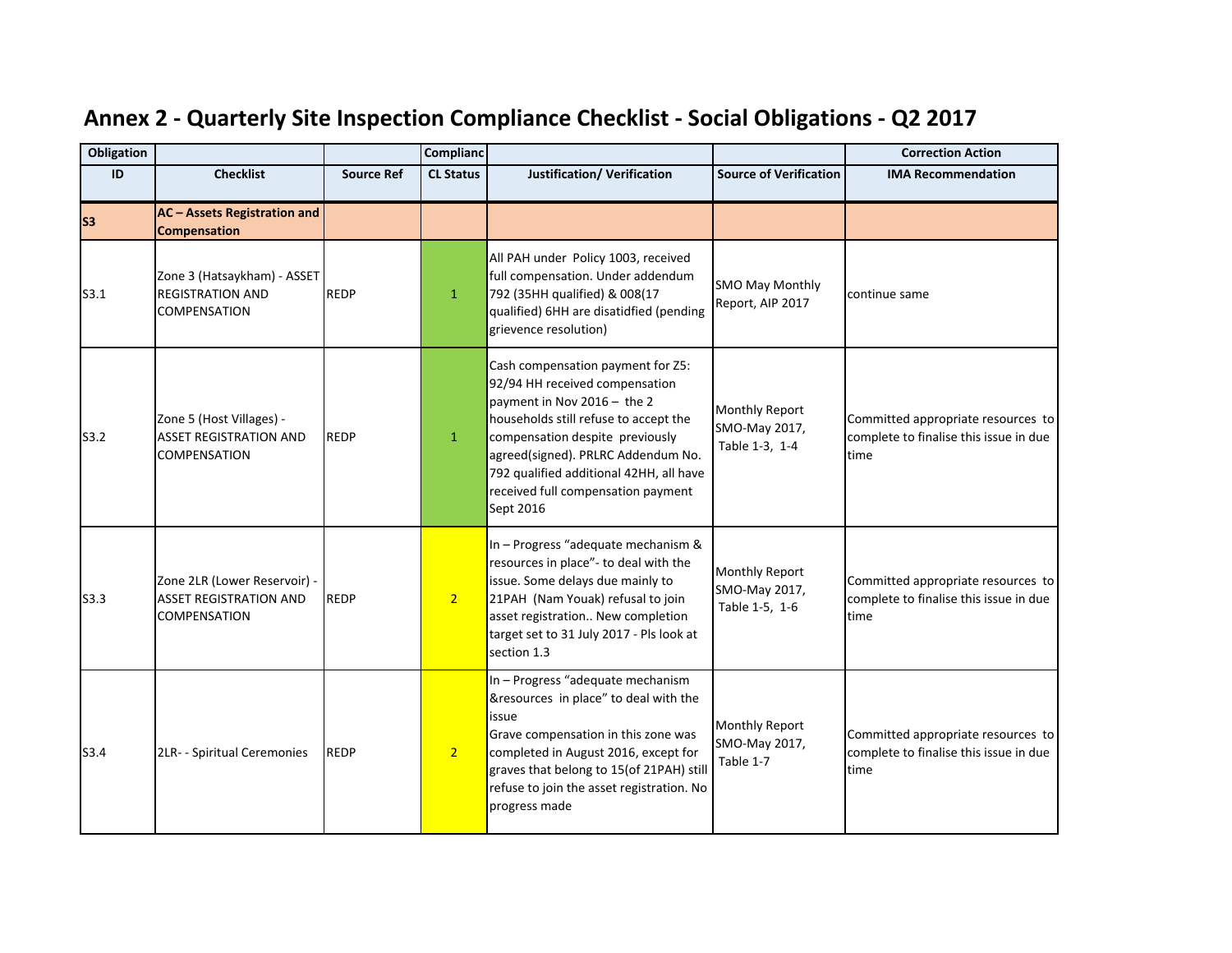| <b>Obligation</b> |                                                                                      |                   | <b>Complianc</b> |                                                                                                                                                                                                                                                                                                                    |                                                          | <b>Correction Action</b>                                                             |
|-------------------|--------------------------------------------------------------------------------------|-------------------|------------------|--------------------------------------------------------------------------------------------------------------------------------------------------------------------------------------------------------------------------------------------------------------------------------------------------------------------|----------------------------------------------------------|--------------------------------------------------------------------------------------|
| ID                | <b>Checklist</b>                                                                     | <b>Source Ref</b> | <b>CL Status</b> | Justification/ Verification                                                                                                                                                                                                                                                                                        | <b>Source of Verification</b>                            | <b>IMA Recommendation</b>                                                            |
| S <sub>3</sub>    | <b>AC</b> - Assets Registration and<br><b>Compensation</b>                           |                   |                  |                                                                                                                                                                                                                                                                                                                    |                                                          |                                                                                      |
| S3.1              | Zone 3 (Hatsaykham) - ASSET<br><b>REGISTRATION AND</b><br><b>COMPENSATION</b>        | <b>REDP</b>       | 1                | All PAH under Policy 1003, received<br>full compensation. Under addendum<br>792 (35HH qualified) & 008(17<br>qualified) 6HH are disatidfied (pending<br>grievence resolution)                                                                                                                                      | <b>SMO May Monthly</b><br>Report, AIP 2017               | continue same                                                                        |
| S3.2              | Zone 5 (Host Villages) -<br><b>ASSET REGISTRATION AND</b><br><b>COMPENSATION</b>     | <b>REDP</b>       | $\mathbf{1}$     | Cash compensation payment for Z5:<br>92/94 HH received compensation<br>payment in Nov 2016 - the 2<br>households still refuse to accept the<br>compensation despite previously<br>agreed(signed). PRLRC Addendum No.<br>792 qualified additional 42HH, all have<br>received full compensation payment<br>Sept 2016 | <b>Monthly Report</b><br>SMO-May 2017,<br>Table 1-3, 1-4 | Committed appropriate resources to<br>complete to finalise this issue in due<br>time |
| S3.3              | Zone 2LR (Lower Reservoir) -<br><b>ASSET REGISTRATION AND</b><br><b>COMPENSATION</b> | <b>REDP</b>       | 2 <sup>1</sup>   | In - Progress "adequate mechanism &<br>resources in place"- to deal with the<br>issue. Some delays due mainly to<br>21PAH (Nam Youak) refusal to join<br>asset registration New completion<br>target set to 31 July 2017 - Pls look at<br>section 1.3                                                              | <b>Monthly Report</b><br>SMO-May 2017,<br>Table 1-5, 1-6 | Committed appropriate resources to<br>complete to finalise this issue in due<br>time |
| S3.4              | 2LR- - Spiritual Ceremonies                                                          | <b>REDP</b>       | 2 <sup>1</sup>   | In - Progress "adequate mechanism<br>&resources in place" to deal with the<br>issue<br>Grave compensation in this zone was<br>completed in August 2016, except for<br>graves that belong to 15(of 21PAH) still<br>refuse to join the asset registration. No<br>progress made                                       | <b>Monthly Report</b><br>SMO-May 2017,<br>Table 1-7      | Committed appropriate resources to<br>complete to finalise this issue in due<br>time |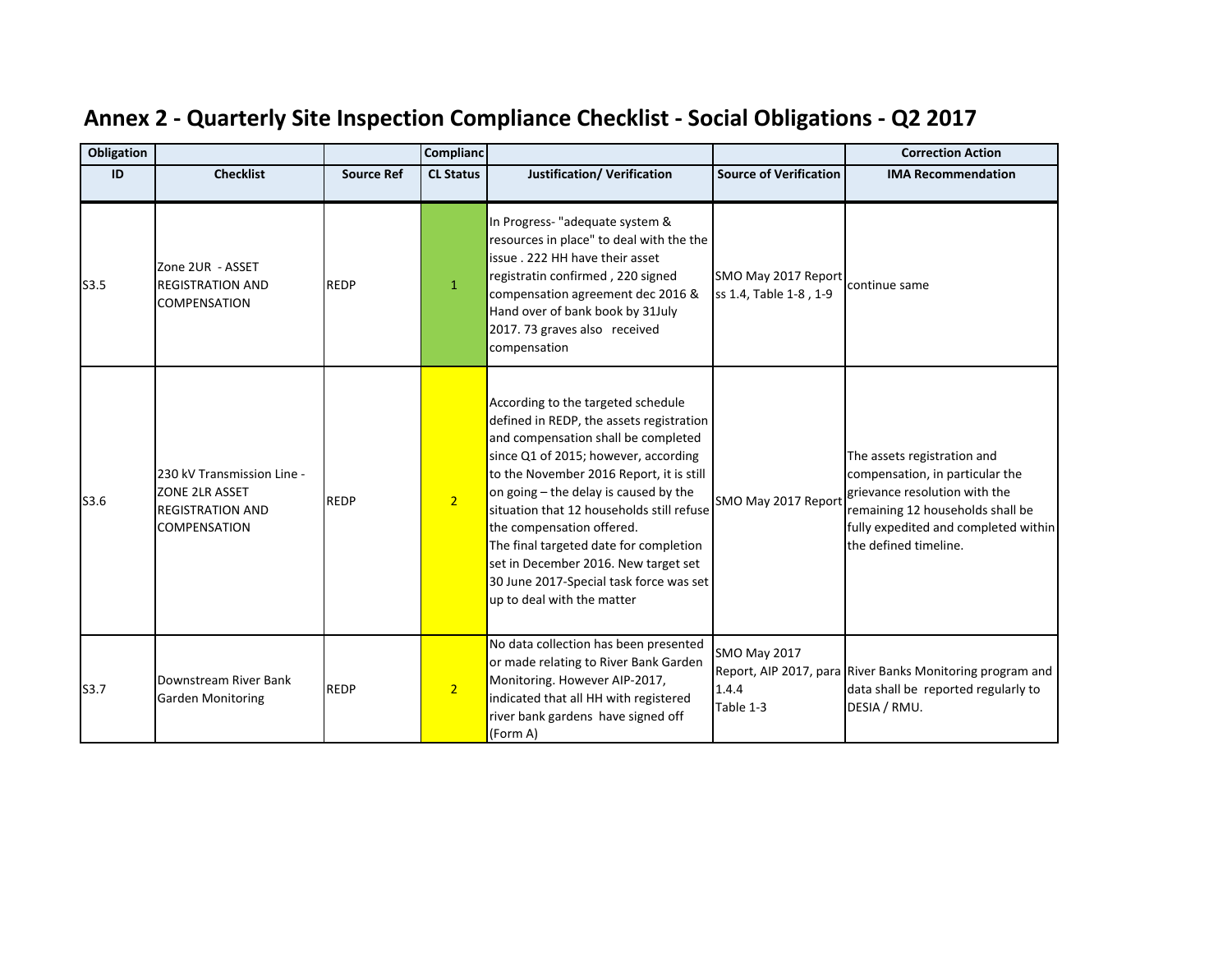| Obligation |                                                                                         |                   | <b>Complianc</b> |                                                                                                                                                                                                                                                                                                                                                                                                                                                                                         |                                               | <b>Correction Action</b>                                                                                                                                                                             |
|------------|-----------------------------------------------------------------------------------------|-------------------|------------------|-----------------------------------------------------------------------------------------------------------------------------------------------------------------------------------------------------------------------------------------------------------------------------------------------------------------------------------------------------------------------------------------------------------------------------------------------------------------------------------------|-----------------------------------------------|------------------------------------------------------------------------------------------------------------------------------------------------------------------------------------------------------|
| ID         | <b>Checklist</b>                                                                        | <b>Source Ref</b> | <b>CL Status</b> | Justification/ Verification                                                                                                                                                                                                                                                                                                                                                                                                                                                             | <b>Source of Verification</b>                 | <b>IMA Recommendation</b>                                                                                                                                                                            |
| S3.5       | Zone 2UR - ASSET<br><b>REGISTRATION AND</b><br><b>COMPENSATION</b>                      | <b>REDP</b>       | $\mathbf{1}$     | In Progress- "adequate system &<br>resources in place" to deal with the the<br>issue, 222 HH have their asset<br>registratin confirmed, 220 signed<br>compensation agreement dec 2016 &<br>Hand over of bank book by 31July<br>2017. 73 graves also received<br>compensation                                                                                                                                                                                                            | SMO May 2017 Report<br>ss 1.4, Table 1-8, 1-9 | continue same                                                                                                                                                                                        |
| S3.6       | 230 kV Transmission Line -<br>ZONE 2LR ASSET<br><b>REGISTRATION AND</b><br>COMPENSATION | <b>REDP</b>       | 2 <sup>1</sup>   | According to the targeted schedule<br>defined in REDP, the assets registration<br>and compensation shall be completed<br>since Q1 of 2015; however, according<br>to the November 2016 Report, it is still<br>on going - the delay is caused by the<br>situation that 12 households still refuse<br>the compensation offered.<br>The final targeted date for completion<br>set in December 2016. New target set<br>30 June 2017-Special task force was set<br>up to deal with the matter | SMO May 2017 Report                           | The assets registration and<br>compensation, in particular the<br>grievance resolution with the<br>remaining 12 households shall be<br>fully expedited and completed within<br>the defined timeline. |
| S3.7       | Downstream River Bank<br><b>Garden Monitoring</b>                                       | <b>REDP</b>       | $\overline{2}$   | No data collection has been presented<br>or made relating to River Bank Garden<br>Monitoring. However AIP-2017,<br>indicated that all HH with registered<br>river bank gardens have signed off<br>(Form A)                                                                                                                                                                                                                                                                              | <b>SMO May 2017</b><br>1.4.4<br>Table 1-3     | Report, AIP 2017, para River Banks Monitoring program and<br>data shall be reported regularly to<br>DESIA / RMU.                                                                                     |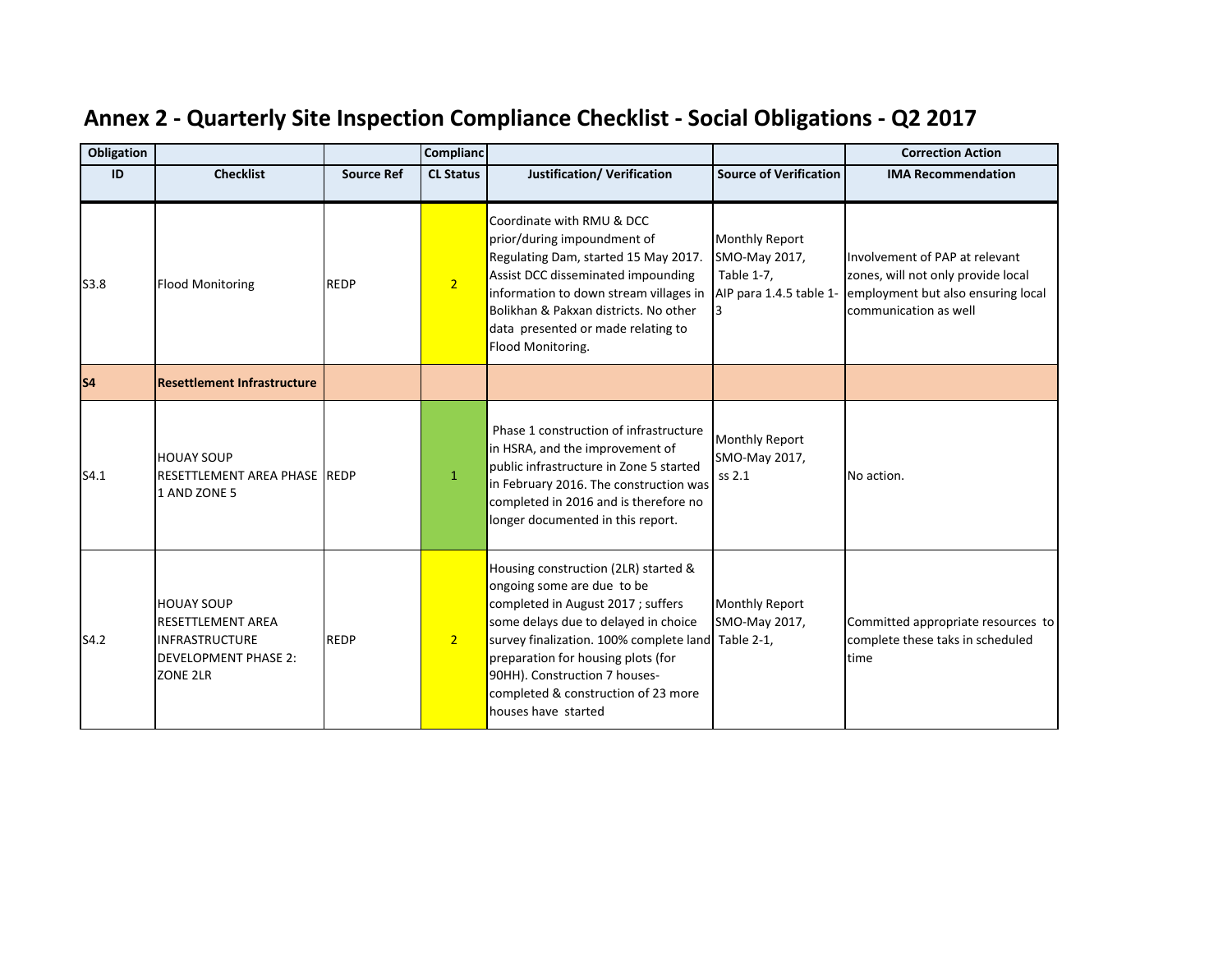| <b>Obligation</b> |                                                                                                                   |                   | Complianc        |                                                                                                                                                                                                                                                                                                                                            |                                                                                 | <b>Correction Action</b>                                                                                                            |
|-------------------|-------------------------------------------------------------------------------------------------------------------|-------------------|------------------|--------------------------------------------------------------------------------------------------------------------------------------------------------------------------------------------------------------------------------------------------------------------------------------------------------------------------------------------|---------------------------------------------------------------------------------|-------------------------------------------------------------------------------------------------------------------------------------|
| ID                | <b>Checklist</b>                                                                                                  | <b>Source Ref</b> | <b>CL Status</b> | <b>Justification/ Verification</b>                                                                                                                                                                                                                                                                                                         | <b>Source of Verification</b>                                                   | <b>IMA Recommendation</b>                                                                                                           |
| S3.8              | <b>Flood Monitoring</b>                                                                                           | <b>REDP</b>       | $\overline{2}$   | Coordinate with RMU & DCC<br>prior/during impoundment of<br>Regulating Dam, started 15 May 2017.<br>Assist DCC disseminated impounding<br>information to down stream villages in<br>Bolikhan & Pakxan districts. No other<br>data presented or made relating to<br>Flood Monitoring.                                                       | <b>Monthly Report</b><br>SMO-May 2017,<br>Table 1-7,<br>AIP para 1.4.5 table 1- | Involvement of PAP at relevant<br>zones, will not only provide local<br>employment but also ensuring local<br>communication as well |
| s <sub>4</sub>    | <b>Resettlement Infrastructure</b>                                                                                |                   |                  |                                                                                                                                                                                                                                                                                                                                            |                                                                                 |                                                                                                                                     |
| S4.1              | <b>HOUAY SOUP</b><br>RESETTLEMENT AREA PHASE IREDP<br>1 AND ZONE 5                                                |                   | $\mathbf{1}$     | Phase 1 construction of infrastructure<br>in HSRA, and the improvement of<br>public infrastructure in Zone 5 started<br>in February 2016. The construction was<br>completed in 2016 and is therefore no<br>longer documented in this report.                                                                                               | <b>Monthly Report</b><br>SMO-May 2017,<br>ss 2.1                                | No action.                                                                                                                          |
| S4.2              | <b>HOUAY SOUP</b><br><b>RESETTLEMENT AREA</b><br><b>INFRASTRUCTURE</b><br><b>DEVELOPMENT PHASE 2:</b><br>ZONE 2LR | <b>REDP</b>       | 2 <sup>2</sup>   | Housing construction (2LR) started &<br>ongoing some are due to be<br>completed in August 2017; suffers<br>some delays due to delayed in choice<br>survey finalization. 100% complete land Table 2-1,<br>preparation for housing plots (for<br>90HH). Construction 7 houses-<br>completed & construction of 23 more<br>houses have started | <b>Monthly Report</b><br>SMO-May 2017,                                          | Committed appropriate resources to<br>complete these taks in scheduled<br>time                                                      |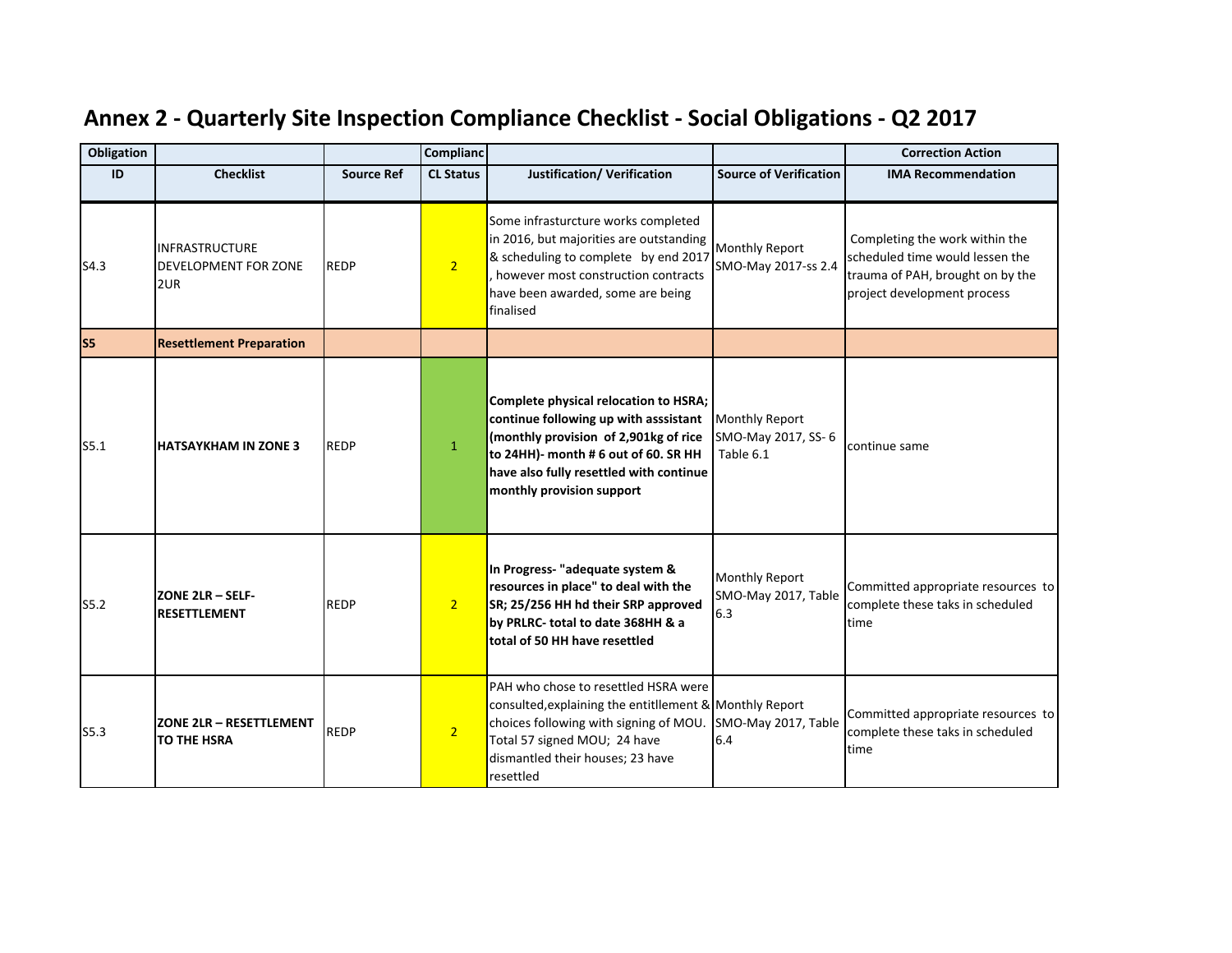| Obligation     |                                                      |                   | <b>Complianc</b> |                                                                                                                                                                                                                                         |                                                          | <b>Correction Action</b>                                                                                                             |
|----------------|------------------------------------------------------|-------------------|------------------|-----------------------------------------------------------------------------------------------------------------------------------------------------------------------------------------------------------------------------------------|----------------------------------------------------------|--------------------------------------------------------------------------------------------------------------------------------------|
| ID             | <b>Checklist</b>                                     | <b>Source Ref</b> | <b>CL Status</b> | <b>Justification/ Verification</b>                                                                                                                                                                                                      | <b>Source of Verification</b>                            | <b>IMA Recommendation</b>                                                                                                            |
| S4.3           | <b>INFRASTRUCTURE</b><br>DEVELOPMENT FOR ZONE<br>2UR | <b>REDP</b>       | 2 <sup>1</sup>   | Some infrasturcture works completed<br>in 2016, but majorities are outstanding<br>& scheduling to complete by end 2017<br>however most construction contracts<br>have been awarded, some are being<br>finalised                         | Monthly Report<br>SMO-May 2017-ss 2.4                    | Completing the work within the<br>scheduled time would lessen the<br>trauma of PAH, brought on by the<br>project development process |
| S <sub>5</sub> | <b>Resettlement Preparation</b>                      |                   |                  |                                                                                                                                                                                                                                         |                                                          |                                                                                                                                      |
| S5.1           | <b>HATSAYKHAM IN ZONE 3</b>                          | <b>REDP</b>       | $\mathbf{1}$     | Complete physical relocation to HSRA;<br>continue following up with asssistant<br>(monthly provision of 2,901kg of rice<br>to 24HH)- month # 6 out of 60. SR HH<br>have also fully resettled with continue<br>monthly provision support | <b>Monthly Report</b><br>SMO-May 2017, SS-6<br>Table 6.1 | continue same                                                                                                                        |
| S5.2           | <b>ZONE 2LR - SELF-</b><br><b>RESETTLEMENT</b>       | <b>REDP</b>       | 2 <sup>1</sup>   | In Progress- "adequate system &<br>resources in place" to deal with the<br>SR; 25/256 HH hd their SRP approved<br>by PRLRC-total to date 368HH & a<br>total of 50 HH have resettled                                                     | <b>Monthly Report</b><br>SMO-May 2017, Table<br>6.3      | Committed appropriate resources to<br>complete these taks in scheduled<br>time                                                       |
| S5.3           | <b>ZONE 2LR - RESETTLEMENT</b><br>TO THE HSRA        | <b>REDP</b>       | $\overline{2}$   | PAH who chose to resettled HSRA were<br>consulted, explaining the entitllement & Monthly Report<br>choices following with signing of MOU.<br>Total 57 signed MOU; 24 have<br>dismantled their houses; 23 have<br>resettled              | SMO-May 2017, Table<br>6.4                               | Committed appropriate resources to<br>complete these taks in scheduled<br>time                                                       |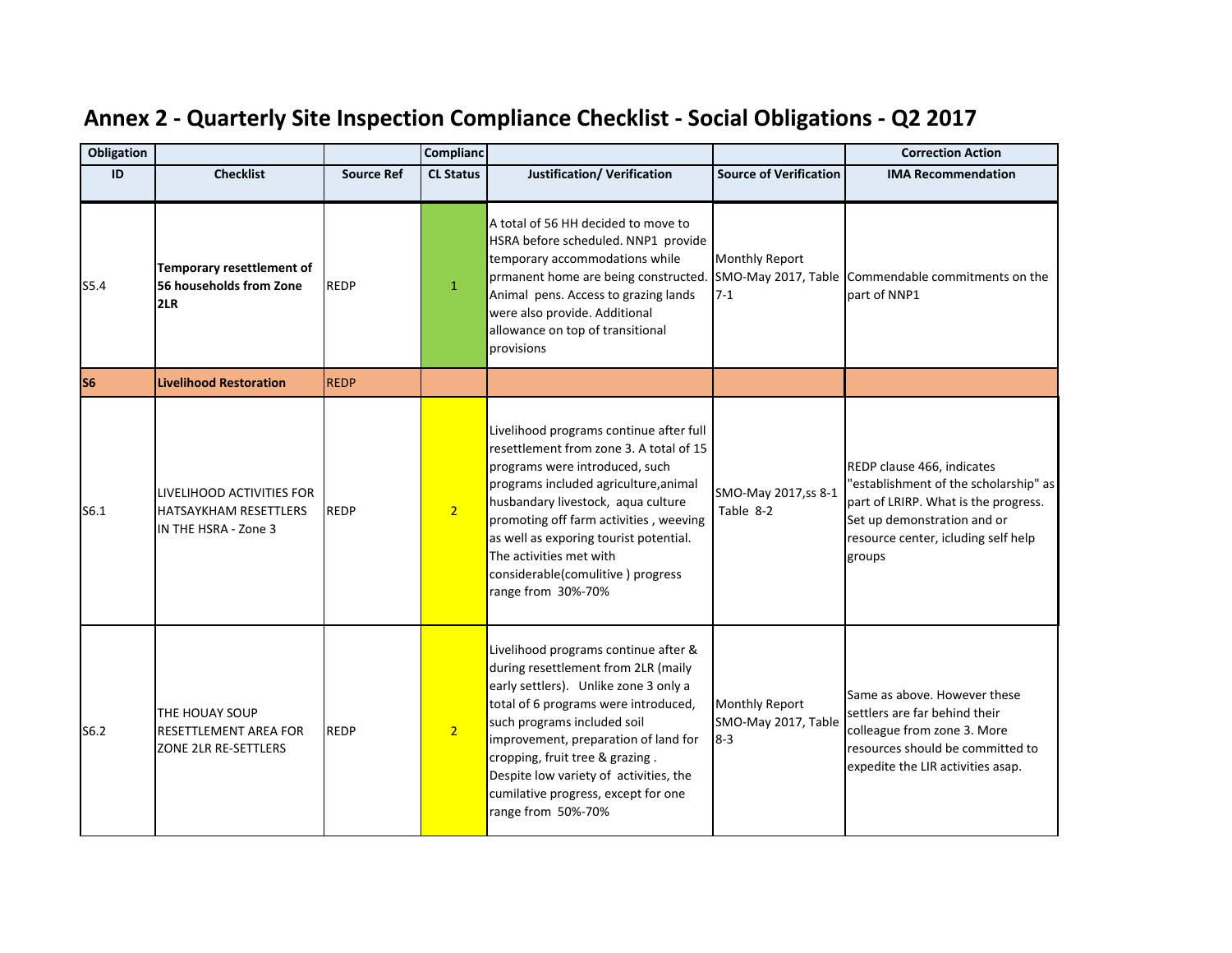| <b>Obligation</b> |                                                                            |                   | <b>Complianc</b> |                                                                                                                                                                                                                                                                                                                                                                               |                                                         | <b>Correction Action</b>                                                                                                                                                                    |
|-------------------|----------------------------------------------------------------------------|-------------------|------------------|-------------------------------------------------------------------------------------------------------------------------------------------------------------------------------------------------------------------------------------------------------------------------------------------------------------------------------------------------------------------------------|---------------------------------------------------------|---------------------------------------------------------------------------------------------------------------------------------------------------------------------------------------------|
| ID                | <b>Checklist</b>                                                           | <b>Source Ref</b> | <b>CL Status</b> | <b>Justification/ Verification</b>                                                                                                                                                                                                                                                                                                                                            | <b>Source of Verification</b>                           | <b>IMA Recommendation</b>                                                                                                                                                                   |
| S5.4              | Temporary resettlement of<br>56 households from Zone<br>2LR                | <b>REDP</b>       | $\mathbf{1}$     | A total of 56 HH decided to move to<br>HSRA before scheduled. NNP1 provide<br>temporary accommodations while<br>prmanent home are being constructed.<br>Animal pens. Access to grazing lands<br>were also provide. Additional<br>allowance on top of transitional<br>provisions                                                                                               | <b>Monthly Report</b><br>$7-1$                          | SMO-May 2017, Table Commendable commitments on the<br>part of NNP1                                                                                                                          |
| S <sub>6</sub>    | <b>Livelihood Restoration</b>                                              | <b>REDP</b>       |                  |                                                                                                                                                                                                                                                                                                                                                                               |                                                         |                                                                                                                                                                                             |
| S6.1              | LIVELIHOOD ACTIVITIES FOR<br>HATSAYKHAM RESETTLERS<br>IN THE HSRA - Zone 3 | <b>REDP</b>       | 2 <sup>1</sup>   | Livelihood programs continue after full<br>resettlement from zone 3. A total of 15<br>programs were introduced, such<br>programs included agriculture, animal<br>husbandary livestock, aqua culture<br>promoting off farm activities, weeving<br>as well as exporing tourist potential.<br>The activities met with<br>considerable(comulitive) progress<br>range from 30%-70% | SMO-May 2017, ss 8-1<br>Table 8-2                       | REDP clause 466, indicates<br>"establishment of the scholarship" as<br>part of LRIRP. What is the progress.<br>Set up demonstration and or<br>resource center, icluding self help<br>groups |
| S6.2              | THE HOUAY SOUP<br><b>RESETTLEMENT AREA FOR</b><br>ZONE 2LR RE-SETTLERS     | <b>REDP</b>       | 2 <sup>1</sup>   | Livelihood programs continue after &<br>during resettlement from 2LR (maily<br>early settlers). Unlike zone 3 only a<br>total of 6 programs were introduced,<br>such programs included soil<br>improvement, preparation of land for<br>cropping, fruit tree & grazing.<br>Despite low variety of activities, the<br>cumilative progress, except for one<br>range from 50%-70% | <b>Monthly Report</b><br>SMO-May 2017, Table<br>$8 - 3$ | Same as above. However these<br>settlers are far behind their<br>colleague from zone 3. More<br>resources should be committed to<br>expedite the LIR activities asap.                       |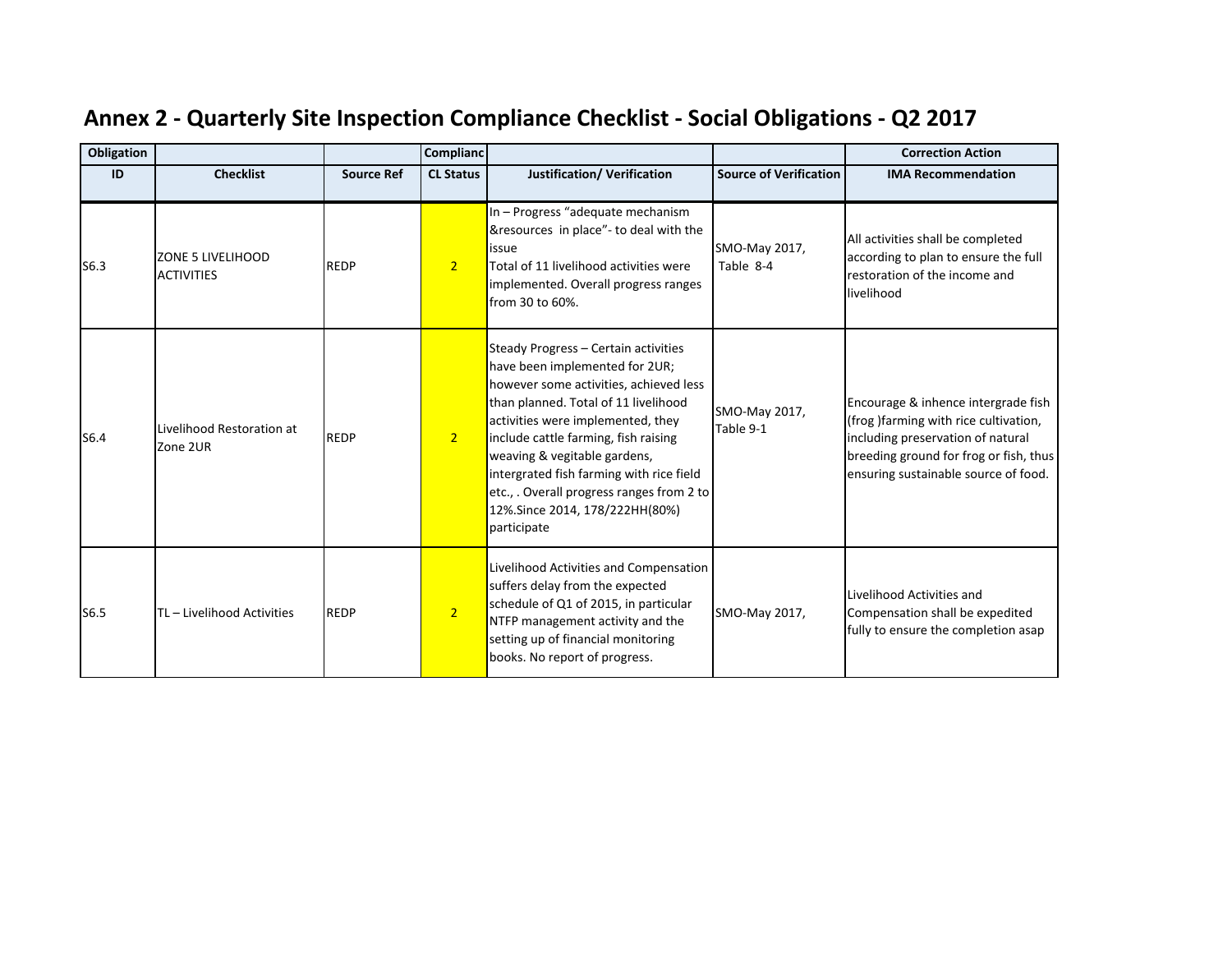| Obligation |                                        |                   | <b>Complianc</b> |                                                                                                                                                                                                                                                                                                                                                                                                                 |                               | <b>Correction Action</b>                                                                                                                                                                            |
|------------|----------------------------------------|-------------------|------------------|-----------------------------------------------------------------------------------------------------------------------------------------------------------------------------------------------------------------------------------------------------------------------------------------------------------------------------------------------------------------------------------------------------------------|-------------------------------|-----------------------------------------------------------------------------------------------------------------------------------------------------------------------------------------------------|
| ID         | <b>Checklist</b>                       | <b>Source Ref</b> | <b>CL Status</b> | Justification/ Verification                                                                                                                                                                                                                                                                                                                                                                                     | <b>Source of Verification</b> | <b>IMA Recommendation</b>                                                                                                                                                                           |
| S6.3       | ZONE 5 LIVELIHOOD<br><b>ACTIVITIES</b> | <b>REDP</b>       | 2 <sup>2</sup>   | In - Progress "adequate mechanism<br>&resources in place"- to deal with the<br>issue<br>Total of 11 livelihood activities were<br>implemented. Overall progress ranges<br>from 30 to 60%.                                                                                                                                                                                                                       | SMO-May 2017,<br>Table 8-4    | All activities shall be completed<br>according to plan to ensure the full<br>restoration of the income and<br>livelihood                                                                            |
| S6.4       | Livelihood Restoration at<br>Zone 2UR  | <b>REDP</b>       | 2 <sup>1</sup>   | Steady Progress - Certain activities<br>have been implemented for 2UR;<br>however some activities, achieved less<br>than planned. Total of 11 livelihood<br>activities were implemented, they<br>include cattle farming, fish raising<br>weaving & vegitable gardens,<br>intergrated fish farming with rice field<br>etc., . Overall progress ranges from 2 to<br>12%.Since 2014, 178/222HH(80%)<br>participate | SMO-May 2017,<br>Table 9-1    | Encourage & inhence intergrade fish<br>(frog) farming with rice cultivation,<br>including preservation of natural<br>breeding ground for frog or fish, thus<br>ensuring sustainable source of food. |
| S6.5       | TL - Livelihood Activities             | <b>REDP</b>       | $\overline{2}$   | Livelihood Activities and Compensation<br>suffers delay from the expected<br>schedule of Q1 of 2015, in particular<br>NTFP management activity and the<br>setting up of financial monitoring<br>books. No report of progress.                                                                                                                                                                                   | SMO-May 2017,                 | Livelihood Activities and<br>Compensation shall be expedited<br>fully to ensure the completion asap                                                                                                 |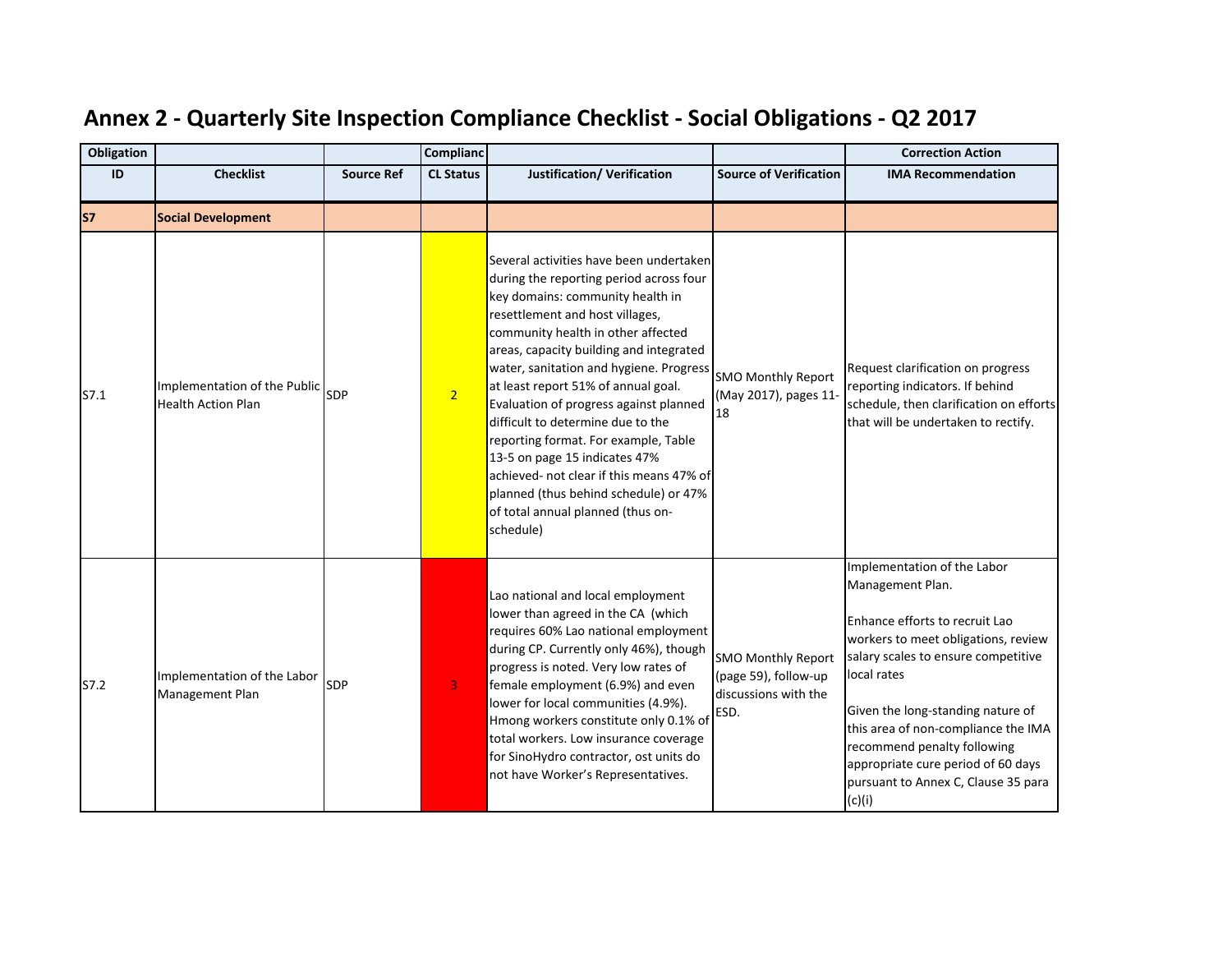| <b>Obligation</b> |                                                           |                   | Complianc        |                                                                                                                                                                                                                                                                                                                                                                                                                                                                                                                                                                                                                             |                                                                                   | <b>Correction Action</b>                                                                                                                                                                                                                                                                                                                                                         |
|-------------------|-----------------------------------------------------------|-------------------|------------------|-----------------------------------------------------------------------------------------------------------------------------------------------------------------------------------------------------------------------------------------------------------------------------------------------------------------------------------------------------------------------------------------------------------------------------------------------------------------------------------------------------------------------------------------------------------------------------------------------------------------------------|-----------------------------------------------------------------------------------|----------------------------------------------------------------------------------------------------------------------------------------------------------------------------------------------------------------------------------------------------------------------------------------------------------------------------------------------------------------------------------|
| ID                | <b>Checklist</b>                                          | <b>Source Ref</b> | <b>CL Status</b> | Justification/ Verification                                                                                                                                                                                                                                                                                                                                                                                                                                                                                                                                                                                                 | <b>Source of Verification</b>                                                     | <b>IMA Recommendation</b>                                                                                                                                                                                                                                                                                                                                                        |
| S7                | <b>Social Development</b>                                 |                   |                  |                                                                                                                                                                                                                                                                                                                                                                                                                                                                                                                                                                                                                             |                                                                                   |                                                                                                                                                                                                                                                                                                                                                                                  |
| S7.1              | Implementation of the Public<br><b>Health Action Plan</b> | SDP               | $\overline{2}$   | Several activities have been undertaken<br>during the reporting period across four<br>key domains: community health in<br>resettlement and host villages,<br>community health in other affected<br>areas, capacity building and integrated<br>water, sanitation and hygiene. Progress<br>at least report 51% of annual goal.<br>Evaluation of progress against planned<br>difficult to determine due to the<br>reporting format. For example, Table<br>13-5 on page 15 indicates 47%<br>achieved- not clear if this means 47% of<br>planned (thus behind schedule) or 47%<br>of total annual planned (thus on-<br>schedule) | <b>SMO Monthly Report</b><br>(May 2017), pages 11-<br>18                          | Request clarification on progress<br>reporting indicators. If behind<br>schedule, then clarification on efforts<br>that will be undertaken to rectify.                                                                                                                                                                                                                           |
| S7.2              | Implementation of the Labor<br>Management Plan            | <b>SDP</b>        | 3                | Lao national and local employment<br>lower than agreed in the CA (which<br>requires 60% Lao national employment<br>during CP. Currently only 46%), though<br>progress is noted. Very low rates of<br>female employment (6.9%) and even<br>lower for local communities (4.9%).<br>Hmong workers constitute only 0.1% of<br>total workers. Low insurance coverage<br>for SinoHydro contractor, ost units do<br>not have Worker's Representatives.                                                                                                                                                                             | <b>SMO Monthly Report</b><br>(page 59), follow-up<br>discussions with the<br>ESD. | Implementation of the Labor<br>Management Plan.<br>Enhance efforts to recruit Lao<br>workers to meet obligations, review<br>salary scales to ensure competitive<br>local rates<br>Given the long-standing nature of<br>this area of non-compliance the IMA<br>recommend penalty following<br>appropriate cure period of 60 days<br>pursuant to Annex C, Clause 35 para<br>(c)(i) |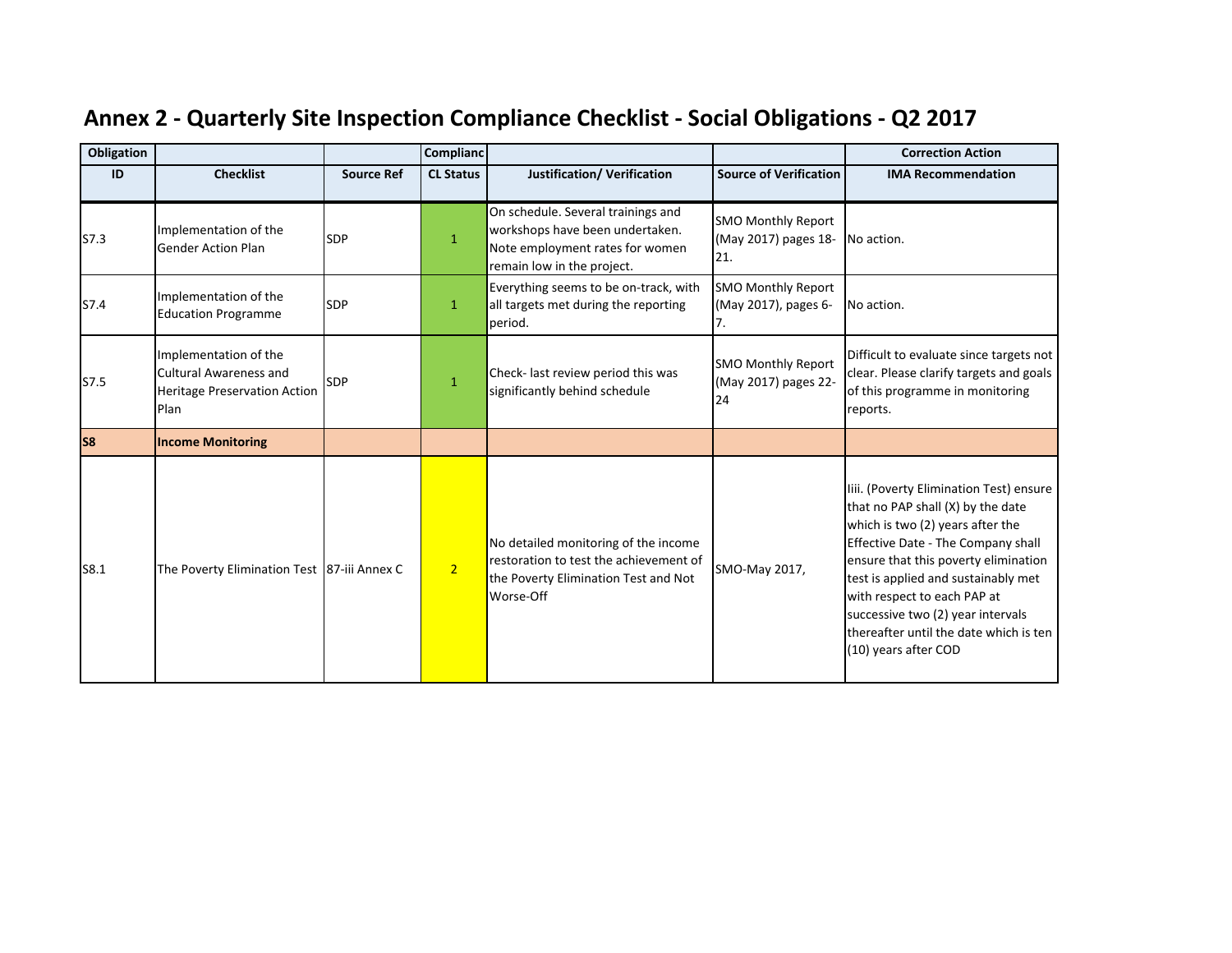| Obligation     |                                                                                                       |                   | <b>Complianc</b> |                                                                                                                                        |                                                          | <b>Correction Action</b>                                                                                                                                                                                                                                                                                                                                                    |
|----------------|-------------------------------------------------------------------------------------------------------|-------------------|------------------|----------------------------------------------------------------------------------------------------------------------------------------|----------------------------------------------------------|-----------------------------------------------------------------------------------------------------------------------------------------------------------------------------------------------------------------------------------------------------------------------------------------------------------------------------------------------------------------------------|
| ID             | <b>Checklist</b>                                                                                      | <b>Source Ref</b> | <b>CL Status</b> | <b>Justification/ Verification</b>                                                                                                     | <b>Source of Verification</b>                            | <b>IMA Recommendation</b>                                                                                                                                                                                                                                                                                                                                                   |
| S7.3           | Implementation of the<br><b>Gender Action Plan</b>                                                    | <b>SDP</b>        | $\mathbf{1}$     | On schedule. Several trainings and<br>workshops have been undertaken.<br>Note employment rates for women<br>remain low in the project. | <b>SMO Monthly Report</b><br>(May 2017) pages 18-<br>21. | No action.                                                                                                                                                                                                                                                                                                                                                                  |
| S7.4           | Implementation of the<br><b>Education Programme</b>                                                   | <b>SDP</b>        | $\mathbf{1}$     | Everything seems to be on-track, with<br>all targets met during the reporting<br>period.                                               | <b>SMO Monthly Report</b><br>(May 2017), pages 6-        | No action.                                                                                                                                                                                                                                                                                                                                                                  |
| S7.5           | Implementation of the<br><b>Cultural Awareness and</b><br><b>Heritage Preservation Action</b><br>Plan | <b>SDP</b>        | $\mathbf{1}$     | Check- last review period this was<br>significantly behind schedule                                                                    | <b>SMO Monthly Report</b><br>(May 2017) pages 22-<br>24  | Difficult to evaluate since targets not<br>clear. Please clarify targets and goals<br>of this programme in monitoring<br>reports.                                                                                                                                                                                                                                           |
| S <sub>8</sub> | <b>Income Monitoring</b>                                                                              |                   |                  |                                                                                                                                        |                                                          |                                                                                                                                                                                                                                                                                                                                                                             |
| S8.1           | The Poverty Elimination Test 87-iii Annex C                                                           |                   | 2 <sup>1</sup>   | No detailed monitoring of the income<br>restoration to test the achievement of<br>the Poverty Elimination Test and Not<br>Worse-Off    | SMO-May 2017,                                            | liii. (Poverty Elimination Test) ensure<br>that no PAP shall (X) by the date<br>which is two (2) years after the<br>Effective Date - The Company shall<br>ensure that this poverty elimination<br>test is applied and sustainably met<br>with respect to each PAP at<br>successive two (2) year intervals<br>thereafter until the date which is ten<br>(10) years after COD |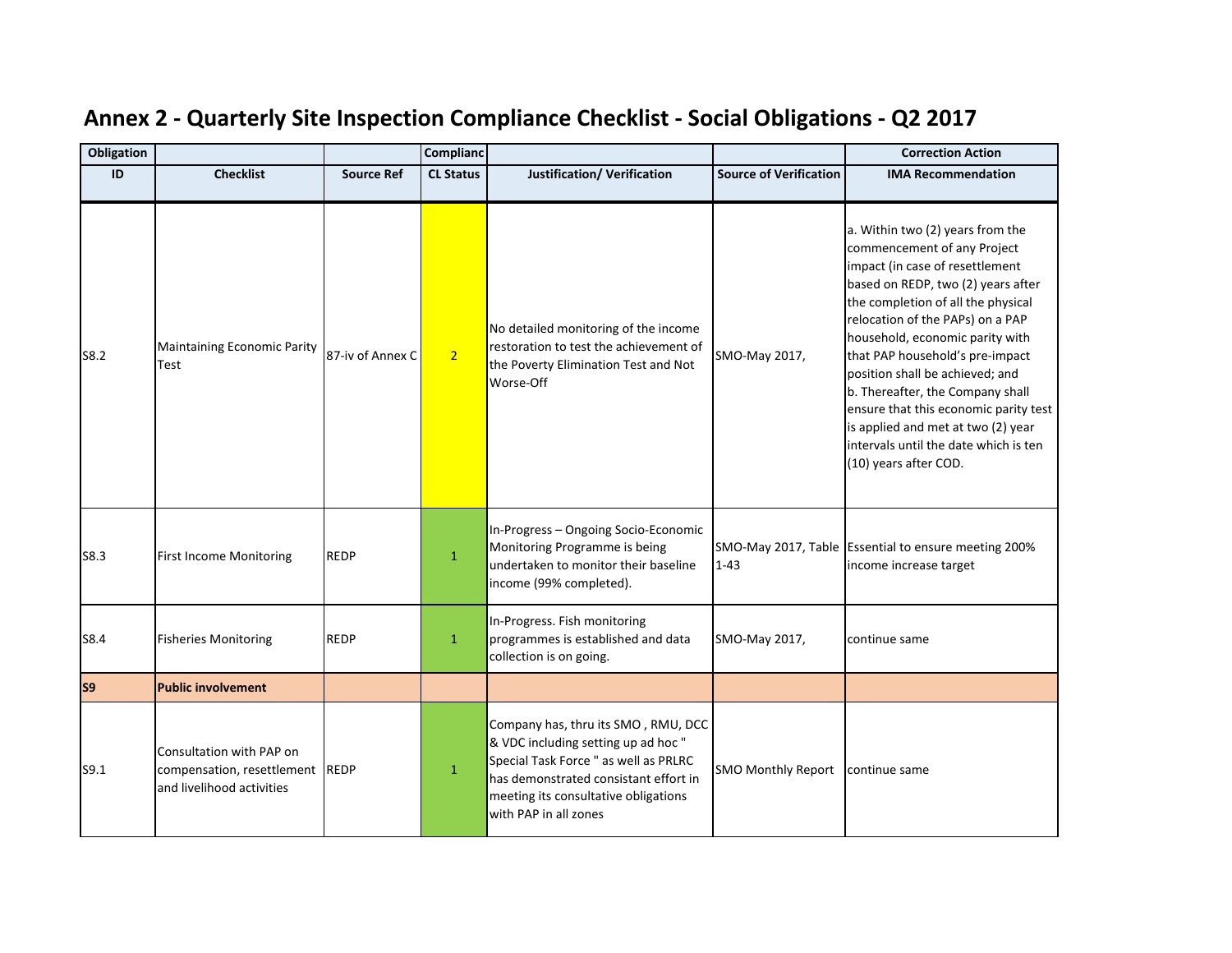| <b>Obligation</b> |                                                                                          |                   | Complianc        |                                                                                                                                                                                                                               |                               | <b>Correction Action</b>                                                                                                                                                                                                                                                                                                                                                                                                                                                                                         |
|-------------------|------------------------------------------------------------------------------------------|-------------------|------------------|-------------------------------------------------------------------------------------------------------------------------------------------------------------------------------------------------------------------------------|-------------------------------|------------------------------------------------------------------------------------------------------------------------------------------------------------------------------------------------------------------------------------------------------------------------------------------------------------------------------------------------------------------------------------------------------------------------------------------------------------------------------------------------------------------|
| ID                | <b>Checklist</b>                                                                         | <b>Source Ref</b> | <b>CL Status</b> | <b>Justification/ Verification</b>                                                                                                                                                                                            | <b>Source of Verification</b> | <b>IMA Recommendation</b>                                                                                                                                                                                                                                                                                                                                                                                                                                                                                        |
| S8.2              | <b>Maintaining Economic Parity</b><br>Test                                               | 87-iv of Annex C  | 2 <sup>7</sup>   | No detailed monitoring of the income<br>restoration to test the achievement of<br>the Poverty Elimination Test and Not<br>Worse-Off                                                                                           | SMO-May 2017,                 | a. Within two (2) years from the<br>commencement of any Project<br>impact (in case of resettlement<br>based on REDP, two (2) years after<br>the completion of all the physical<br>relocation of the PAPs) on a PAP<br>household, economic parity with<br>that PAP household's pre-impact<br>position shall be achieved; and<br>b. Thereafter, the Company shall<br>ensure that this economic parity test<br>is applied and met at two (2) year<br>intervals until the date which is ten<br>(10) years after COD. |
| S8.3              | <b>First Income Monitoring</b>                                                           | <b>REDP</b>       | $\mathbf{1}$     | In-Progress - Ongoing Socio-Economic<br>Monitoring Programme is being<br>undertaken to monitor their baseline<br>income (99% completed).                                                                                      | $1 - 43$                      | SMO-May 2017, Table Essential to ensure meeting 200%<br>income increase target                                                                                                                                                                                                                                                                                                                                                                                                                                   |
| S8.4              | <b>Fisheries Monitoring</b>                                                              | <b>REDP</b>       | $\mathbf{1}$     | In-Progress. Fish monitoring<br>programmes is established and data<br>collection is on going.                                                                                                                                 | SMO-May 2017,                 | continue same                                                                                                                                                                                                                                                                                                                                                                                                                                                                                                    |
| S <sub>9</sub>    | <b>Public involvement</b>                                                                |                   |                  |                                                                                                                                                                                                                               |                               |                                                                                                                                                                                                                                                                                                                                                                                                                                                                                                                  |
| S9.1              | Consultation with PAP on<br>compensation, resettlement REDP<br>and livelihood activities |                   | $\mathbf{1}$     | Company has, thru its SMO, RMU, DCC<br>& VDC including setting up ad hoc "<br>Special Task Force " as well as PRLRC<br>has demonstrated consistant effort in<br>meeting its consultative obligations<br>with PAP in all zones | <b>SMO Monthly Report</b>     | continue same                                                                                                                                                                                                                                                                                                                                                                                                                                                                                                    |